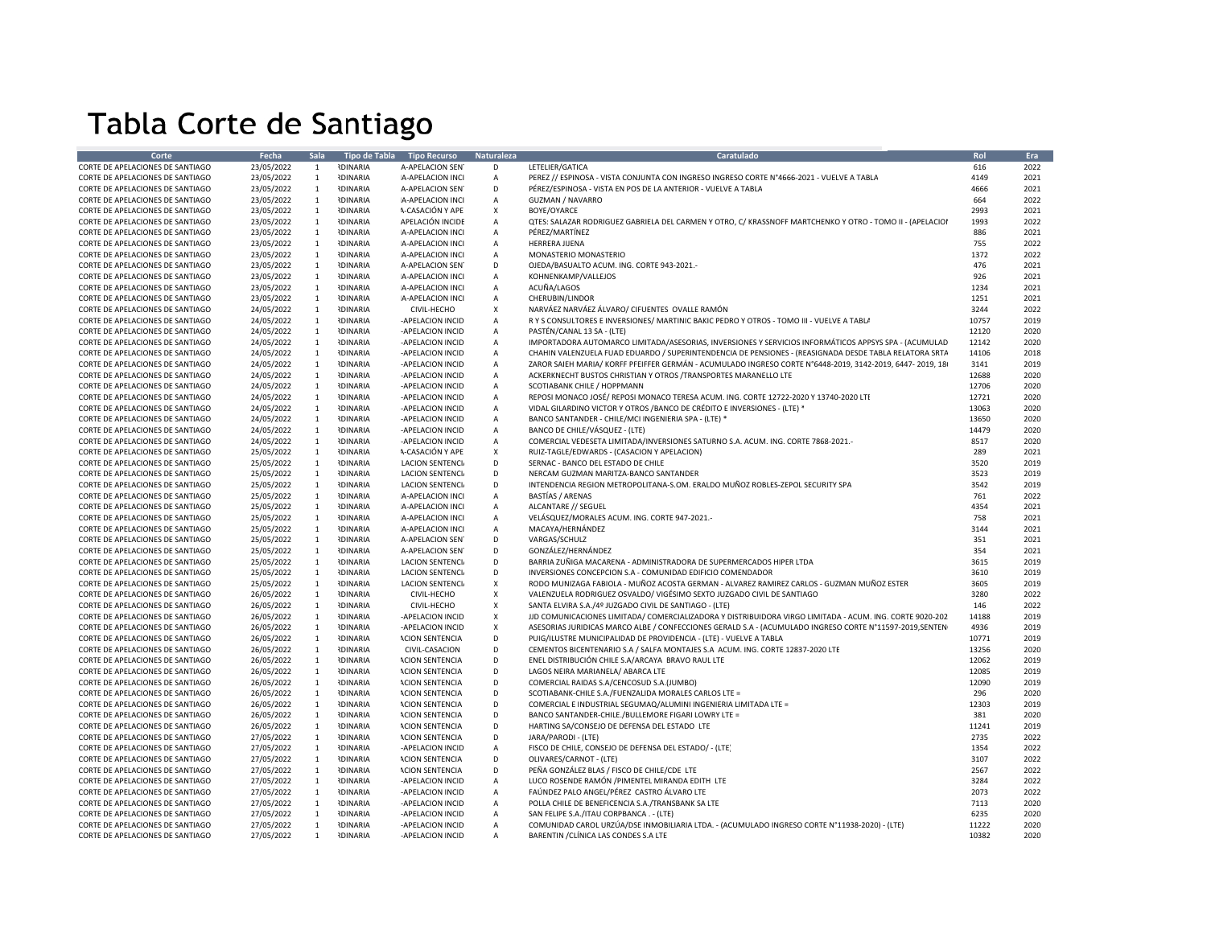## Tabla Corte de Santiago

| Corte                            | <b>Fecha</b> | <b>Sala</b>    |                 | Tipo de Tabla Tipo Recurso | <b>Naturaleza</b>         | Caratulado                                                                                                | Rol   | Era  |
|----------------------------------|--------------|----------------|-----------------|----------------------------|---------------------------|-----------------------------------------------------------------------------------------------------------|-------|------|
| CORTE DE APELACIONES DE SANTIAGO | 23/05/2022   | $\mathbf{1}$   | <b>IDINARIA</b> | A-APELACION SEN            | D                         | LETELIER/GATICA                                                                                           | 616   | 2022 |
| CORTE DE APELACIONES DE SANTIAGO | 23/05/2022   | 1              | <b>RDINARIA</b> | A-APELACION INCI           | $\overline{A}$            | PEREZ // ESPINOSA - VISTA CONJUNTA CON INGRESO INGRESO CORTE Nº4666-2021 - VUELVE A TABLA                 | 4149  | 2021 |
| CORTE DE APELACIONES DE SANTIAGO | 23/05/2022   | $\overline{1}$ | <b>RDINARIA</b> | A-APELACION SEN            | D                         | PÉREZ/ESPINOSA - VISTA EN POS DE LA ANTERIOR - VUELVE A TABLA                                             | 4666  | 2021 |
| CORTE DE APELACIONES DE SANTIAGO | 23/05/2022   | $\overline{1}$ | <b>RDINARIA</b> | A-APELACION INCI           | A                         | GUZMAN / NAVARRO                                                                                          | 664   | 2022 |
| CORTE DE APELACIONES DE SANTIAGO | 23/05/2022   | $\overline{1}$ | <b>RDINARIA</b> | A-CASACIÓN Y APE           | $\mathsf{x}$              | BOYE/OYARCE                                                                                               | 2993  | 2021 |
| CORTE DE APELACIONES DE SANTIAGO | 23/05/2022   | $\overline{1}$ | <b>RDINARIA</b> | APELACIÓN INCIDE           | $\mathsf{A}$              | QTES: SALAZAR RODRIGUEZ GABRIELA DEL CARMEN Y OTRO, C/ KRASSNOFF MARTCHENKO Y OTRO - TOMO II - (APELACIOI | 1993  | 2022 |
| CORTE DE APELACIONES DE SANTIAGO | 23/05/2022   | $\mathbf{1}$   | <b>RDINARIA</b> | A-APELACION INCI           | $\mathsf{A}$              | PÉREZ/MARTÍNEZ                                                                                            | 886   | 2021 |
| CORTE DE APELACIONES DE SANTIAGO | 23/05/2022   | 1              | <b>IDINARIA</b> | A-APELACION INCI           | $\mathsf{A}$              | HERRERA JIJENA                                                                                            | 755   | 2022 |
| CORTE DE APELACIONES DE SANTIAGO | 23/05/2022   | -1             | <b>RDINARIA</b> | A-APELACION INCI           | $\overline{A}$            | MONASTERIO MONASTERIO                                                                                     | 1372  | 2022 |
| CORTE DE APELACIONES DE SANTIAGO | 23/05/2022   | 1              | <b>RDINARIA</b> | <b>A-APELACION SEN</b>     | D                         | OJEDA/BASUALTO ACUM. ING. CORTE 943-2021.-                                                                | 476   | 2021 |
| CORTE DE APELACIONES DE SANTIAGO | 23/05/2022   | 1              | <b>IDINARIA</b> | A-APELACION INCI           | $\overline{A}$            | KOHNENKAMP/VALLEJOS                                                                                       | 926   | 2021 |
| CORTE DE APELACIONES DE SANTIAGO | 23/05/2022   | 1              | <b>NDINARIA</b> | A-APELACION INCI           | $\overline{A}$            | ACUÑA/LAGOS                                                                                               | 1234  | 2021 |
| CORTE DE APELACIONES DE SANTIAGO | 23/05/2022   | 1              | <b>RDINARIA</b> | A-APELACION INCI           | $\overline{A}$            | CHERUBIN/LINDOR                                                                                           | 1251  | 2021 |
| CORTE DE APELACIONES DE SANTIAGO | 24/05/2022   | $\overline{1}$ | <b>RDINARIA</b> | CIVIL-HECHO                | $\mathsf{X}$              | NARVÁEZ NARVÁEZ ÁLVARO/ CIFUENTES OVALLE RAMÓN                                                            | 3244  | 2022 |
| CORTE DE APELACIONES DE SANTIAGO | 24/05/2022   | -1             | <b>IDINARIA</b> | -APELACION INCID           | $\overline{A}$            | R Y S CONSULTORES E INVERSIONES/ MARTINIC BAKIC PEDRO Y OTROS - TOMO III - VUELVE A TABLA                 | 10757 | 2019 |
| CORTE DE APELACIONES DE SANTIAGO | 24/05/2022   | 1              | <b>RDINARIA</b> | -APELACION INCID           | $\overline{A}$            | PASTÉN/CANAL 13 SA - (LTE)                                                                                | 12120 | 2020 |
| CORTE DE APELACIONES DE SANTIAGO | 24/05/2022   | 1              | <b>IDINARIA</b> | -APELACION INCID           | $\overline{A}$            | IMPORTADORA AUTOMARCO LIMITADA/ASESORIAS, INVERSIONES Y SERVICIOS INFORMÁTICOS APPSYS SPA - (ACUMULAD     | 12142 | 2020 |
| CORTE DE APELACIONES DE SANTIAGO | 24/05/2022   | $\mathbf{1}$   | <b>RDINARIA</b> | -APELACION INCID           | $\overline{A}$            | CHAHIN VALENZUELA FUAD EDUARDO / SUPERINTENDENCIA DE PENSIONES - (REASIGNADA DESDE TABLA RELATORA SRTA    | 14106 | 2018 |
| CORTE DE APELACIONES DE SANTIAGO | 24/05/2022   | $\overline{1}$ | <b>RDINARIA</b> | -APELACION INCID           | $\overline{A}$            | ZAROR SAIEH MARIA/ KORFF PFEIFFER GERMÁN - ACUMULADO INGRESO CORTE N°6448-2019, 3142-2019, 6447- 2019, 18 | 3141  | 2019 |
| CORTE DE APELACIONES DE SANTIAGO | 24/05/2022   | $\overline{1}$ | <b>RDINARIA</b> | -APELACION INCID           | $\overline{A}$            | ACKERKNECHT BUSTOS CHRISTIAN Y OTROS / TRANSPORTES MARANELLO LTE                                          | 12688 | 2020 |
|                                  |              |                |                 |                            |                           |                                                                                                           |       |      |
| CORTE DE APELACIONES DE SANTIAGO | 24/05/2022   | 1              | <b>RDINARIA</b> | -APELACION INCID           | $\overline{A}$            | SCOTIABANK CHILE / HOPPMANN                                                                               | 12706 | 2020 |
| CORTE DE APELACIONES DE SANTIAGO | 24/05/2022   | $\overline{1}$ | <b>RDINARIA</b> | -APELACION INCID           | $\overline{A}$            | REPOSI MONACO JOSÉ/ REPOSI MONACO TERESA ACUM. ING. CORTE 12722-2020 Y 13740-2020 LTI                     | 12721 | 2020 |
| CORTE DE APELACIONES DE SANTIAGO | 24/05/2022   | 1              | <b>NDINARIA</b> | -APELACION INCID           | $\overline{A}$            | VIDAL GILARDINO VICTOR Y OTROS / BANCO DE CRÉDITO E INVERSIONES - (LTE) *                                 | 13063 | 2020 |
| CORTE DE APELACIONES DE SANTIAGO | 24/05/2022   | 1              | <b>IDINARIA</b> | -APELACION INCID           | $\overline{A}$            | BANCO SANTANDER - CHILE/MCI INGENIERIA SPA - (LTE) *                                                      | 13650 | 2020 |
| CORTE DE APELACIONES DE SANTIAGO | 24/05/2022   | 1              | <b>RDINARIA</b> | -APELACION INCID           | $\overline{A}$            | BANCO DE CHILE/VÁSQUEZ - (LTE)                                                                            | 14479 | 2020 |
| CORTE DE APELACIONES DE SANTIAGO | 24/05/2022   | 1              | <b>IDINARIA</b> | -APELACION INCID           | $\mathsf{A}$              | COMERCIAL VEDESETA LIMITADA/INVERSIONES SATURNO S.A. ACUM. ING. CORTE 7868-2021.-                         | 8517  | 2020 |
| CORTE DE APELACIONES DE SANTIAGO | 25/05/2022   | 1              | <b>IDINARIA</b> | A-CASACIÓN Y APE           | $\mathsf{X}$              | RUIZ-TAGLE/EDWARDS - (CASACION Y APELACION)                                                               | 289   | 2021 |
| CORTE DE APELACIONES DE SANTIAGO | 25/05/2022   | 1              | <b>RDINARIA</b> | <b>LACION SENTENCI</b>     | D                         | SERNAC - BANCO DEL ESTADO DE CHILE                                                                        | 3520  | 2019 |
| CORTE DE APELACIONES DE SANTIAGO | 25/05/2022   | 1              | <b>RDINARIA</b> | <b>LACION SENTENCIA</b>    | D                         | NERCAM GUZMAN MARITZA-BANCO SANTANDER                                                                     | 3523  | 2019 |
| CORTE DE APELACIONES DE SANTIAGO | 25/05/2022   | $\mathbf{1}$   | <b>IDINARIA</b> | <b>LACION SENTENCIA</b>    | D                         | INTENDENCIA REGION METROPOLITANA-S.OM. ERALDO MUÑOZ ROBLES-ZEPOL SECURITY SPA                             | 3542  | 2019 |
| CORTE DE APELACIONES DE SANTIAGO | 25/05/2022   | 1              | <b>RDINARIA</b> | A-APELACION INCI           | $\overline{A}$            | BASTÍAS / ARENAS                                                                                          | 761   | 2022 |
| CORTE DE APELACIONES DE SANTIAGO | 25/05/2022   | <sup>1</sup>   | <b>IDINARIA</b> | A-APELACION INCI           | $\overline{A}$            | ALCANTARE // SEGUEL                                                                                       | 4354  | 2021 |
| CORTE DE APELACIONES DE SANTIAGO | 25/05/2022   | $\mathbf{1}$   | <b>RDINARIA</b> | A-APELACION INCI           | $\overline{A}$            | VELÁSQUEZ/MORALES ACUM. ING. CORTE 947-2021.-                                                             | 758   | 2021 |
| CORTE DE APELACIONES DE SANTIAGO | 25/05/2022   | 1              | <b>NDINARIA</b> | A-APELACION INCI           | $\mathsf A$               | MACAYA/HERNÁNDEZ                                                                                          | 3144  | 2021 |
| CORTE DE APELACIONES DE SANTIAGO |              | $\overline{1}$ | <b>RDINARIA</b> | A-APELACION SEN            | D                         | VARGAS/SCHULZ                                                                                             | 351   | 2021 |
|                                  | 25/05/2022   | $\mathbf{1}$   | <b>RDINARIA</b> |                            |                           |                                                                                                           |       |      |
| CORTE DE APELACIONES DE SANTIAGO | 25/05/2022   |                |                 | A-APELACION SEN            | D                         | GONZÁLEZ/HERNÁNDEZ                                                                                        | 354   | 2021 |
| CORTE DE APELACIONES DE SANTIAGO | 25/05/2022   | 1              | <b>IDINARIA</b> | <b>LACION SENTENCI</b>     | D                         | BARRIA ZUÑIGA MACARENA - ADMINISTRADORA DE SUPERMERCADOS HIPER LTDA                                       | 3615  | 2019 |
| CORTE DE APELACIONES DE SANTIAGO | 25/05/2022   | $\overline{1}$ | <b>RDINARIA</b> | <b>LACION SENTENCIA</b>    | D                         | INVERSIONES CONCEPCION S.A - COMUNIDAD EDIFICIO COMENDADOR                                                | 3610  | 2019 |
| CORTE DE APELACIONES DE SANTIAGO | 25/05/2022   | 1              | <b>IDINARIA</b> | <b>LACION SENTENCI</b>     | $\mathsf{X}$              | RODO MUNIZAGA FABIOLA - MUÑOZ ACOSTA GERMAN - ALVAREZ RAMIREZ CARLOS - GUZMAN MUÑOZ ESTER                 | 3605  | 2019 |
| CORTE DE APELACIONES DE SANTIAGO | 26/05/2022   | 1              | <b>IDINARIA</b> | CIVIL-HECHO                | $\boldsymbol{\mathsf{x}}$ | VALENZUELA RODRIGUEZ OSVALDO/ VIGÉSIMO SEXTO JUZGADO CIVIL DE SANTIAGO                                    | 3280  | 2022 |
| CORTE DE APELACIONES DE SANTIAGO | 26/05/2022   | <sup>1</sup>   | <b>RDINARIA</b> | CIVIL-HECHO                | $\mathsf{X}$              | SANTA ELVIRA S.A./4º JUZGADO CIVIL DE SANTIAGO - (LTE)                                                    | 146   | 2022 |
| CORTE DE APELACIONES DE SANTIAGO | 26/05/2022   | 1              | <b>IDINARIA</b> | -APELACION INCID           | $\mathsf{X}$              | JJD COMUNICACIONES LIMITADA/ COMERCIALIZADORA Y DISTRIBUIDORA VIRGO LIMITADA - ACUM. ING. CORTE 9020-202  | 14188 | 2019 |
| CORTE DE APELACIONES DE SANTIAGO | 26/05/2022   | 1              | <b>IDINARIA</b> | -APELACION INCID           | $\mathsf{x}$              | ASESORIAS JURIDICAS MARCO ALBE / CONFECCIONES GERALD S.A - (ACUMULADO INGRESO CORTE Nº11597-2019,SENTEN   | 4936  | 2019 |
| CORTE DE APELACIONES DE SANTIAGO | 26/05/2022   | 1              | <b>RDINARIA</b> | <b>ACION SENTENCIA</b>     | D                         | PUIG/ILUSTRE MUNICIPALIDAD DE PROVIDENCIA - (LTE) - VUELVE A TABLA                                        | 10771 | 2019 |
| CORTE DE APELACIONES DE SANTIAGO | 26/05/2022   | 1              | <b>IDINARIA</b> | CIVIL-CASACION             | D                         | CEMENTOS BICENTENARIO S.A / SALFA MONTAJES S.A ACUM. ING. CORTE 12837-2020 LTE                            | 13256 | 2020 |
| CORTE DE APELACIONES DE SANTIAGO | 26/05/2022   | 1              | <b>IDINARIA</b> | <b>ACION SENTENCIA</b>     | D                         | ENEL DISTRIBUCIÓN CHILE S.A/ARCAYA BRAVO RAUL LTE                                                         | 12062 | 2019 |
| CORTE DE APELACIONES DE SANTIAGO | 26/05/2022   | $\overline{1}$ | <b>RDINARIA</b> | <b>ACION SENTENCIA</b>     | D                         | LAGOS NEIRA MARIANELA/ ABARCA LTE                                                                         | 12085 | 2019 |
| CORTE DE APELACIONES DE SANTIAGO | 26/05/2022   | 1              | <b>RDINARIA</b> | <b>ACION SENTENCIA</b>     | D                         | COMERCIAL RAIDAS S.A/CENCOSUD S.A.(JUMBO)                                                                 | 12090 | 2019 |
| CORTE DE APELACIONES DE SANTIAGO | 26/05/2022   | $\overline{1}$ | <b>RDINARIA</b> | <b>ACION SENTENCIA</b>     | D                         | SCOTIABANK-CHILE S.A./FUENZALIDA MORALES CARLOS LTE =                                                     | 296   | 2020 |
| CORTE DE APELACIONES DE SANTIAGO | 26/05/2022   | -1             | <b>IDINARIA</b> | <b>ACION SENTENCIA</b>     | $\mathsf{D}$              | COMERCIAL E INDUSTRIAL SEGUMAQ/ALUMINI INGENIERIA LIMITADA LTE =                                          | 12303 | 2019 |
|                                  |              | $\overline{1}$ | <b>RDINARIA</b> |                            | D                         |                                                                                                           | 381   | 2020 |
| CORTE DE APELACIONES DE SANTIAGO | 26/05/2022   |                |                 | <b>ACION SENTENCIA</b>     |                           | BANCO SANTANDER-CHILE./BULLEMORE FIGARI LOWRY LTE =                                                       |       |      |
| CORTE DE APELACIONES DE SANTIAGO | 26/05/2022   | 1              | <b>IDINARIA</b> | <b>ACION SENTENCIA</b>     | D                         | HARTING SA/CONSEJO DE DEFENSA DEL ESTADO LTE                                                              | 11241 | 2019 |
| CORTE DE APELACIONES DE SANTIAGO | 27/05/2022   | 1              | <b>IDINARIA</b> | <b>ACION SENTENCIA</b>     | D                         | JARA/PARODI - (LTE)                                                                                       | 2735  | 2022 |
| CORTE DE APELACIONES DE SANTIAGO | 27/05/2022   | <sup>1</sup>   | <b>NDINARIA</b> | -APELACION INCID           | A                         | FISCO DE CHILE, CONSEJO DE DEFENSA DEL ESTADO/ - (LTE)                                                    | 1354  | 2022 |
| CORTE DE APELACIONES DE SANTIAGO | 27/05/2022   | 1              | <b>RDINARIA</b> | <b>ACION SENTENCIA</b>     | D                         | OLIVARES/CARNOT - (LTE)                                                                                   | 3107  | 2022 |
| CORTE DE APELACIONES DE SANTIAGO | 27/05/2022   | 1              | <b>RDINARIA</b> | <b>ACION SENTENCIA</b>     | D                         | PEÑA GONZÁLEZ BLAS / FISCO DE CHILE/CDE LTE                                                               | 2567  | 2022 |
| CORTE DE APELACIONES DE SANTIAGO | 27/05/2022   | $\overline{1}$ | <b>RDINARIA</b> | -APELACION INCID           | $\mathsf{A}$              | LUCO ROSENDE RAMÓN / PIMENTEL MIRANDA EDITH LTE                                                           | 3284  | 2022 |
| CORTE DE APELACIONES DE SANTIAGO | 27/05/2022   | $\overline{1}$ | <b>RDINARIA</b> | -APELACION INCID           | $\overline{A}$            | FAÚNDEZ PALO ANGEL/PÉREZ CASTRO ÁLVARO LTE                                                                | 2073  | 2022 |
| CORTE DE APELACIONES DE SANTIAGO | 27/05/2022   | 1              | <b>IDINARIA</b> | -APELACION INCID           | $\mathsf{A}$              | POLLA CHILE DE BENEFICENCIA S.A./TRANSBANK SA LTE                                                         | 7113  | 2020 |
| CORTE DE APELACIONES DE SANTIAGO | 27/05/2022   | $\overline{1}$ | <b>RDINARIA</b> | -APELACION INCID           | $\overline{A}$            | SAN FELIPE S.A./ITAU CORPBANCA . - (LTE)                                                                  | 6235  | 2020 |
| CORTE DE APELACIONES DE SANTIAGO | 27/05/2022   | $\overline{1}$ | <b>RDINARIA</b> | -APELACION INCID           | $\overline{A}$            | COMUNIDAD CAROL URZÚA/DSE INMOBILIARIA LTDA. - (ACUMULADO INGRESO CORTE Nº11938-2020) - (LTE)             | 11222 | 2020 |
| CORTE DE APELACIONES DE SANTIAGO | 27/05/2022   | 1              | <b>RDINARIA</b> | -APELACION INCID           | $\mathsf{A}$              | BARENTIN / CLÍNICA LAS CONDES S.A LTE                                                                     | 10382 | 2020 |
|                                  |              |                |                 |                            |                           |                                                                                                           |       |      |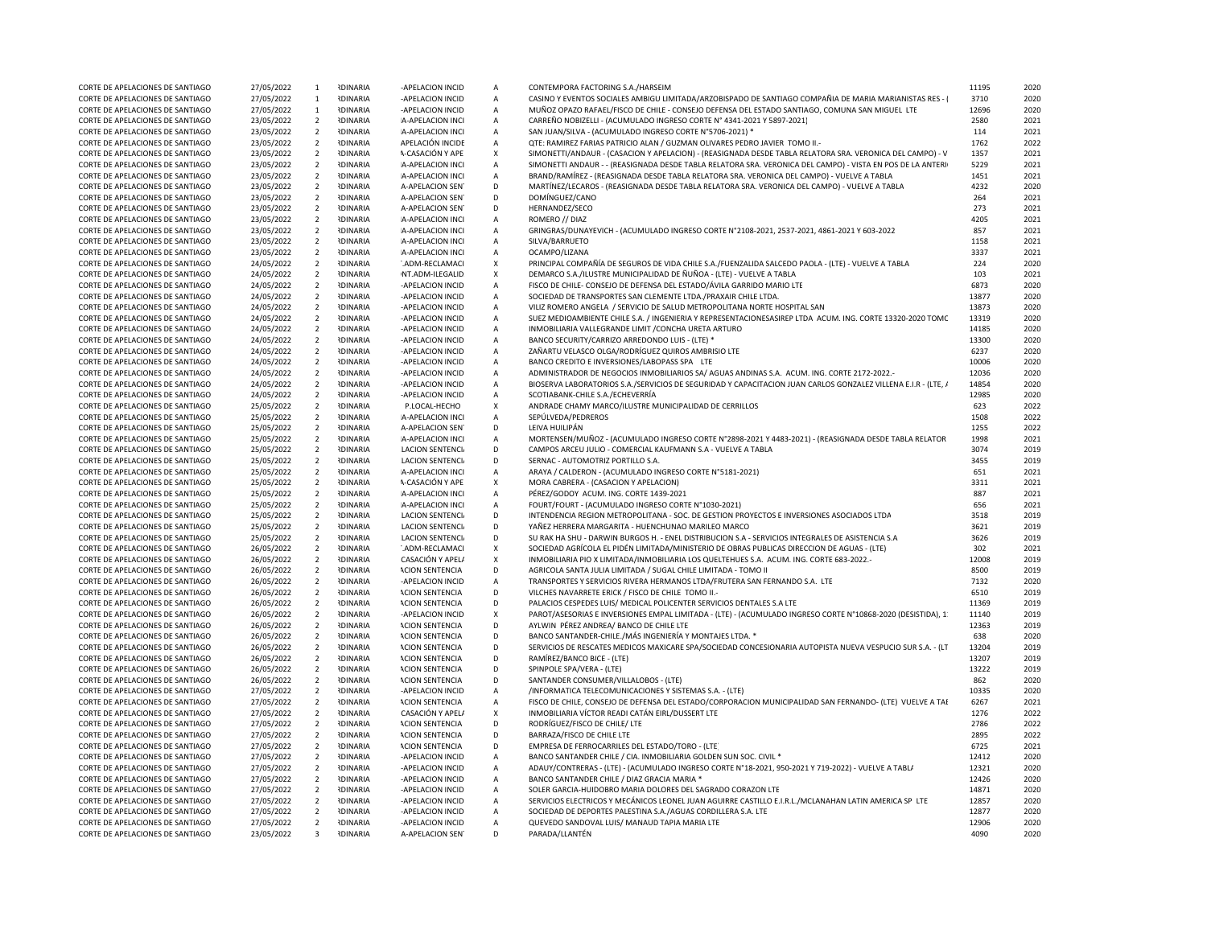| CORTE DE APELACIONES DE SANTIAGO                                     | 27/05/2022               | $\overline{1}$                   | <b>RDINARIA</b>                    | -APELACION INCID                    | Α                 | CONTEMPORA FACTORING S.A./HARSEIM                                                                             | 11195         | 2020         |
|----------------------------------------------------------------------|--------------------------|----------------------------------|------------------------------------|-------------------------------------|-------------------|---------------------------------------------------------------------------------------------------------------|---------------|--------------|
| CORTE DE APELACIONES DE SANTIAGO                                     | 27/05/2022               | $\overline{1}$                   | <b>RDINARIA</b>                    | -APELACION INCID                    | $\mathsf{A}$      | CASINO Y EVENTOS SOCIALES AMBIGU LIMITADA/ARZOBISPADO DE SANTIAGO COMPAÑIA DE MARIA MARIANISTAS RES - I       | 3710          | 2020         |
| CORTE DE APELACIONES DE SANTIAGO                                     | 27/05/2022               | $\overline{1}$                   | <b>RDINARIA</b>                    | -APELACION INCID                    | $\overline{A}$    | MUÑOZ OPAZO RAFAEL/FISCO DE CHILE - CONSEJO DEFENSA DEL ESTADO SANTIAGO, COMUNA SAN MIGUEL LTE                | 12696         | 2020         |
| CORTE DE APELACIONES DE SANTIAGO                                     | 23/05/2022               | $\overline{2}$                   | <b>IDINARIA</b>                    | A-APELACION INCI                    | Α                 | CARREÑO NOBIZELLI - (ACUMULADO INGRESO CORTE Nº 4341-2021 Y 5897-2021)                                        | 2580          | 2021         |
| CORTE DE APELACIONES DE SANTIAGO                                     | 23/05/2022               | $\overline{2}$                   | <b>IDINARIA</b>                    | A-APELACION INCI                    | $\mathsf{A}$      | SAN JUAN/SILVA - (ACUMULADO INGRESO CORTE Nº5706-2021) *                                                      | 114           | 2021         |
| CORTE DE APELACIONES DE SANTIAGO                                     | 23/05/2022               | $\overline{2}$                   | <b>IDINARIA</b>                    | APELACIÓN INCIDE                    | $\mathsf{A}$      | QTE: RAMIREZ FARIAS PATRICIO ALAN / GUZMAN OLIVARES PEDRO JAVIER TOMO II.-                                    | 1762          | 2022         |
| CORTE DE APELACIONES DE SANTIAGO                                     | 23/05/2022               | $\overline{2}$                   | <b>RDINARIA</b>                    | <b>A-CASACIÓN Y APE</b>             | $\mathsf X$       | SIMONETTI/ANDAUR - (CASACION Y APELACION) - (REASIGNADA DESDE TABLA RELATORA SRA. VERONICA DEL CAMPO) - V     | 1357          | 2021         |
| CORTE DE APELACIONES DE SANTIAGO                                     | 23/05/2022               | $\overline{2}$                   | <b>RDINARIA</b>                    | A-APELACION INCI                    | A                 | SIMONETTI ANDAUR - - (REASIGNADA DESDE TABLA RELATORA SRA. VERONICA DEL CAMPO) - VISTA EN POS DE LA ANTERI    | 5229          | 2021         |
| CORTE DE APELACIONES DE SANTIAGO                                     |                          | $\overline{2}$                   | <b>RDINARIA</b>                    | A-APELACION INCI                    | A                 | BRAND/RAMÍREZ - (REASIGNADA DESDE TABLA RELATORA SRA. VERONICA DEL CAMPO) - VUELVE A TABLA                    | 1451          | 2021         |
|                                                                      | 23/05/2022               |                                  |                                    |                                     |                   |                                                                                                               |               |              |
| CORTE DE APELACIONES DE SANTIAGO                                     | 23/05/2022               | $\overline{2}$                   | <b>RDINARIA</b>                    | A-APELACION SEN                     | D                 | MARTÍNEZ/LECAROS - (REASIGNADA DESDE TABLA RELATORA SRA. VERONICA DEL CAMPO) - VUELVE A TABLA                 | 4232          | 2020         |
| CORTE DE APELACIONES DE SANTIAGO                                     | 23/05/2022               | $\overline{2}$                   | <b>IDINARIA</b>                    | A-APELACION SEN                     | D                 | DOMÍNGUEZ/CANO                                                                                                | 264           | 2021         |
| CORTE DE APELACIONES DE SANTIAGO                                     | 23/05/2022               | $\overline{2}$                   | <b>RDINARIA</b>                    | A-APELACION SEN                     | D                 | HERNANDEZ/SECO                                                                                                | 273           | 2021         |
| CORTE DE APELACIONES DE SANTIAGO                                     | 23/05/2022               | $\overline{2}$                   | <b>RDINARIA</b>                    | A-APELACION INCI                    | $\overline{A}$    | ROMERO // DIAZ                                                                                                | 4205          | 2021         |
| CORTE DE APELACIONES DE SANTIAGO                                     | 23/05/2022               | $\overline{2}$                   | <b>IDINARIA</b>                    | A-APELACION INCI                    | $\mathsf{A}$      | GRINGRAS/DUNAYEVICH - (ACUMULADO INGRESO CORTE N°2108-2021, 2537-2021, 4861-2021 Y 603-2022)                  | 857           | 2021         |
| CORTE DE APELACIONES DE SANTIAGO                                     | 23/05/2022               | $\overline{2}$                   | <b>IDINARIA</b>                    | A-APELACION INCI                    | $\overline{A}$    | SILVA/BARRUETO                                                                                                | 1158          | 2021         |
| CORTE DE APELACIONES DE SANTIAGO                                     | 23/05/2022               | $\overline{2}$                   | <b>RDINARIA</b>                    | A-APELACION INCI                    | Α                 | OCAMPO/LIZANA                                                                                                 | 3337          | 2021         |
| CORTE DE APELACIONES DE SANTIAGO                                     | 24/05/2022               | $\overline{2}$                   | <b>RDINARIA</b>                    | ADM-RECLAMACI                       | X                 | PRINCIPAL COMPAÑÍA DE SEGUROS DE VIDA CHILE S.A./FUENZALIDA SALCEDO PAOLA - (LTE) - VUELVE A TABLA            | 224           | 2020         |
| CORTE DE APELACIONES DE SANTIAGO                                     | 24/05/2022               | $\overline{2}$                   | <b>IDINARIA</b>                    | NT.ADM-ILEGALID                     | X                 | DEMARCO S.A./ILUSTRE MUNICIPALIDAD DE ÑUÑOA - (LTE) - VUELVE A TABLA                                          | 103           | 2021         |
| CORTE DE APELACIONES DE SANTIAGO                                     | 24/05/2022               | $\overline{2}$                   | <b>IDINARIA</b>                    | -APELACION INCID                    | A                 | FISCO DE CHILE- CONSEJO DE DEFENSA DEL ESTADO/ÁVILA GARRIDO MARIO LTE                                         | 6873          | 2020         |
| CORTE DE APELACIONES DE SANTIAGO                                     | 24/05/2022               | $\overline{2}$                   | <b>RDINARIA</b>                    | -APELACION INCID                    | Α                 | SOCIEDAD DE TRANSPORTES SAN CLEMENTE LTDA./PRAXAIR CHILE LTDA.                                                | 13877         | 2020         |
| CORTE DE APELACIONES DE SANTIAGO                                     | 24/05/2022               | $\overline{2}$                   | <b>RDINARIA</b>                    | -APELACION INCID                    | A                 | VILIZ ROMERO ANGELA / SERVICIO DE SALUD METROPOLITANA NORTE HOSPITAL SAN                                      | 13873         | 2020         |
|                                                                      |                          | $\overline{2}$                   | <b>RDINARIA</b>                    |                                     |                   |                                                                                                               | 13319         | 2020         |
| CORTE DE APELACIONES DE SANTIAGO                                     | 24/05/2022               |                                  |                                    | -APELACION INCID                    | А                 | SUEZ MEDIOAMBIENTE CHILE S.A. / INGENIERIA Y REPRESENTACIONESASIREP LTDA ACUM. ING. CORTE 13320-2020 TOMC     |               |              |
| CORTE DE APELACIONES DE SANTIAGO                                     | 24/05/2022               | $\overline{2}$                   | <b>IDINARIA</b>                    | -APELACION INCID                    | Α                 | INMOBILIARIA VALLEGRANDE LIMIT / CONCHA URETA ARTURO                                                          | 14185         | 2020         |
| CORTE DE APELACIONES DE SANTIAGO                                     | 24/05/2022               | $\overline{2}$                   | <b>RDINARIA</b>                    | -APELACION INCID                    | $\overline{A}$    | BANCO SECURITY/CARRIZO ARREDONDO LUIS - (LTE) *                                                               | 13300         | 2020         |
| CORTE DE APELACIONES DE SANTIAGO                                     | 24/05/2022               | $\overline{2}$                   | <b>RDINARIA</b>                    | -APELACION INCID                    | $\mathsf{A}$      | ZAÑARTU VELASCO OLGA/RODRÍGUEZ QUIROS AMBRISIO LTE                                                            | 6237          | 2020         |
| CORTE DE APELACIONES DE SANTIAGO                                     | 24/05/2022               | $\overline{2}$                   | <b>IDINARIA</b>                    | -APELACION INCID                    | Α                 | BANCO CREDITO E INVERSIONES/LABOPASS SPA LTE                                                                  | 10006         | 2020         |
| CORTE DE APELACIONES DE SANTIAGO                                     | 24/05/2022               | $\overline{2}$                   | <b>IDINARIA</b>                    | -APELACION INCID                    | Α                 | ADMINISTRADOR DE NEGOCIOS INMOBILIARIOS SA/ AGUAS ANDINAS S.A. ACUM. ING. CORTE 2172-2022.-                   | 12036         | 2020         |
| CORTE DE APELACIONES DE SANTIAGO                                     | 24/05/2022               | $\overline{2}$                   | <b>IDINARIA</b>                    | -APELACION INCID                    | $\overline{A}$    | BIOSERVA LABORATORIOS S.A./SERVICIOS DE SEGURIDAD Y CAPACITACION JUAN CARLOS GONZALEZ VILLENA E.I.R - (LTE, / | 14854         | 2020         |
| CORTE DE APELACIONES DE SANTIAGO                                     | 24/05/2022               | $\overline{2}$                   | <b>IDINARIA</b>                    | -APELACION INCID                    | Α                 | SCOTIABANK-CHILE S.A./ECHEVERRÍA                                                                              | 12985         | 2020         |
| CORTE DE APELACIONES DE SANTIAGO                                     | 25/05/2022               | $\overline{2}$                   | <b>IDINARIA</b>                    | P.LOCAL-HECHO                       | X                 | ANDRADE CHAMY MARCO/ILUSTRE MUNICIPALIDAD DE CERRILLOS                                                        | 623           | 2022         |
| CORTE DE APELACIONES DE SANTIAGO                                     | 25/05/2022               | $\overline{2}$                   | <b>RDINARIA</b>                    | A-APELACION INCI                    | $\mathsf{A}$      | SEPÚLVEDA/PEDREROS                                                                                            | 1508          | 2022         |
| CORTE DE APELACIONES DE SANTIAGO                                     | 25/05/2022               | $\overline{2}$                   | <b>RDINARIA</b>                    | A-APELACION SEN                     | D                 | LEIVA HUILIPÁN                                                                                                | 1255          | 2022         |
| CORTE DE APELACIONES DE SANTIAGO                                     | 25/05/2022               | $\overline{2}$                   | <b>RDINARIA</b>                    | A-APELACION INCI                    | $\overline{A}$    | MORTENSEN/MUÑOZ - (ACUMULADO INGRESO CORTE Nº2898-2021 Y 4483-2021) - (REASIGNADA DESDE TABLA RELATOR         | 1998          | 2021         |
| CORTE DE APELACIONES DE SANTIAGO                                     | 25/05/2022               | $\overline{2}$                   | <b>RDINARIA</b>                    | <b>LACION SENTENCIA</b>             | D                 | CAMPOS ARCEU JULIO - COMERCIAL KAUFMANN S.A - VUELVE A TABLA                                                  | 3074          | 2019         |
|                                                                      |                          | $\overline{2}$                   | <b>RDINARIA</b>                    | <b>LACION SENTENCIA</b>             | D                 | SERNAC - AUTOMOTRIZ PORTILLO S.A.                                                                             | 3455          | 2019         |
| CORTE DE APELACIONES DE SANTIAGO                                     | 25/05/2022               | $\overline{2}$                   |                                    |                                     | $\overline{A}$    |                                                                                                               |               |              |
| CORTE DE APELACIONES DE SANTIAGO                                     | 25/05/2022               |                                  | <b>IDINARIA</b>                    | A-APELACION INCI                    |                   | ARAYA / CALDERON - (ACUMULADO INGRESO CORTE N°5181-2021)                                                      | 651           | 2021         |
| CORTE DE APELACIONES DE SANTIAGO                                     | 25/05/2022               | $\overline{2}$                   | <b>IDINARIA</b>                    | A-CASACIÓN Y APE                    | X                 | MORA CABRERA - (CASACION Y APELACION)                                                                         | 3311          | 2021         |
| CORTE DE APELACIONES DE SANTIAGO                                     | 25/05/2022               | $\overline{2}$                   | <b>RDINARIA</b>                    | A-APELACION INCI                    | A                 | PÉREZ/GODOY ACUM. ING. CORTE 1439-2021                                                                        | 887           | 2021         |
| CORTE DE APELACIONES DE SANTIAGO                                     | 25/05/2022               | $\overline{2}$                   | <b>IDINARIA</b>                    | A-APELACION INCI                    | $\mathsf{A}$      | FOURT/FOURT - (ACUMULADO INGRESO CORTE N°1030-2021)                                                           | 656           | 2021         |
| CORTE DE APELACIONES DE SANTIAGO                                     | 25/05/2022               | $\overline{2}$                   | <b>IDINARIA</b>                    | <b>LACION SENTENCIA</b>             | D                 | INTENDENCIA REGION METROPOLITANA - SOC. DE GESTION PROYECTOS E INVERSIONES ASOCIADOS LTDA                     | 3518          | 2019         |
| CORTE DE APELACIONES DE SANTIAGO                                     | 25/05/2022               | $\overline{2}$                   | <b>RDINARIA</b>                    | <b>LACION SENTENCIA</b>             | D                 | YAÑEZ HERRERA MARGARITA - HUENCHUNAO MARILEO MARCO                                                            | 3621          | 2019         |
| CORTE DE APELACIONES DE SANTIAGO                                     | 25/05/2022               | $\overline{2}$                   | <b>RDINARIA</b>                    | <b>LACION SENTENCI</b>              | D                 | SU RAK HA SHU - DARWIN BURGOS H. - ENEL DISTRIBUCION S.A - SERVICIOS INTEGRALES DE ASISTENCIA S.A             | 3626          | 2019         |
| CORTE DE APELACIONES DE SANTIAGO                                     | 26/05/2022               | $\overline{2}$                   | <b>RDINARIA</b>                    | ".ADM-RECLAMACI                     | X                 | SOCIEDAD AGRÍCOLA EL PIDÉN LIMITADA/MINISTERIO DE OBRAS PUBLICAS DIRECCION DE AGUAS - (LTE)                   | 302           | 2021         |
| CORTE DE APELACIONES DE SANTIAGO                                     | 26/05/2022               | $\overline{2}$                   | <b>RDINARIA</b>                    | CASACIÓN Y APEL/                    | $\mathsf{x}$      | INMOBILIARIA PIO X LIMITADA/INMOBILIARIA LOS QUELTEHUES S.A. ACUM. ING. CORTE 683-2022.-                      | 12008         | 2019         |
| CORTE DE APELACIONES DE SANTIAGO                                     | 26/05/2022               | $\overline{2}$                   | <b>RDINARIA</b>                    | <b>ACION SENTENCIA</b>              | D                 | AGRICOLA SANTA JULIA LIMITADA / SUGAL CHILE LIMITADA - TOMO II                                                | 8500          | 2019         |
| CORTE DE APELACIONES DE SANTIAGO                                     | 26/05/2022               | $\overline{2}$                   | <b>RDINARIA</b>                    | -APELACION INCID                    | $\overline{A}$    | TRANSPORTES Y SERVICIOS RIVERA HERMANOS LTDA/FRUTERA SAN FERNANDO S.A. LTE                                    | 7132          | 2020         |
| CORTE DE APELACIONES DE SANTIAGO                                     | 26/05/2022               | $\overline{2}$                   | <b>RDINARIA</b>                    | <b>ACION SENTENCIA</b>              | D                 | VILCHES NAVARRETE ERICK / FISCO DE CHILE TOMO II.                                                             | 6510          | 2019         |
| CORTE DE APELACIONES DE SANTIAGO                                     | 26/05/2022               | $\overline{2}$                   | <b>RDINARIA</b>                    | <b>ACION SENTENCIA</b>              | D                 | PALACIOS CESPEDES LUIS/ MEDICAL POLICENTER SERVICIOS DENTALES S.A LTE                                         | 11369         | 2019         |
| CORTE DE APELACIONES DE SANTIAGO                                     | 26/05/2022               | $\overline{2}$                   | <b>RDINARIA</b>                    | -APELACION INCID                    | X                 | PAROT/ASESORIAS E INVERSIONES EMPAL LIMITADA - (LTE) - (ACUMULADO INGRESO CORTE N°10868-2020 (DESISTIDA), 1   | 11140         | 2019         |
| CORTE DE APELACIONES DE SANTIAGO                                     | 26/05/2022               | $\overline{2}$                   | <b>RDINARIA</b>                    | <b>ACION SENTENCIA</b>              | D                 | AYLWIN PÉREZ ANDREA/ BANCO DE CHILE LTE                                                                       | 12363         | 2019         |
| CORTE DE APELACIONES DE SANTIAGO                                     | 26/05/2022               | $\overline{2}$                   | <b>RDINARIA</b>                    | <b>ACION SENTENCIA</b>              | D                 | BANCO SANTANDER-CHILE./MÁS INGENIERÍA Y MONTAJES LTDA. *                                                      | 638           | 2020         |
| CORTE DE APELACIONES DE SANTIAGO                                     |                          | $\overline{2}$                   | <b>RDINARIA</b>                    | <b>ACION SENTENCIA</b>              | D                 | SERVICIOS DE RESCATES MEDICOS MAXICARE SPA/SOCIEDAD CONCESIONARIA AUTOPISTA NUEVA VESPUCIO SUR S.A. - (LT     | 13204         | 2019         |
|                                                                      |                          |                                  |                                    |                                     |                   |                                                                                                               |               |              |
|                                                                      | 26/05/2022               |                                  |                                    |                                     |                   |                                                                                                               |               |              |
| CORTE DE APELACIONES DE SANTIAGO                                     | 26/05/2022               | $\overline{2}$                   | <b>RDINARIA</b>                    | <b>ACION SENTENCIA</b>              | D                 | RAMÍREZ/BANCO BICE - (LTE)                                                                                    | 13207         | 2019         |
| CORTE DE APELACIONES DE SANTIAGO                                     | 26/05/2022               | $\overline{2}$                   | <b>RDINARIA</b>                    | <b>ACION SENTENCIA</b>              | D                 | SPINPOLE SPA/VERA - (LTE)                                                                                     | 13222         | 2019         |
| CORTE DE APELACIONES DE SANTIAGO                                     | 26/05/2022               | $\overline{2}$                   | <b>RDINARIA</b>                    | <b>ACION SENTENCIA</b>              | D                 | SANTANDER CONSUMER/VILLALOBOS - (LTE)                                                                         | 862           | 2020         |
| CORTE DE APELACIONES DE SANTIAGO                                     | 27/05/2022               | $\overline{2}$                   | <b>RDINARIA</b>                    | -APELACION INCID                    | $\overline{A}$    | /INFORMATICA TELECOMUNICACIONES Y SISTEMAS S.A. - (LTE)                                                       | 10335         | 2020         |
| CORTE DE APELACIONES DE SANTIAGO                                     | 27/05/2022               | $\overline{2}$                   | <b>RDINARIA</b>                    | <b>ACION SENTENCIA</b>              | А                 | FISCO DE CHILE, CONSEJO DE DEFENSA DEL ESTADO/CORPORACION MUNICIPALIDAD SAN FERNANDO- (LTE) VUELVE A TAI      | 6267          | 2021         |
| CORTE DE APELACIONES DE SANTIAGO                                     | 27/05/2022               | $\overline{2}$                   | <b>RDINARIA</b>                    | CASACIÓN Y APELA                    | $\mathsf{x}$      | INMOBILIARIA VÍCTOR READI CATÁN EIRL/DUSSERT LTE                                                              | 1276          | 2022         |
| CORTE DE APELACIONES DE SANTIAGO                                     | 27/05/2022               | $\overline{2}$                   | <b>RDINARIA</b>                    | <b>ACION SENTENCIA</b>              | D                 | RODRÍGUEZ/FISCO DE CHILE/ LTE                                                                                 | 2786          | 2022         |
| CORTE DE APELACIONES DE SANTIAGO                                     | 27/05/2022               | $\overline{2}$                   | <b>RDINARIA</b>                    | <b>ACION SENTENCIA</b>              | D                 | BARRAZA/FISCO DE CHILE LTE                                                                                    | 2895          | 2022         |
| CORTE DE APELACIONES DE SANTIAGO                                     | 27/05/2022               | $\overline{2}$                   | <b>RDINARIA</b>                    | <b>ACION SENTENCIA</b>              | D                 | EMPRESA DE FERROCARRILES DEL ESTADO/TORO - (LTE)                                                              | 6725          | 2021         |
| CORTE DE APELACIONES DE SANTIAGO                                     | 27/05/2022               | $\overline{2}$                   | <b>RDINARIA</b>                    | -APELACION INCID                    | $\overline{A}$    | BANCO SANTANDER CHILE / CIA. INMOBILIARIA GOLDEN SUN SOC. CIVIL *                                             | 12412         | 2020         |
| CORTE DE APELACIONES DE SANTIAGO                                     | 27/05/2022               | $\overline{2}$                   | <b>RDINARIA</b>                    | -APELACION INCID                    | $\overline{A}$    | ADAUY/CONTRERAS - (LTE) - (ACUMULADO INGRESO CORTE Nº18-2021, 950-2021 Y 719-2022) - VUELVE A TABL/           | 12321         | 2020         |
| CORTE DE APELACIONES DE SANTIAGO                                     |                          | $\overline{2}$                   | <b>RDINARIA</b>                    | -APELACION INCID                    | Α                 | BANCO SANTANDER CHILE / DIAZ GRACIA MARIA *                                                                   | 12426         | 2020         |
| CORTE DE APELACIONES DE SANTIAGO                                     | 27/05/2022               | $\overline{2}$                   | <b>RDINARIA</b>                    | -APELACION INCID                    | $\overline{A}$    | SOLER GARCIA-HUIDOBRO MARIA DOLORES DEL SAGRADO CORAZON LTE                                                   | 14871         | 2020         |
|                                                                      | 27/05/2022               | 2                                |                                    |                                     |                   |                                                                                                               |               |              |
| CORTE DE APELACIONES DE SANTIAGO                                     | 27/05/2022               |                                  | <b>RDINARIA</b>                    | -APELACION INCID                    | Α                 | SERVICIOS ELECTRICOS Y MECÁNICOS LEONEL JUAN AGUIRRE CASTILLO E.I.R.L./MCLANAHAN LATIN AMERICA SP LTE         | 12857         | 2020         |
| CORTE DE APELACIONES DE SANTIAGO                                     | 27/05/2022               | $\overline{2}$<br>$\overline{2}$ | <b>RDINARIA</b>                    | -APELACION INCID                    | Α<br>$\mathsf{A}$ | SOCIEDAD DE DEPORTES PALESTINA S.A./AGUAS CORDILLERA S.A. LTE                                                 | 12877         | 2020<br>2020 |
| CORTE DE APELACIONES DE SANTIAGO<br>CORTE DE APELACIONES DE SANTIAGO | 27/05/2022<br>23/05/2022 | $\overline{3}$                   | <b>RDINARIA</b><br><b>IDINARIA</b> | -APELACION INCID<br>A-APELACION SEN | D                 | QUEVEDO SANDOVAL LUIS/ MANAUD TAPIA MARIA LTE<br>PARADA/LLANTÉN                                               | 12906<br>4090 | 2020         |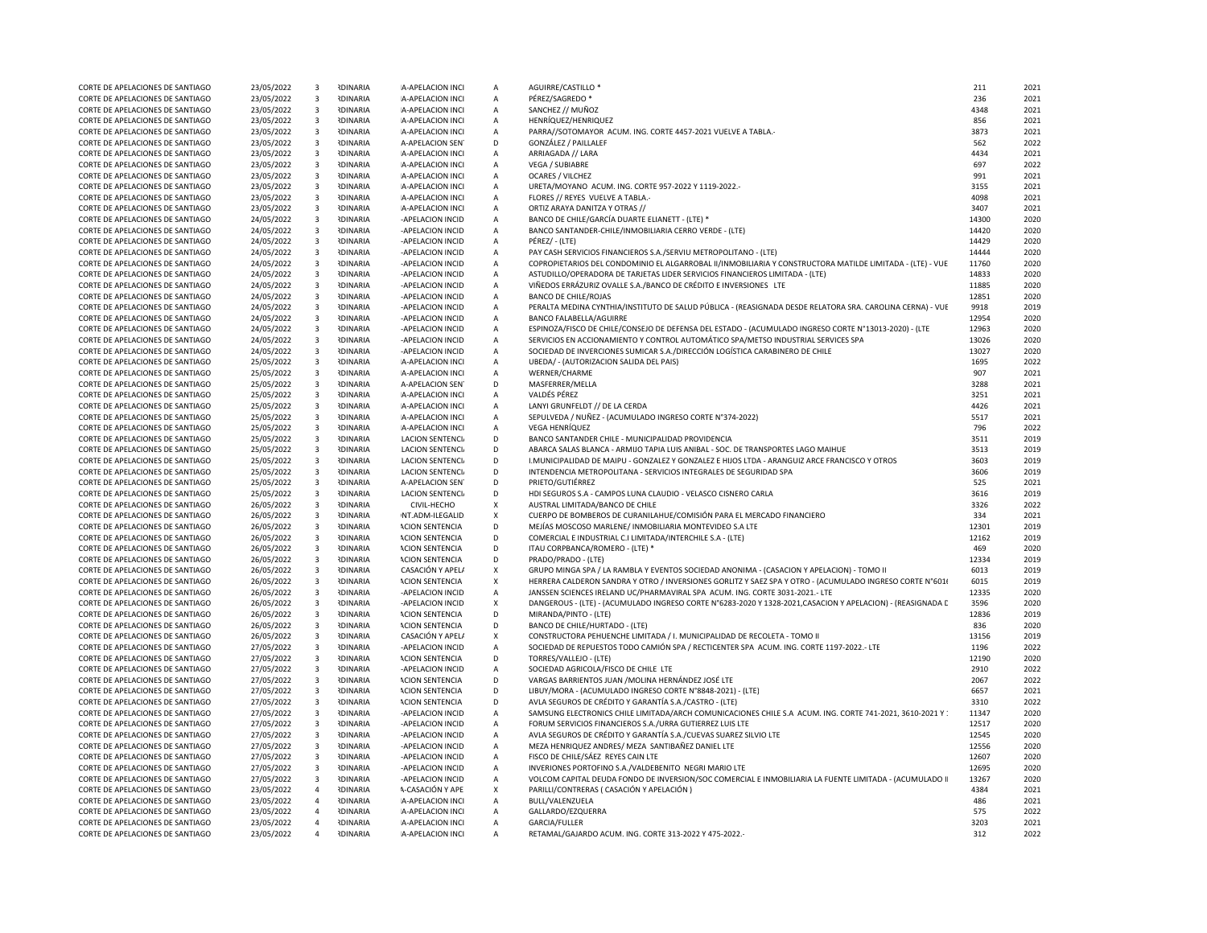| CORTE DE APELACIONES DE SANTIAGO                                     | 23/05/2022 | $\overline{\mathbf{3}}$ | <b>RDINARIA</b> | A-APELACION INCI        | $\overline{A}$            | AGUIRRE/CASTILLO                                                                                            | 211   | 2021 |
|----------------------------------------------------------------------|------------|-------------------------|-----------------|-------------------------|---------------------------|-------------------------------------------------------------------------------------------------------------|-------|------|
| CORTE DE APELACIONES DE SANTIAGO                                     | 23/05/2022 | $\overline{\mathbf{3}}$ | <b>IDINARIA</b> | A-APELACION INCI        | $\overline{A}$            | PÉREZ/SAGREDO *                                                                                             | 236   | 2021 |
| CORTE DE APELACIONES DE SANTIAGO                                     | 23/05/2022 | $\overline{\mathbf{3}}$ | <b>RDINARIA</b> | A-APELACION INCI        | $\mathsf{A}$              | SANCHEZ // MUÑOZ                                                                                            | 4348  | 2021 |
| CORTE DE APELACIONES DE SANTIAGO                                     | 23/05/2022 | $\overline{\mathbf{3}}$ | <b>IDINARIA</b> | A-APELACION INCI        | $\mathsf{A}$              | HENRÍQUEZ/HENRIQUEZ                                                                                         | 856   | 2021 |
| CORTE DE APELACIONES DE SANTIAGO                                     | 23/05/2022 | $\overline{\mathbf{3}}$ | <b>IDINARIA</b> | A-APELACION INCI        | $\mathsf{A}$              | PARRA//SOTOMAYOR ACUM. ING. CORTE 4457-2021 VUELVE A TABLA.                                                 | 3873  | 2021 |
| CORTE DE APELACIONES DE SANTIAGO                                     | 23/05/2022 | $\overline{\mathbf{3}}$ | <b>IDINARIA</b> | A-APELACION SEN         | D                         | GONZÁLEZ / PAILLALEF                                                                                        | 562   | 2022 |
| CORTE DE APELACIONES DE SANTIAGO                                     | 23/05/2022 | $\overline{\mathbf{3}}$ | <b>RDINARIA</b> | A-APELACION INCI        | Α                         | ARRIAGADA // LARA                                                                                           | 4434  | 2021 |
| CORTE DE APELACIONES DE SANTIAGO                                     | 23/05/2022 | $\overline{\mathbf{3}}$ | <b>RDINARIA</b> | A-APELACION INCI        | $\mathsf{A}$              | VEGA / SUBIABRE                                                                                             | 697   | 2022 |
| CORTE DE APELACIONES DE SANTIAGO                                     | 23/05/2022 | $\overline{\mathbf{3}}$ | <b>NDINARIA</b> | A-APELACION INCI        | $\mathsf{A}$              | <b>OCARES / VILCHEZ</b>                                                                                     | 991   | 2021 |
| CORTE DE APELACIONES DE SANTIAGO                                     | 23/05/2022 | $\overline{\mathbf{3}}$ | <b>IDINARIA</b> | A-APELACION INCI        | $\mathsf{A}$              | URETA/MOYANO ACUM. ING. CORTE 957-2022 Y 1119-2022.-                                                        | 3155  | 2021 |
| CORTE DE APELACIONES DE SANTIAGO                                     | 23/05/2022 | $\overline{\mathbf{3}}$ | <b>IDINARIA</b> | A-APELACION INCI        | $\mathsf{A}$              | FLORES // REYES VUELVE A TABLA.-                                                                            | 4098  | 2021 |
| CORTE DE APELACIONES DE SANTIAGO                                     | 23/05/2022 | $\overline{\mathbf{3}}$ | <b>IDINARIA</b> | A-APELACION INCI        | $\mathsf{A}$              | ORTIZ ARAYA DANITZA Y OTRAS //                                                                              | 3407  | 2021 |
| CORTE DE APELACIONES DE SANTIAGO                                     | 24/05/2022 | $\overline{\mathbf{3}}$ | <b>RDINARIA</b> | -APELACION INCID        | Α                         | BANCO DE CHILE/GARCÍA DUARTE ELIANETT - (LTE) *                                                             | 14300 | 2020 |
| CORTE DE APELACIONES DE SANTIAGO                                     | 24/05/2022 | $\overline{\mathbf{3}}$ | <b>IDINARIA</b> | -APELACION INCID        | $\mathsf{A}$              | BANCO SANTANDER-CHILE/INMOBILIARIA CERRO VERDE - (LTE)                                                      | 14420 | 2020 |
| CORTE DE APELACIONES DE SANTIAGO                                     | 24/05/2022 | $\overline{\mathbf{3}}$ | <b>RDINARIA</b> | -APELACION INCID        | $\mathsf{A}$              | PÉREZ/ - (LTE)                                                                                              | 14429 | 2020 |
| CORTE DE APELACIONES DE SANTIAGO                                     | 24/05/2022 | $\overline{\mathbf{3}}$ | <b>IDINARIA</b> | -APELACION INCID        | $\mathsf{A}$              | PAY CASH SERVICIOS FINANCIEROS S.A./SERVIU METROPOLITANO - (LTE)                                            | 14444 | 2020 |
| CORTE DE APELACIONES DE SANTIAGO                                     | 24/05/2022 | $\overline{\mathbf{3}}$ | <b>RDINARIA</b> | -APELACION INCID        | $\mathsf{A}$              | COPROPIETARIOS DEL CONDOMINIO EL ALGARROBAL II/INMOBILIARIA Y CONSTRUCTORA MATILDE LIMITADA - (LTE) - VUE   | 11760 | 2020 |
| CORTE DE APELACIONES DE SANTIAGO                                     | 24/05/2022 | $\overline{3}$          | <b>NDINARIA</b> | -APELACION INCID        | $\mathsf{A}$              | ASTUDILLO/OPERADORA DE TARJETAS LIDER SERVICIOS FINANCIEROS LIMITADA - (LTE)                                | 14833 | 2020 |
| CORTE DE APELACIONES DE SANTIAGO                                     | 24/05/2022 | $\overline{\mathbf{3}}$ | <b>IDINARIA</b> | -APELACION INCID        | А                         | VIÑEDOS ERRÁZURIZ OVALLE S.A./BANCO DE CRÉDITO E INVERSIONES LTE                                            | 11885 | 2020 |
| CORTE DE APELACIONES DE SANTIAGO                                     | 24/05/2022 | $\overline{\mathbf{3}}$ | <b>IDINARIA</b> | -APELACION INCID        | $\mathsf{A}$              | <b>BANCO DE CHILE/ROJAS</b>                                                                                 | 12851 | 2020 |
| CORTE DE APELACIONES DE SANTIAGO                                     | 24/05/2022 | $\overline{\mathbf{3}}$ | <b>IDINARIA</b> | -APELACION INCID        | $\mathsf{A}$              | PERALTA MEDINA CYNTHIA/INSTITUTO DE SALUD PÚBLICA - (REASIGNADA DESDE RELATORA SRA. CAROLINA CERNA) - VUE   | 9918  | 2019 |
| CORTE DE APELACIONES DE SANTIAGO                                     | 24/05/2022 | $\overline{\mathbf{3}}$ | <b>IDINARIA</b> | -APELACION INCID        | Α                         | <b>BANCO FALABELLA/AGUIRRE</b>                                                                              | 12954 | 2020 |
| CORTE DE APELACIONES DE SANTIAGO                                     | 24/05/2022 | $\overline{\mathbf{3}}$ | <b>IDINARIA</b> | -APELACION INCID        | $\mathsf{A}$              | ESPINOZA/FISCO DE CHILE/CONSEJO DE DEFENSA DEL ESTADO - (ACUMULADO INGRESO CORTE Nº13013-2020) - (LTE       | 12963 | 2020 |
| CORTE DE APELACIONES DE SANTIAGO                                     | 24/05/2022 | $\overline{3}$          | <b>IDINARIA</b> | -APELACION INCID        | $\mathsf{A}$              | SERVICIOS EN ACCIONAMIENTO Y CONTROL AUTOMÁTICO SPA/METSO INDUSTRIAL SERVICES SPA                           | 13026 | 2020 |
| CORTE DE APELACIONES DE SANTIAGO                                     | 24/05/2022 | $\overline{\mathbf{3}}$ | <b>RDINARIA</b> | -APELACION INCID        | Α                         | SOCIEDAD DE INVERCIONES SUMICAR S.A./DIRECCIÓN LOGÍSTICA CARABINERO DE CHILE                                | 13027 | 2020 |
| CORTE DE APELACIONES DE SANTIAGO                                     | 25/05/2022 | $\overline{3}$          | <b>RDINARIA</b> | A-APELACION INCI        | $\mathsf{A}$              | UBEDA/ - (AUTORIZACION SALIDA DEL PAIS)                                                                     | 1695  | 2022 |
| CORTE DE APELACIONES DE SANTIAGO                                     | 25/05/2022 | $\overline{\mathbf{3}}$ | <b>NDINARIA</b> | A-APELACION INCI        | $\mathsf{A}$              | WERNER/CHARME                                                                                               | 907   | 2021 |
| CORTE DE APELACIONES DE SANTIAGO                                     | 25/05/2022 | $\overline{\mathbf{3}}$ | <b>IDINARIA</b> | A-APELACION SEN         | D                         | MASFERRER/MELLA                                                                                             | 3288  | 2021 |
| CORTE DE APELACIONES DE SANTIAGO                                     | 25/05/2022 | $\overline{\mathbf{3}}$ | <b>RDINARIA</b> | A-APELACION INCI        | $\mathsf{A}$              | VALDÉS PÉREZ                                                                                                | 3251  | 2021 |
| CORTE DE APELACIONES DE SANTIAGO                                     | 25/05/2022 | $\overline{\mathbf{3}}$ | <b>RDINARIA</b> | A-APELACION INCI        | $\mathsf{A}$              | LANYI GRUNFELDT // DE LA CERDA                                                                              | 4426  | 2021 |
| CORTE DE APELACIONES DE SANTIAGO                                     | 25/05/2022 | $\overline{\mathbf{3}}$ | <b>RDINARIA</b> | A-APELACION INCI        | A                         | SEPULVEDA / NUÑEZ - (ACUMULADO INGRESO CORTE Nº374-2022)                                                    | 5517  | 2021 |
| CORTE DE APELACIONES DE SANTIAGO                                     | 25/05/2022 | $\overline{\mathbf{3}}$ | <b>RDINARIA</b> | A-APELACION INCI        | $\mathsf{A}$              | VEGA HENRÍQUEZ                                                                                              | 796   | 2022 |
| CORTE DE APELACIONES DE SANTIAGO                                     | 25/05/2022 | $\overline{\mathbf{3}}$ | <b>IDINARIA</b> | LACION SENTENCI.        | D                         | BANCO SANTANDER CHILE - MUNICIPALIDAD PROVIDENCIA                                                           | 3511  | 2019 |
| CORTE DE APELACIONES DE SANTIAGO                                     | 25/05/2022 | $\overline{\mathbf{3}}$ | <b>IDINARIA</b> | <b>LACION SENTENCI</b>  | D                         | ABARCA SALAS BLANCA - ARMIJO TAPIA LUIS ANIBAL - SOC. DE TRANSPORTES LAGO MAIHUE                            | 3513  | 2019 |
| CORTE DE APELACIONES DE SANTIAGO                                     | 25/05/2022 | $\overline{\mathbf{3}}$ | <b>RDINARIA</b> | LACION SENTENCI.        | D                         | I.MUNICIPALIDAD DE MAIPU - GONZALEZ Y GONZALEZ E HIJOS LTDA - ARANGUIZ ARCE FRANCISCO Y OTROS               | 3603  | 2019 |
| CORTE DE APELACIONES DE SANTIAGO                                     | 25/05/2022 | $\overline{3}$          | <b>NDINARIA</b> | <b>LACION SENTENCL</b>  | D                         | INTENDENCIA METROPOLITANA - SERVICIOS INTEGRALES DE SEGURIDAD SPA                                           | 3606  | 2019 |
| CORTE DE APELACIONES DE SANTIAGO                                     | 25/05/2022 | $\overline{3}$          | <b>RDINARIA</b> | A-APELACION SEN         | D                         | PRIETO/GUTIÉRREZ                                                                                            | 525   | 2021 |
| CORTE DE APELACIONES DE SANTIAGO                                     | 25/05/2022 | $\overline{\mathbf{3}}$ | <b>RDINARIA</b> | <b>LACION SENTENCIA</b> | D                         | HDI SEGUROS S.A - CAMPOS LUNA CLAUDIO - VELASCO CISNERO CARLA                                               | 3616  | 2019 |
| CORTE DE APELACIONES DE SANTIAGO                                     | 26/05/2022 | $\overline{3}$          | <b>RDINARIA</b> | CIVIL-HECHO             | $\boldsymbol{\mathsf{x}}$ | AUSTRAL LIMITADA/BANCO DE CHILE                                                                             | 3326  | 2022 |
| CORTE DE APELACIONES DE SANTIAGO                                     | 26/05/2022 | 3                       | <b>RDINARIA</b> | NT.ADM-ILEGALID         | X                         | CUERPO DE BOMBEROS DE CURANILAHUE/COMISIÓN PARA EL MERCADO FINANCIERO                                       | 334   | 2021 |
| CORTE DE APELACIONES DE SANTIAGO                                     | 26/05/2022 | $\overline{\mathbf{3}}$ | <b>IDINARIA</b> | <b>ACION SENTENCIA</b>  | D                         | MEJÍAS MOSCOSO MARLENE/ INMOBILIARIA MONTEVIDEO S.A LTE                                                     | 12301 | 2019 |
| CORTE DE APELACIONES DE SANTIAGO                                     | 26/05/2022 | $\overline{\mathbf{3}}$ | <b>IDINARIA</b> | <b>ACION SENTENCIA</b>  | D                         | COMERCIAL E INDUSTRIAL C.I LIMITADA/INTERCHILE S.A - (LTE)                                                  | 12162 | 2019 |
| CORTE DE APELACIONES DE SANTIAGO                                     | 26/05/2022 | $\overline{\mathbf{3}}$ | <b>IDINARIA</b> | <b>ACION SENTENCIA</b>  | D                         | ITAU CORPBANCA/ROMERO - (LTE) *                                                                             | 469   | 2020 |
| CORTE DE APELACIONES DE SANTIAGO                                     | 26/05/2022 | $\overline{\mathbf{3}}$ | <b>RDINARIA</b> | <b>ACION SENTENCIA</b>  | D                         | PRADO/PRADO - (LTE)                                                                                         | 12334 | 2019 |
| CORTE DE APELACIONES DE SANTIAGO                                     | 26/05/2022 | $\overline{3}$          | <b>NDINARIA</b> | CASACIÓN Y APEL/        | $\mathsf{x}$              | GRUPO MINGA SPA / LA RAMBLA Y EVENTOS SOCIEDAD ANONIMA - (CASACION Y APELACION) - TOMO II                   | 6013  | 2019 |
| CORTE DE APELACIONES DE SANTIAGO                                     | 26/05/2022 | $\overline{\mathbf{3}}$ | <b>IDINARIA</b> | <b>ACION SENTENCIA</b>  | X                         | HERRERA CALDERON SANDRA Y OTRO / INVERSIONES GORLITZ Y SAEZ SPA Y OTRO - (ACUMULADO INGRESO CORTE N°601(    | 6015  | 2019 |
| CORTE DE APELACIONES DE SANTIAGO                                     | 26/05/2022 | $\overline{\mathbf{3}}$ | <b>IDINARIA</b> | -APELACION INCID        | $\mathsf{A}$              | JANSSEN SCIENCES IRELAND UC/PHARMAVIRAL SPA ACUM. ING. CORTE 3031-2021.- LTE                                | 12335 | 2020 |
| CORTE DE APELACIONES DE SANTIAGO                                     | 26/05/2022 | $\overline{\mathbf{3}}$ | <b>IDINARIA</b> | -APELACION INCID        | $\boldsymbol{\mathsf{x}}$ | DANGEROUS - (LTE) - (ACUMULADO INGRESO CORTE N°6283-2020 Y 1328-2021, CASACION Y APELACION) - (REASIGNADA E | 3596  | 2020 |
| CORTE DE APELACIONES DE SANTIAGO                                     | 26/05/2022 | $\overline{\mathbf{3}}$ | <b>RDINARIA</b> | <b>ACION SENTENCIA</b>  | D                         | MIRANDA/PINTO - (LTE)                                                                                       | 12836 | 2019 |
| CORTE DE APELACIONES DE SANTIAGO                                     | 26/05/2022 | $\overline{\mathbf{3}}$ | <b>IDINARIA</b> | <b>ACION SENTENCIA</b>  | D                         | BANCO DE CHILE/HURTADO - (LTE)                                                                              | 836   | 2020 |
| CORTE DE APELACIONES DE SANTIAGO                                     | 26/05/2022 | $\overline{\mathbf{3}}$ | <b>IDINARIA</b> | CASACIÓN Y APEL/        | $\boldsymbol{\mathsf{X}}$ | CONSTRUCTORA PEHUENCHE LIMITADA / I. MUNICIPALIDAD DE RECOLETA - TOMO II                                    | 13156 | 2019 |
| CORTE DE APELACIONES DE SANTIAGO                                     | 27/05/2022 | $\overline{\mathbf{3}}$ | <b>IDINARIA</b> | -APELACION INCID        | A                         | SOCIEDAD DE REPUESTOS TODO CAMIÓN SPA / RECTICENTER SPA ACUM. ING. CORTE 1197-2022.- LTE                    | 1196  | 2022 |
| CORTE DE APELACIONES DE SANTIAGO                                     | 27/05/2022 | $\overline{\mathbf{3}}$ | <b>NDINARIA</b> | <b>ACION SENTENCIA</b>  | D                         | TORRES/VALLEJO - (LTE)                                                                                      | 12190 | 2020 |
| CORTE DE APELACIONES DE SANTIAGO                                     | 27/05/2022 | $\overline{3}$          | <b>NDINARIA</b> | -APELACION INCID        | $\overline{A}$            | SOCIEDAD AGRICOLA/FISCO DE CHILE LTE                                                                        | 2910  | 2022 |
| CORTE DE APELACIONES DE SANTIAGO                                     | 27/05/2022 | $\overline{\mathbf{3}}$ | <b>IDINARIA</b> | <b>ACION SENTENCIA</b>  | D                         | VARGAS BARRIENTOS JUAN / MOLINA HERNÁNDEZ JOSÉ LTE                                                          | 2067  | 2022 |
| CORTE DE APELACIONES DE SANTIAGO                                     | 27/05/2022 | $\overline{\mathbf{3}}$ | <b>IDINARIA</b> | <b>ACION SENTENCIA</b>  | D                         | LIBUY/MORA - (ACUMULADO INGRESO CORTE N°8848-2021) - (LTE)                                                  | 6657  | 2021 |
| CORTE DE APELACIONES DE SANTIAGO                                     | 27/05/2022 | $\overline{\mathbf{3}}$ | <b>IDINARIA</b> | <b>ACION SENTENCIA</b>  | D                         | AVLA SEGUROS DE CRÉDITO Y GARANTÍA S.A./CASTRO - (LTE)                                                      | 3310  | 2022 |
| CORTE DE APELACIONES DE SANTIAGO                                     | 27/05/2022 | $\overline{\mathbf{3}}$ | <b>IDINARIA</b> | -APELACION INCID        | $\mathsf{A}$              | SAMSUNG ELECTRONICS CHILE LIMITADA/ARCH COMUNICACIONES CHILE S.A ACUM. ING. CORTE 741-2021, 3610-2021 Y :   | 11347 | 2020 |
| CORTE DE APELACIONES DE SANTIAGO                                     | 27/05/2022 | $\overline{\mathbf{3}}$ | <b>IDINARIA</b> | -APELACION INCID        | $\mathsf{A}$              | FORUM SERVICIOS FINANCIEROS S.A./URRA GUTIERREZ LUIS LTE                                                    | 12517 | 2020 |
| CORTE DE APELACIONES DE SANTIAGO                                     | 27/05/2022 | $\overline{\mathbf{3}}$ | <b>IDINARIA</b> | -APELACION INCID        | $\mathsf{A}$              | AVLA SEGUROS DE CRÉDITO Y GARANTÍA S.A./CUEVAS SUAREZ SILVIO LTE                                            | 12545 | 2020 |
| CORTE DE APELACIONES DE SANTIAGO                                     | 27/05/2022 | $\overline{\mathbf{3}}$ | <b>RDINARIA</b> | -APELACION INCID        | Α                         | MEZA HENRIQUEZ ANDRES/ MEZA SANTIBAÑEZ DANIEL LTE                                                           | 12556 | 2020 |
| CORTE DE APELACIONES DE SANTIAGO                                     | 27/05/2022 | $\overline{\mathbf{3}}$ | <b>RDINARIA</b> | -APELACION INCID        | A                         | FISCO DE CHILE/SÁEZ REYES CAIN LTE                                                                          | 12607 | 2020 |
| CORTE DE APELACIONES DE SANTIAGO                                     | 27/05/2022 | $\overline{\mathbf{3}}$ | <b>IDINARIA</b> | -APELACION INCID        | $\mathsf{A}$              | INVERIONES PORTOFINO S.A./VALDEBENITO NEGRI MARIO LTE                                                       | 12695 | 2020 |
| CORTE DE APELACIONES DE SANTIAGO                                     | 27/05/2022 | $\overline{\mathbf{3}}$ | <b>IDINARIA</b> | -APELACION INCID        | $\mathsf{A}$              | VOLCOM CAPITAL DEUDA FONDO DE INVERSION/SOC COMERCIAL E INMOBILIARIA LA FUENTE LIMITADA - (ACUMULADO I      | 13267 | 2020 |
| CORTE DE APELACIONES DE SANTIAGO                                     | 23/05/2022 | $\overline{4}$          | <b>IDINARIA</b> | A-CASACIÓN Y APE        | $\boldsymbol{\mathsf{x}}$ | PARILLI/CONTRERAS ( CASACIÓN Y APELACIÓN )                                                                  | 4384  | 2021 |
| CORTE DE APELACIONES DE SANTIAGO                                     | 23/05/2022 | $\overline{4}$          | <b>IDINARIA</b> | A-APELACION INCI        | $\mathsf{A}$              | BULL/VALENZUELA                                                                                             | 486   | 2021 |
| CORTE DE APELACIONES DE SANTIAGO                                     | 23/05/2022 | $\overline{4}$          | <b>IDINARIA</b> | A-APELACION INCI        | $\overline{A}$            | GALLARDO/EZQUERRA                                                                                           | 575   | 2022 |
| CORTE DE APELACIONES DE SANTIAGO<br>CORTE DE APELACIONES DE SANTIAGO | 23/05/2022 | $\overline{4}$          | <b>IDINARIA</b> | A-APELACION INCI        | Α                         | GARCIA/FULLER                                                                                               | 3203  | 2021 |
|                                                                      | 23/05/2022 | $\overline{4}$          | <b>IDINARIA</b> | A-APELACION INCI        | А                         | RETAMAL/GAJARDO ACUM. ING. CORTE 313-2022 Y 475-2022.                                                       | 312   | 2022 |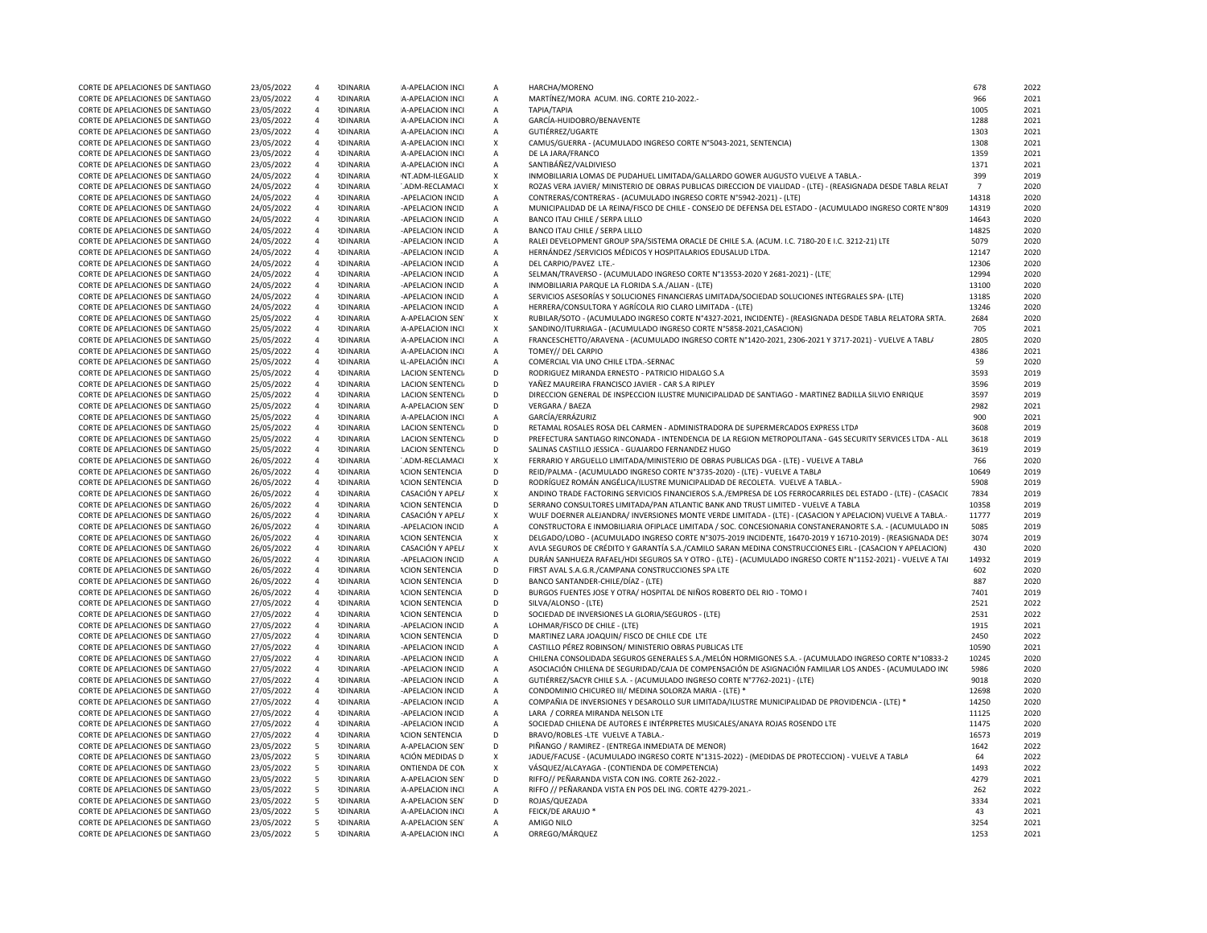| CORTE DE APELACIONES DE SANTIAGO | 23/05/2022 | $\overline{a}$ | <b>RDINARIA</b> | A-APELACION INCI         | Α              | HARCHA/MORENO                                                                                                 | 678            | 2022 |
|----------------------------------|------------|----------------|-----------------|--------------------------|----------------|---------------------------------------------------------------------------------------------------------------|----------------|------|
| CORTE DE APELACIONES DE SANTIAGO | 23/05/2022 | $\overline{4}$ | <b>IDINARIA</b> | A-APELACION INCI         | Α              | MARTÍNEZ/MORA ACUM. ING. CORTE 210-2022.-                                                                     | 966            | 2021 |
| CORTE DE APELACIONES DE SANTIAGO | 23/05/2022 | $\overline{4}$ | <b>IDINARIA</b> | A-APELACION INCI         | $\overline{A}$ | ΤΑΡΙΑ/ΤΑΡΙΑ                                                                                                   | 1005           | 2021 |
| CORTE DE APELACIONES DE SANTIAGO | 23/05/2022 | $\overline{4}$ | <b>IDINARIA</b> | A-APELACION INCI         | Α              | GARCÍA-HUIDOBRO/BENAVENTE                                                                                     | 1288           | 2021 |
| CORTE DE APELACIONES DE SANTIAGO | 23/05/2022 | $\overline{4}$ | <b>IDINARIA</b> | A-APELACION INCI         | Α              | GUTIÉRREZ/UGARTE                                                                                              | 1303           | 2021 |
| CORTE DE APELACIONES DE SANTIAGO | 23/05/2022 | $\overline{4}$ | <b>IDINARIA</b> | A-APELACION INCI         | X              | CAMUS/GUERRA - (ACUMULADO INGRESO CORTE Nº5043-2021, SENTENCIA)                                               | 1308           | 2021 |
| CORTE DE APELACIONES DE SANTIAGO | 23/05/2022 | $\overline{4}$ | <b>NDINARIA</b> | A-APELACION INCI         | $\mathsf A$    | DE LA JARA/FRANCO                                                                                             | 1359           | 2021 |
| CORTE DE APELACIONES DE SANTIAGO | 23/05/2022 | $\overline{4}$ | <b>IDINARIA</b> | A-APELACION INCI         | А              | SANTIBÁÑEZ/VALDIVIESO                                                                                         | 1371           | 2021 |
| CORTE DE APELACIONES DE SANTIAGO | 24/05/2022 | $\overline{4}$ | <b>NDINARIA</b> | NT.ADM-ILEGALID          | $\mathsf{x}$   | INMOBILIARIA LOMAS DE PUDAHUEL LIMITADA/GALLARDO GOWER AUGUSTO VUELVE A TABLA.-                               | 399            | 2019 |
|                                  |            | $\overline{4}$ | <b>IDINARIA</b> | ".ADM-RECLAMACI          | $\pmb{\chi}$   | ROZAS VERA JAVIER/ MINISTERIO DE OBRAS PUBLICAS DIRECCION DE VIALIDAD - (LTE) - (REASIGNADA DESDE TABLA RELAT | $\overline{7}$ | 2020 |
| CORTE DE APELACIONES DE SANTIAGO | 24/05/2022 |                |                 |                          |                |                                                                                                               |                |      |
| CORTE DE APELACIONES DE SANTIAGO | 24/05/2022 | $\overline{4}$ | <b>IDINARIA</b> | -APELACION INCID         | A              | CONTRERAS/CONTRERAS - (ACUMULADO INGRESO CORTE N°5942-2021) - (LTE)                                           | 14318          | 2020 |
| CORTE DE APELACIONES DE SANTIAGO | 24/05/2022 | $\overline{4}$ | <b>IDINARIA</b> | -APELACION INCID         | $\overline{A}$ | MUNICIPALIDAD DE LA REINA/FISCO DE CHILE - CONSEJO DE DEFENSA DEL ESTADO - (ACUMULADO INGRESO CORTE N°809     | 14319          | 2020 |
| CORTE DE APELACIONES DE SANTIAGO | 24/05/2022 | $\overline{4}$ | <b>IDINARIA</b> | -APELACION INCID         | $\mathsf A$    | BANCO ITAU CHILE / SERPA LILLO                                                                                | 14643          | 2020 |
| CORTE DE APELACIONES DE SANTIAGO | 24/05/2022 | $\overline{4}$ | <b>IDINARIA</b> | -APELACION INCID         | $\mathsf A$    | BANCO ITAU CHILE / SERPA LILLO                                                                                | 14825          | 2020 |
| CORTE DE APELACIONES DE SANTIAGO | 24/05/2022 | $\overline{4}$ | <b>NDINARIA</b> | -APFLACION INCID         | $\overline{A}$ | RALEI DEVELOPMENT GROUP SPA/SISTEMA ORACLE DE CHILE S.A. (ACUM. I.C. 7180-20 E I.C. 3212-21) LTE              | 5079           | 2020 |
| CORTE DE APELACIONES DE SANTIAGO | 24/05/2022 | $\overline{4}$ | <b>IDINARIA</b> | -APELACION INCID         | A              | HERNÁNDEZ / SERVICIOS MÉDICOS Y HOSPITALARIOS EDUSALUD LTDA.                                                  | 12147          | 2020 |
| CORTE DE APELACIONES DE SANTIAGO | 24/05/2022 | $\overline{4}$ | <b>IDINARIA</b> | -APELACION INCID         | $\overline{A}$ | DEL CARPIO/PAVEZ LTE .-                                                                                       | 12306          | 2020 |
| CORTE DE APELACIONES DE SANTIAGO | 24/05/2022 | $\overline{4}$ | <b>IDINARIA</b> | -APELACION INCID         | $\overline{A}$ | SELMAN/TRAVERSO - (ACUMULADO INGRESO CORTE Nº13553-2020 Y 2681-2021) - (LTE                                   | 12994          | 2020 |
| CORTE DE APELACIONES DE SANTIAGO | 24/05/2022 | $\overline{4}$ | <b>IDINARIA</b> | -APELACION INCID         | A              | INMOBILIARIA PARQUE LA FLORIDA S.A./ALIAN - (LTE)                                                             | 13100          | 2020 |
| CORTE DE APELACIONES DE SANTIAGO | 24/05/2022 | $\overline{4}$ | <b>IDINARIA</b> | -APELACION INCID         | A              | SERVICIOS ASESORÍAS Y SOLUCIONES FINANCIERAS LIMITADA/SOCIEDAD SOLUCIONES INTEGRALES SPA- (LTE)               | 13185          | 2020 |
| CORTE DE APELACIONES DE SANTIAGO | 24/05/2022 | $\overline{4}$ | <b>IDINARIA</b> | -APELACION INCID         | A              | HERRERA/CONSULTORA Y AGRÍCOLA RIO CLARO LIMITADA - (LTE)                                                      | 13246          | 2020 |
| CORTE DE APELACIONES DE SANTIAGO | 25/05/2022 | $\overline{4}$ | <b>IDINARIA</b> | A-APELACION SEN          | $\mathsf X$    | RUBILAR/SOTO - (ACUMULADO INGRESO CORTE Nº4327-2021, INCIDENTE) - (REASIGNADA DESDE TABLA RELATORA SRTA.      | 2684           | 2020 |
| CORTE DE APELACIONES DE SANTIAGO | 25/05/2022 | $\overline{4}$ | <b>NDINARIA</b> | A-APELACION INCI         | $\mathsf{x}$   | SANDINO/ITURRIAGA - (ACUMULADO INGRESO CORTE N°5858-2021, CASACION)                                           | 705            | 2021 |
| CORTE DE APELACIONES DE SANTIAGO | 25/05/2022 | $\overline{4}$ | <b>NDINARIA</b> | A-APELACION INCI         | $\overline{A}$ | FRANCESCHETTO/ARAVENA - (ACUMULADO INGRESO CORTE Nº1420-2021, 2306-2021 Y 3717-2021) - VUELVE A TABL/         | 2805           | 2020 |
| CORTE DE APELACIONES DE SANTIAGO | 25/05/2022 | $\overline{4}$ | <b>IDINARIA</b> | A-APELACION INCI         | A              | TOMEY// DEL CARPIO                                                                                            | 4386           | 2021 |
| CORTE DE APELACIONES DE SANTIAGO | 25/05/2022 | $\overline{4}$ | <b>IDINARIA</b> | <b>IL-APELACIÓN INCI</b> | A              | COMERCIAL VIA UNO CHILE LTDA.-SERNAC                                                                          | 59             | 2020 |
| CORTE DE APELACIONES DE SANTIAGO | 25/05/2022 | $\overline{4}$ | <b>IDINARIA</b> | <b>LACION SENTENCIA</b>  | D              | RODRIGUEZ MIRANDA ERNESTO - PATRICIO HIDALGO S.A                                                              | 3593           | 2019 |
| CORTE DE APELACIONES DE SANTIAGO | 25/05/2022 | $\overline{4}$ | <b>IDINARIA</b> | <b>LACION SENTENCI</b>   | D              | YAÑEZ MAUREIRA FRANCISCO JAVIER - CAR S.A RIPLEY                                                              | 3596           | 2019 |
| CORTE DE APELACIONES DE SANTIAGO | 25/05/2022 | $\overline{4}$ | <b>IDINARIA</b> | <b>LACION SENTENCIA</b>  | D              | DIRECCION GENERAL DE INSPECCION ILUSTRE MUNICIPALIDAD DE SANTIAGO - MARTINEZ BADILLA SILVIO ENRIQUE           | 3597           | 2019 |
| CORTE DE APELACIONES DE SANTIAGO | 25/05/2022 | $\overline{4}$ | <b>IDINARIA</b> | <b>A-APELACION SEN</b>   | D              | VERGARA / BAEZA                                                                                               | 2982           | 2021 |
|                                  |            | $\overline{4}$ | <b>NDINARIA</b> |                          | $\mathsf A$    | GARCÍA/ERRÁZURIZ                                                                                              | 900            |      |
| CORTE DE APELACIONES DE SANTIAGO | 25/05/2022 |                |                 | A-APELACION INCI         | D              |                                                                                                               |                | 2021 |
| CORTE DE APELACIONES DE SANTIAGO | 25/05/2022 | $\overline{4}$ | <b>IDINARIA</b> | <b>LACION SENTENCIA</b>  |                | RETAMAL ROSALES ROSA DEL CARMEN - ADMINISTRADORA DE SUPERMERCADOS EXPRESS LTDA                                | 3608           | 2019 |
| CORTE DE APELACIONES DE SANTIAGO | 25/05/2022 | $\overline{4}$ | <b>IDINARIA</b> | <b>LACION SENTENCIA</b>  | D              | PREFECTURA SANTIAGO RINCONADA - INTENDENCIA DE LA REGION METROPOLITANA - G4S SECURITY SERVICES LTDA - ALL     | 3618           | 2019 |
| CORTE DE APELACIONES DE SANTIAGO | 25/05/2022 | $\overline{4}$ | <b>IDINARIA</b> | <b>LACION SENTENCIA</b>  | D              | SALINAS CASTILLO JESSICA - GUAJARDO FERNANDEZ HUGO                                                            | 3619           | 2019 |
| CORTE DE APELACIONES DE SANTIAGO | 26/05/2022 | $\overline{4}$ | <b>IDINARIA</b> | '.ADM-RECLAMACI          | X              | FERRARIO Y ARGUELLO LIMITADA/MINISTERIO DE OBRAS PUBLICAS DGA - (LTE) - VUELVE A TABLA                        | 766            | 2020 |
| CORTE DE APELACIONES DE SANTIAGO | 26/05/2022 | $\overline{4}$ | <b>IDINARIA</b> | <b>ACION SENTENCIA</b>   | D              | REID/PALMA - (ACUMULADO INGRESO CORTE Nº3735-2020) - (LTE) - VUELVE A TABLA                                   | 10649          | 2019 |
| CORTE DE APELACIONES DE SANTIAGO | 26/05/2022 | $\overline{4}$ | <b>IDINARIA</b> | <b>ACION SENTENCIA</b>   | D              | RODRÍGUEZ ROMÁN ANGÉLICA/ILUSTRE MUNICIPALIDAD DE RECOLETA. VUELVE A TABLA.-                                  | 5908           | 2019 |
| CORTE DE APELACIONES DE SANTIAGO | 26/05/2022 | $\overline{4}$ | <b>IDINARIA</b> | CASACIÓN Y APEL/         | $\pmb{\chi}$   | ANDINO TRADE FACTORING SERVICIOS FINANCIEROS S.A./EMPRESA DE LOS FERROCARRILES DEL ESTADO - (LTE) - (CASACIC  | 7834           | 2019 |
| CORTE DE APELACIONES DE SANTIAGO | 26/05/2022 | $\overline{4}$ | <b>IDINARIA</b> | <b>ACION SENTENCIA</b>   | D              | SERRANO CONSULTORES LIMITADA/PAN ATLANTIC BANK AND TRUST LIMITED - VUELVE A TABLA                             | 10358          | 2019 |
| CORTE DE APELACIONES DE SANTIAGO | 26/05/2022 | $\overline{4}$ | <b>NDINARIA</b> | CASACIÓN Y APELA         | $\pmb{\chi}$   | WULF DOERNER ALEJANDRA/ INVERSIONES MONTE VERDE LIMITADA - (LTE) - (CASACION Y APELACION) VUELVE A TABLA.     | 11777          | 2019 |
| CORTE DE APELACIONES DE SANTIAGO | 26/05/2022 | $\overline{4}$ | <b>IDINARIA</b> | -APELACION INCID         | A              | CONSTRUCTORA E INMOBILIARIA OFIPLACE LIMITADA / SOC. CONCESIONARIA CONSTANERANORTE S.A. - (ACUMULADO IN       | 5085           | 2019 |
| CORTE DE APELACIONES DE SANTIAGO | 26/05/2022 | $\overline{4}$ | <b>IDINARIA</b> | <b>ACION SENTENCIA</b>   | X              | DELGADO/LOBO - (ACUMULADO INGRESO CORTE Nº3075-2019 INCIDENTE, 16470-2019 Y 16710-2019) - (REASIGNADA DES     | 3074           | 2019 |
| CORTE DE APELACIONES DE SANTIAGO | 26/05/2022 | $\overline{4}$ | <b>NDINARIA</b> | CASACIÓN Y APEL/         | X              | AVLA SEGUROS DE CRÉDITO Y GARANTÍA S.A./CAMILO SARAN MEDINA CONSTRUCCIONES EIRL - (CASACION Y APELACION)      | 430            | 2020 |
| CORTE DE APELACIONES DE SANTIAGO | 26/05/2022 | $\overline{4}$ | <b>IDINARIA</b> | -APELACION INCID         | А              | DURÁN SANHUEZA RAFAEL/HDI SEGUROS SA Y OTRO - (LTE) - (ACUMULADO INGRESO CORTE Nº1152-2021) - VUELVE A TAI    | 14932          | 2019 |
| CORTE DE APELACIONES DE SANTIAGO | 26/05/2022 | $\overline{4}$ | <b>IDINARIA</b> | <b>ACION SENTENCIA</b>   | D              | FIRST AVAL S.A.G.R./CAMPANA CONSTRUCCIONES SPA LTE                                                            | 602            | 2020 |
| CORTE DE APELACIONES DE SANTIAGO | 26/05/2022 | $\overline{4}$ | <b>IDINARIA</b> | <b>ACION SENTENCIA</b>   | D              | BANCO SANTANDER-CHILE/DÍAZ - (LTE)                                                                            | 887            | 2020 |
| CORTE DE APELACIONES DE SANTIAGO | 26/05/2022 | $\overline{4}$ | <b>NDINARIA</b> | <b>ACION SENTENCIA</b>   | D              | BURGOS FUENTES JOSE Y OTRA/ HOSPITAL DE NIÑOS ROBERTO DEL RIO - TOMO I                                        | 7401           | 2019 |
| CORTE DE APELACIONES DE SANTIAGO | 27/05/2022 | $\overline{4}$ | <b>IDINARIA</b> | <b>ACION SENTENCIA</b>   | D              | SILVA/ALONSO - (LTE)                                                                                          | 2521           | 2022 |
|                                  |            |                |                 |                          | D              |                                                                                                               |                |      |
| CORTE DE APELACIONES DE SANTIAGO | 27/05/2022 | $\overline{4}$ | <b>IDINARIA</b> | <b>ACION SENTENCIA</b>   |                | SOCIEDAD DE INVERSIONES LA GLORIA/SEGUROS - (LTE)                                                             | 2531           | 2022 |
| CORTE DE APELACIONES DE SANTIAGO | 27/05/2022 | $\overline{4}$ | <b>IDINARIA</b> | -APELACION INCID         | А              | LOHMAR/FISCO DE CHILE - (LTE)                                                                                 | 1915           | 2021 |
| CORTE DE APELACIONES DE SANTIAGO | 27/05/2022 | $\overline{4}$ | <b>IDINARIA</b> | <b>ACION SENTENCIA</b>   | D              | MARTINEZ LARA JOAQUIN/ FISCO DE CHILE CDE LTE                                                                 | 2450           | 2022 |
| CORTE DE APELACIONES DE SANTIAGO | 27/05/2022 | $\overline{4}$ | <b>IDINARIA</b> | -APELACION INCID         | А              | CASTILLO PÉREZ ROBINSON/ MINISTERIO OBRAS PUBLICAS LTE                                                        | 10590          | 2021 |
| CORTE DE APELACIONES DE SANTIAGO | 27/05/2022 | $\overline{4}$ | <b>IDINARIA</b> | -APELACION INCID         | Α              | CHILENA CONSOLIDADA SEGUROS GENERALES S.A./MELÓN HORMIGONES S.A. - (ACUMULADO INGRESO CORTE N°10833-2         | 10245          | 2020 |
| CORTE DE APELACIONES DE SANTIAGO | 27/05/2022 | $\overline{4}$ | <b>IDINARIA</b> | -APELACION INCID         | $\overline{A}$ | ASOCIACIÓN CHILENA DE SEGURIDAD/CAJA DE COMPENSACIÓN DE ASIGNACIÓN FAMILIAR LOS ANDES - (ACUMULADO INC        | 5986           | 2020 |
| CORTE DE APELACIONES DE SANTIAGO | 27/05/2022 | $\overline{4}$ | <b>IDINARIA</b> | -APELACION INCID         | $\mathsf A$    | GUTIÉRREZ/SACYR CHILE S.A. - (ACUMULADO INGRESO CORTE Nº7762-2021) - (LTE)                                    | 9018           | 2020 |
| CORTE DE APELACIONES DE SANTIAGO | 27/05/2022 | $\overline{4}$ | <b>IDINARIA</b> | -APELACION INCID         | А              | CONDOMINIO CHICUREO III/ MEDINA SOLORZA MARIA - (LTE) *                                                       | 12698          | 2020 |
| CORTE DE APELACIONES DE SANTIAGO | 27/05/2022 | $\overline{4}$ | <b>IDINARIA</b> | -APELACION INCID         | $\overline{A}$ | COMPAÑIA DE INVERSIONES Y DESAROLLO SUR LIMITADA/ILUSTRE MUNICIPALIDAD DE PROVIDENCIA - (LTE) *               | 14250          | 2020 |
| CORTE DE APELACIONES DE SANTIAGO | 27/05/2022 | $\overline{4}$ | <b>NDINARIA</b> | -APELACION INCID         | $\mathsf A$    | LARA / CORREA MIRANDA NELSON LTE                                                                              | 11125          | 2020 |
| CORTE DE APELACIONES DE SANTIAGO | 27/05/2022 | $\overline{4}$ | <b>IDINARIA</b> | -APELACION INCID         | А              | SOCIEDAD CHILENA DE AUTORES E INTÉRPRETES MUSICALES/ANAYA ROJAS ROSENDO LTE                                   | 11475          | 2020 |
| CORTE DE APELACIONES DE SANTIAGO | 27/05/2022 | $\overline{4}$ | <b>IDINARIA</b> | <b>ACION SENTENCIA</b>   | D              | BRAVO/ROBLES -LTE VUELVE A TABLA.-                                                                            | 16573          | 2019 |
| CORTE DE APELACIONES DE SANTIAGO | 23/05/2022 | 5              | <b>IDINARIA</b> | A-APELACION SEN          | D              | PIÑANGO / RAMIREZ - (ENTREGA INMEDIATA DE MENOR)                                                              | 1642           | 2022 |
| CORTE DE APELACIONES DE SANTIAGO | 23/05/2022 | 5              | <b>NDINARIA</b> | ACIÓN MEDIDAS D          | $\pmb{\chi}$   | JADUE/FACUSE - (ACUMULADO INGRESO CORTE Nº1315-2022) - (MEDIDAS DE PROTECCION) - VUELVE A TABLA               | 64             | 2022 |
| CORTE DE APELACIONES DE SANTIAGO | 23/05/2022 | 5              | <b>NDINARIA</b> | ONTIENDA DE CON          | $\mathsf{x}$   | VÁSQUEZ/ALCAYAGA - (CONTIENDA DE COMPETENCIA)                                                                 | 1493           | 2022 |
| CORTE DE APELACIONES DE SANTIAGO | 23/05/2022 | 5              | <b>NDINARIA</b> | A-APELACION SEN          | D              | RIFFO// PEÑARANDA VISTA CON ING. CORTE 262-2022.-                                                             | 4279           | 2021 |
| CORTE DE APELACIONES DE SANTIAGO | 23/05/2022 | 5              | <b>IDINARIA</b> | A-APELACION INCI         | $\overline{A}$ | RIFFO // PEÑARANDA VISTA EN POS DEL ING. CORTE 4279-2021.-                                                    | 262            | 2022 |
| CORTE DE APELACIONES DE SANTIAGO | 23/05/2022 | 5              | <b>IDINARIA</b> | A-APELACION SEN          | D              | ROJAS/QUEZADA                                                                                                 | 3334           | 2021 |
|                                  |            |                | <b>IDINARIA</b> |                          |                |                                                                                                               | 43             | 2021 |
| CORTE DE APELACIONES DE SANTIAGO | 23/05/2022 | 5              |                 | A-APELACION INCI         | $\mathsf{A}$   | <b>FEICK/DE ARAUJO '</b>                                                                                      |                |      |
| CORTE DE APELACIONES DE SANTIAGO | 23/05/2022 | $5^{\circ}$    | <b>NDINARIA</b> | A-APELACION SEN          | A              | AMIGO NILO                                                                                                    | 3254           | 2021 |
| CORTE DE APELACIONES DE SANTIAGO | 23/05/2022 | 5              | <b>IDINARIA</b> | A-APELACION INCI         | $\mathsf{A}$   | ORREGO/MÁRQUEZ                                                                                                | 1253           | 2021 |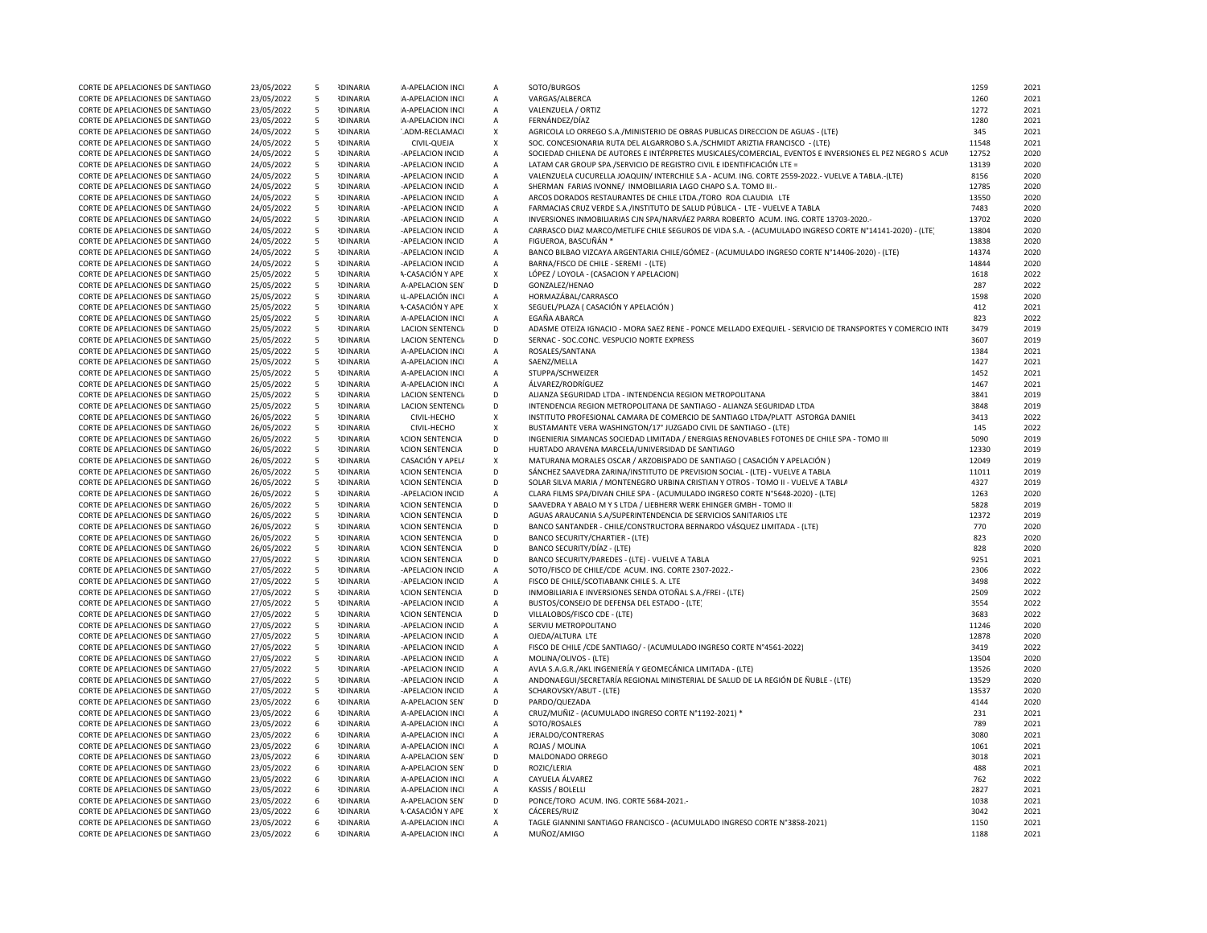| CORTE DE APELACIONES DE SANTIAGO                                     | 23/05/2022               | 5      | <b>IDINARIA</b>                    | A-APELACION INCI                                 | A              | SOTO/BURGOS                                                                                                                                            | 1259         | 2021         |
|----------------------------------------------------------------------|--------------------------|--------|------------------------------------|--------------------------------------------------|----------------|--------------------------------------------------------------------------------------------------------------------------------------------------------|--------------|--------------|
| CORTE DE APELACIONES DE SANTIAGO                                     | 23/05/2022               | 5      | <b>RDINARIA</b>                    | A-APELACION INCI                                 | A              | VARGAS/ALBERCA                                                                                                                                         | 1260         | 2021         |
| CORTE DE APELACIONES DE SANTIAGO                                     | 23/05/2022               | -5     | <b>RDINARIA</b>                    | A-APELACION INCI                                 | A              | VALENZUELA / ORTIZ                                                                                                                                     | 1272         | 2021         |
| CORTE DE APELACIONES DE SANTIAGO                                     | 23/05/2022               | 5      | <b>IDINARIA</b>                    | A-APELACION INCI                                 | $\mathsf{A}$   | FERNÁNDEZ/DÍAZ                                                                                                                                         | 1280         | 2021         |
| CORTE DE APELACIONES DE SANTIAGO                                     | 24/05/2022               | - 5    | <b>IDINARIA</b>                    | '.ADM-RECLAMACI                                  | X              | AGRICOLA LO ORREGO S.A./MINISTERIO DE OBRAS PUBLICAS DIRECCION DE AGUAS - (LTE)                                                                        | 345          | 2021         |
| CORTE DE APELACIONES DE SANTIAGO                                     | 24/05/2022               | - 5    | <b>IDINARIA</b>                    | CIVIL-QUEJA                                      | X              | SOC. CONCESIONARIA RUTA DEL ALGARROBO S.A./SCHMIDT ARIZTIA FRANCISCO - (LTE)                                                                           | 11548        | 2021         |
| CORTE DE APELACIONES DE SANTIAGO                                     | 24/05/2022               | 5      | <b>RDINARIA</b>                    | -APELACION INCID                                 | А              | SOCIEDAD CHILENA DE AUTORES E INTÉRPRETES MUSICALES/COMERCIAL, EVENTOS E INVERSIONES EL PEZ NEGRO S ACUN                                               | 12752        | 2020         |
| CORTE DE APELACIONES DE SANTIAGO                                     | 24/05/2022               | 5      | <b>NDINARIA</b>                    | -APELACION INCID                                 | $\overline{A}$ | LATAM CAR GROUP SPA./SERVICIO DE REGISTRO CIVIL E IDENTIFICACIÓN LTE =                                                                                 | 13139        | 2020         |
| CORTE DE APELACIONES DE SANTIAGO                                     | 24/05/2022               | 5      | <b>NDINARIA</b>                    | -APELACION INCID                                 | $\overline{A}$ | VALENZUELA CUCURELLA JOAQUIN/ INTERCHILE S.A - ACUM. ING. CORTE 2559-2022.- VUELVE A TABLA.-(LTE)                                                      | 8156         | 2020         |
| CORTE DE APELACIONES DE SANTIAGO                                     | 24/05/2022               | 5      | <b>RDINARIA</b>                    | -APELACION INCID                                 | $\overline{A}$ | SHERMAN FARIAS IVONNE/ INMOBILIARIA LAGO CHAPO S.A. TOMO III.-                                                                                         | 12785        | 2020         |
| CORTE DE APELACIONES DE SANTIAGO                                     | 24/05/2022               | 5      | <b>RDINARIA</b>                    | -APELACION INCID                                 | $\overline{A}$ | ARCOS DORADOS RESTAURANTES DE CHILE LTDA./TORO ROA CLAUDIA LTE                                                                                         | 13550        | 2020         |
| CORTE DE APELACIONES DE SANTIAGO                                     | 24/05/2022               | 5      | <b>RDINARIA</b>                    | -APELACION INCID                                 | $\overline{A}$ | FARMACIAS CRUZ VERDE S.A./INSTITUTO DE SALUD PÚBLICA - LTE - VUELVE A TABLA                                                                            | 7483         | 2020         |
| CORTE DE APELACIONES DE SANTIAGO                                     | 24/05/2022               | 5      | <b>IDINARIA</b>                    | -APELACION INCID                                 | $\overline{A}$ | INVERSIONES INMOBILIARIAS CJN SPA/NARVÁEZ PARRA ROBERTO ACUM. ING. CORTE 13703-2020.-                                                                  | 13702        | 2020         |
| CORTE DE APELACIONES DE SANTIAGO                                     | 24/05/2022               | 5      | <b>IDINARIA</b>                    | -APELACION INCID                                 | $\overline{A}$ | CARRASCO DIAZ MARCO/METLIFE CHILE SEGUROS DE VIDA S.A. - (ACUMULADO INGRESO CORTE N°14141-2020) - (LTE)                                                | 13804        | 2020         |
| CORTE DE APELACIONES DE SANTIAGO                                     | 24/05/2022               | -5     | <b>NDINARIA</b>                    | -APELACION INCID                                 | A              | FIGUEROA. BASCUÑÁN *                                                                                                                                   | 13838        | 2020         |
| CORTE DE APELACIONES DE SANTIAGO                                     | 24/05/2022               | 5      | <b>IDINARIA</b>                    | -APELACION INCID                                 | A              | BANCO BILBAO VIZCAYA ARGENTARIA CHILE/GÓMEZ - (ACUMULADO INGRESO CORTE Nº14406-2020) - (LTE)                                                           | 14374        | 2020         |
| CORTE DE APELACIONES DE SANTIAGO                                     | 24/05/2022               | -5     | <b>IDINARIA</b>                    | -APELACION INCID                                 | A              | BARNA/FISCO DE CHILE - SEREMI - (LTE)                                                                                                                  | 14844        | 2020         |
| CORTE DE APELACIONES DE SANTIAGO                                     | 25/05/2022               | 5      | <b>NDINARIA</b>                    | <b>A-CASACIÓN Y APE</b>                          | X              | LÓPEZ / LOYOLA - (CASACION Y APELACION)                                                                                                                | 1618         | 2022         |
| CORTE DE APELACIONES DE SANTIAGO                                     | 25/05/2022               | 5      | <b>RDINARIA</b>                    | A-APELACION SEN                                  | D              | GONZALEZ/HENAO                                                                                                                                         | 287          | 2022         |
| CORTE DE APELACIONES DE SANTIAGO                                     | 25/05/2022               | 5      | <b>RDINARIA</b>                    | <b>IL-APELACIÓN INCI</b>                         | А              | HORMAZÁBAL/CARRASCO                                                                                                                                    | 1598         | 2020         |
| CORTE DE APELACIONES DE SANTIAGO                                     | 25/05/2022               | -5     | <b>RDINARIA</b>                    | <b>A-CASACIÓN Y APE</b>                          | X              | SEGUEL/PLAZA ( CASACIÓN Y APELACIÓN )<br><b>FGAÑA ABARCA</b>                                                                                           | 412          | 2021         |
| CORTE DE APELACIONES DE SANTIAGO                                     | 25/05/2022               | 5      | <b>IDINARIA</b>                    | A-APELACION INCI                                 | A<br>D         |                                                                                                                                                        | 823          | 2022         |
| CORTE DE APELACIONES DE SANTIAGO                                     | 25/05/2022               | 5<br>5 | <b>IDINARIA</b><br><b>RDINARIA</b> | <b>LACION SENTENCIA</b>                          | D              | ADASME OTEIZA IGNACIO - MORA SAEZ RENE - PONCE MELLADO EXEQUIEL - SERVICIO DE TRANSPORTES Y COMERCIO INTI<br>SERNAC - SOC.CONC. VESPUCIO NORTE EXPRESS | 3479<br>3607 | 2019<br>2019 |
| CORTE DE APELACIONES DE SANTIAGO                                     | 25/05/2022               |        |                                    | <b>LACION SENTENCIA</b>                          |                |                                                                                                                                                        |              |              |
| CORTE DE APELACIONES DE SANTIAGO                                     | 25/05/2022               | 5      | <b>IDINARIA</b>                    | A-APELACION INCI                                 | $\overline{A}$ | ROSALES/SANTANA                                                                                                                                        | 1384         | 2021         |
| CORTE DE APELACIONES DE SANTIAGO<br>CORTE DE APELACIONES DE SANTIAGO | 25/05/2022<br>25/05/2022 | 5<br>5 | <b>IDINARIA</b><br><b>IDINARIA</b> | A-APELACION INCI<br>A-APELACION INCI             | A              | SAENZ/MELLA<br>STUPPA/SCHWEIZER                                                                                                                        | 1427<br>1452 | 2021<br>2021 |
| CORTE DE APELACIONES DE SANTIAGO                                     | 25/05/2022               | 5      | <b>NDINARIA</b>                    | A-APELACION INCI                                 | A<br>A         | ÁLVAREZ/RODRÍGUEZ                                                                                                                                      | 1467         | 2021         |
| CORTE DE APELACIONES DE SANTIAGO                                     | 25/05/2022               | 5      | <b>NDINARIA</b>                    |                                                  | D              | ALIANZA SEGURIDAD LTDA - INTENDENCIA REGION METROPOLITANA                                                                                              | 3841         | 2019         |
| CORTE DE APELACIONES DE SANTIAGO                                     | 25/05/2022               | -5     | <b>RDINARIA</b>                    | <b>LACION SENTENCI</b><br><b>LACION SENTENCL</b> | D              | INTENDENCIA REGION METROPOLITANA DE SANTIAGO - ALIANZA SEGURIDAD LTDA                                                                                  | 3848         | 2019         |
| CORTE DE APELACIONES DE SANTIAGO                                     | 26/05/2022               | - 5    | <b>RDINARIA</b>                    | CIVIL-HECHO                                      | $\mathsf{x}$   | INSTITUTO PROFESIONAL CAMARA DE COMERCIO DE SANTIAGO LTDA/PLATT ASTORGA DANIEL                                                                         | 3413         | 2022         |
| CORTE DE APELACIONES DE SANTIAGO                                     | 26/05/2022               | - 5    | <b>IDINARIA</b>                    | CIVIL-HECHO                                      | X              | BUSTAMANTE VERA WASHINGTON/17° JUZGADO CIVIL DE SANTIAGO - (LTE)                                                                                       | 145          | 2022         |
| CORTE DE APELACIONES DE SANTIAGO                                     | 26/05/2022               | 5      | <b>IDINARIA</b>                    | <b>ACION SENTENCIA</b>                           | D              | INGENIERIA SIMANCAS SOCIEDAD LIMITADA / ENERGIAS RENOVABLES FOTONES DE CHILE SPA - TOMO III                                                            | 5090         | 2019         |
| CORTE DE APELACIONES DE SANTIAGO                                     | 26/05/2022               | 5      | <b>IDINARIA</b>                    | <b>ACION SENTENCIA</b>                           | D              | HURTADO ARAVENA MARCELA/UNIVERSIDAD DE SANTIAGO                                                                                                        | 12330        | 2019         |
| CORTE DE APELACIONES DE SANTIAGO                                     | 26/05/2022               | 5      | <b>IDINARIA</b>                    | CASACIÓN Y APEL/                                 | X              | MATURANA MORALES OSCAR / ARZOBISPADO DE SANTIAGO (CASACIÓN Y APELACIÓN)                                                                                | 12049        | 2019         |
| CORTE DE APELACIONES DE SANTIAGO                                     | 26/05/2022               | 5      | <b>IDINARIA</b>                    | <b>ACION SENTENCIA</b>                           | D              | SÁNCHEZ SAAVEDRA ZARINA/INSTITUTO DE PREVISION SOCIAL - (LTE) - VUELVE A TABLA                                                                         | 11011        | 2019         |
| CORTE DE APELACIONES DE SANTIAGO                                     | 26/05/2022               | 5      | <b>IDINARIA</b>                    | <b>ACION SENTENCIA</b>                           | D              | SOLAR SILVA MARIA / MONTENEGRO URBINA CRISTIAN Y OTROS - TOMO II - VUELVE A TABLA                                                                      | 4327         | 2019         |
| CORTE DE APELACIONES DE SANTIAGO                                     | 26/05/2022               | 5      | <b>RDINARIA</b>                    | -APELACION INCID                                 | A              | CLARA FILMS SPA/DIVAN CHILE SPA - (ACUMULADO INGRESO CORTE N°5648-2020) - (LTE)                                                                        | 1263         | 2020         |
| CORTE DE APELACIONES DE SANTIAGO                                     | 26/05/2022               | 5      | <b>NDINARIA</b>                    | <b>ACION SENTENCIA</b>                           | D              | SAAVEDRA Y ABALO M Y S LTDA / LIEBHERR WERK EHINGER GMBH - TOMO III                                                                                    | 5828         | 2019         |
| CORTE DE APELACIONES DE SANTIAGO                                     | 26/05/2022               | 5      | <b>NDINARIA</b>                    | <b>ACION SENTENCIA</b>                           | D              | AGUAS ARAUCANIA S.A/SUPERINTENDENCIA DE SERVICIOS SANITARIOS LTE                                                                                       | 12372        | 2019         |
| CORTE DE APELACIONES DE SANTIAGO                                     | 26/05/2022               | 5      | <b>IDINARIA</b>                    | <b>ACION SENTENCIA</b>                           | D              | BANCO SANTANDER - CHILE/CONSTRUCTORA BERNARDO VÁSQUEZ LIMITADA - (LTE)                                                                                 | 770          | 2020         |
| CORTE DE APELACIONES DE SANTIAGO                                     | 26/05/2022               | 5      | <b>RDINARIA</b>                    | <b>ACION SENTENCIA</b>                           | D              | <b>BANCO SECURITY/CHARTIER - (LTE)</b>                                                                                                                 | 823          | 2020         |
| CORTE DE APELACIONES DE SANTIAGO                                     | 26/05/2022               | $-5$   | <b>RDINARIA</b>                    | <b>ACION SENTENCIA</b>                           | D              | BANCO SECURITY/DÍAZ - (LTE)                                                                                                                            | 828          | 2020         |
| CORTE DE APELACIONES DE SANTIAGO                                     | 27/05/2022               | - 5    | <b>IDINARIA</b>                    | <b>ACION SENTENCIA</b>                           | D              | BANCO SECURITY/PAREDES - (LTE) - VUELVE A TABLA                                                                                                        | 9251         | 2021         |
| CORTE DE APELACIONES DE SANTIAGO                                     | 27/05/2022               | - 5    | <b>IDINARIA</b>                    | -APELACION INCID                                 | A              | SOTO/FISCO DE CHILE/CDE ACUM. ING. CORTE 2307-2022.-                                                                                                   | 2306         | 2022         |
| CORTE DE APELACIONES DE SANTIAGO                                     | 27/05/2022               | 5      | <b>RDINARIA</b>                    | -APELACION INCID                                 | A              | FISCO DE CHILE/SCOTIABANK CHILE S. A. LTE                                                                                                              | 3498         | 2022         |
| CORTE DE APELACIONES DE SANTIAGO                                     | 27/05/2022               | 5      | <b>RDINARIA</b>                    | <b>ACION SENTENCIA</b>                           | D              | INMOBILIARIA E INVERSIONES SENDA OTOÑAL S.A./FREI - (LTE)                                                                                              | 2509         | 2022         |
| CORTE DE APELACIONES DE SANTIAGO                                     | 27/05/2022               | 5      | <b>NDINARIA</b>                    | -APELACION INCID                                 | A              | BUSTOS/CONSEJO DE DEFENSA DEL ESTADO - (LTE)                                                                                                           | 3554         | 2022         |
| CORTE DE APELACIONES DE SANTIAGO                                     | 27/05/2022               | 5      | <b>IDINARIA</b>                    | <b>ACION SENTENCIA</b>                           | $\mathsf{D}$   | VILLALOBOS/FISCO CDE - (LTE)                                                                                                                           | 3683         | 2022         |
| CORTE DE APELACIONES DE SANTIAGO                                     | 27/05/2022               | 5      | <b>RDINARIA</b>                    | -APELACION INCID                                 | А              | SERVIU METROPOLITANO                                                                                                                                   | 11246        | 2020         |
| CORTE DE APELACIONES DE SANTIAGO                                     | 27/05/2022               | 5      | <b>RDINARIA</b>                    | -APELACION INCID                                 | А              | OJEDA/ALTURA LTE                                                                                                                                       | 12878        | 2020         |
| CORTE DE APELACIONES DE SANTIAGO                                     | 27/05/2022               | -5     | <b>RDINARIA</b>                    | -APELACION INCID                                 | A              | FISCO DE CHILE / CDE SANTIAGO / - (ACUMULADO INGRESO CORTE Nº4561-2022)                                                                                | 3419         | 2022         |
| CORTE DE APELACIONES DE SANTIAGO                                     | 27/05/2022               | 5      | <b>IDINARIA</b>                    | -APELACION INCID                                 | А              | MOLINA/OLIVOS - (LTE)                                                                                                                                  | 13504        | 2020         |
| CORTE DE APELACIONES DE SANTIAGO                                     | 27/05/2022               | 5      | <b>RDINARIA</b>                    | -APELACION INCID                                 | $\overline{A}$ | AVLA S.A.G.R./AKL INGENIERÍA Y GEOMECÁNICA LIMITADA - (LTE)                                                                                            | 13526        | 2020         |
| CORTE DE APELACIONES DE SANTIAGO                                     | 27/05/2022               | -5     | <b>RDINARIA</b>                    | -APELACION INCID                                 | A              | ANDONAEGUI/SECRETARÍA REGIONAL MINISTERIAL DE SALUD DE LA REGIÓN DE ÑUBLE - (LTE)                                                                      | 13529        | 2020         |
| CORTE DE APELACIONES DE SANTIAGO                                     | 27/05/2022               | 5      | <b>IDINARIA</b>                    | -APELACION INCID                                 | А              | SCHAROVSKY/ABUT - (LTE)                                                                                                                                | 13537        | 2020         |
| CORTE DE APELACIONES DE SANTIAGO                                     | 23/05/2022               | 6      | <b>IDINARIA</b>                    | A-APELACION SEN                                  | D              | PARDO/QUEZADA                                                                                                                                          | 4144         | 2020         |
| CORTE DE APELACIONES DE SANTIAGO                                     | 23/05/2022               | 6      | <b>IDINARIA</b>                    | A-APELACION INCI                                 | A              | CRUZ/MUÑIZ - (ACUMULADO INGRESO CORTE N°1192-2021) *                                                                                                   | 231          | 2021         |
| CORTE DE APELACIONES DE SANTIAGO                                     | 23/05/2022               | 6      | <b>RDINARIA</b>                    | A-APELACION INCI                                 | A              | SOTO/ROSALES                                                                                                                                           | 789          | 2021         |
| CORTE DE APELACIONES DE SANTIAGO                                     | 23/05/2022               | -6     | <b>NDINARIA</b>                    | A-APELACION INCI                                 | А              | JERALDO/CONTRERAS                                                                                                                                      | 3080         | 2021         |
| CORTE DE APELACIONES DE SANTIAGO                                     | 23/05/2022               | 6      | <b>RDINARIA</b>                    | A-APFLACION INCI                                 | $\mathsf{A}$   | ROJAS / MOLINA                                                                                                                                         | 1061         | 2021         |
| CORTE DE APELACIONES DE SANTIAGO                                     | 23/05/2022               | 6      | <b>IDINARIA</b>                    | A-APELACION SEN                                  | D              | MALDONADO ORREGO                                                                                                                                       | 3018         | 2021         |
| CORTE DE APELACIONES DE SANTIAGO                                     | 23/05/2022               | 6      | <b>IDINARIA</b>                    | <b>A-APELACION SEN</b>                           | D              | ROZIC/LERIA                                                                                                                                            | 488          | 2021         |
| CORTE DE APELACIONES DE SANTIAGO                                     | 23/05/2022               | 6      | <b>RDINARIA</b>                    | A-APELACION INCI                                 | A              | CAYUELA ÁLVAREZ                                                                                                                                        | 762          | 2022         |
| CORTE DE APELACIONES DE SANTIAGO                                     | 23/05/2022               | 6      | <b>IDINARIA</b>                    | A-APELACION INCI                                 | A              | KASSIS / BOLELLI                                                                                                                                       | 2827         | 2021         |
| CORTE DE APELACIONES DE SANTIAGO                                     | 23/05/2022               | 6      | <b>IDINARIA</b>                    | A-APELACION SEN                                  | D              | PONCE/TORO ACUM. ING. CORTE 5684-2021.-                                                                                                                | 1038         | 2021         |
| CORTE DE APELACIONES DE SANTIAGO                                     | 23/05/2022               | 6      | <b>IDINARIA</b>                    | A-CASACIÓN Y APE                                 | X              | CÁCERES/RUIZ                                                                                                                                           | 3042         | 2021         |
| CORTE DE APELACIONES DE SANTIAGO                                     | 23/05/2022               | 6      | <b>IDINARIA</b>                    | A-APELACION INCI                                 | $\mathsf{A}$   | TAGLE GIANNINI SANTIAGO FRANCISCO - (ACUMULADO INGRESO CORTE Nº3858-2021)                                                                              | 1150         | 2021         |
| CORTE DE APELACIONES DE SANTIAGO                                     | 23/05/2022               | 6      | <b>IDINARIA</b>                    | A-APELACION INCI                                 | A              | MUÑOZ/AMIGO                                                                                                                                            | 1188         | 2021         |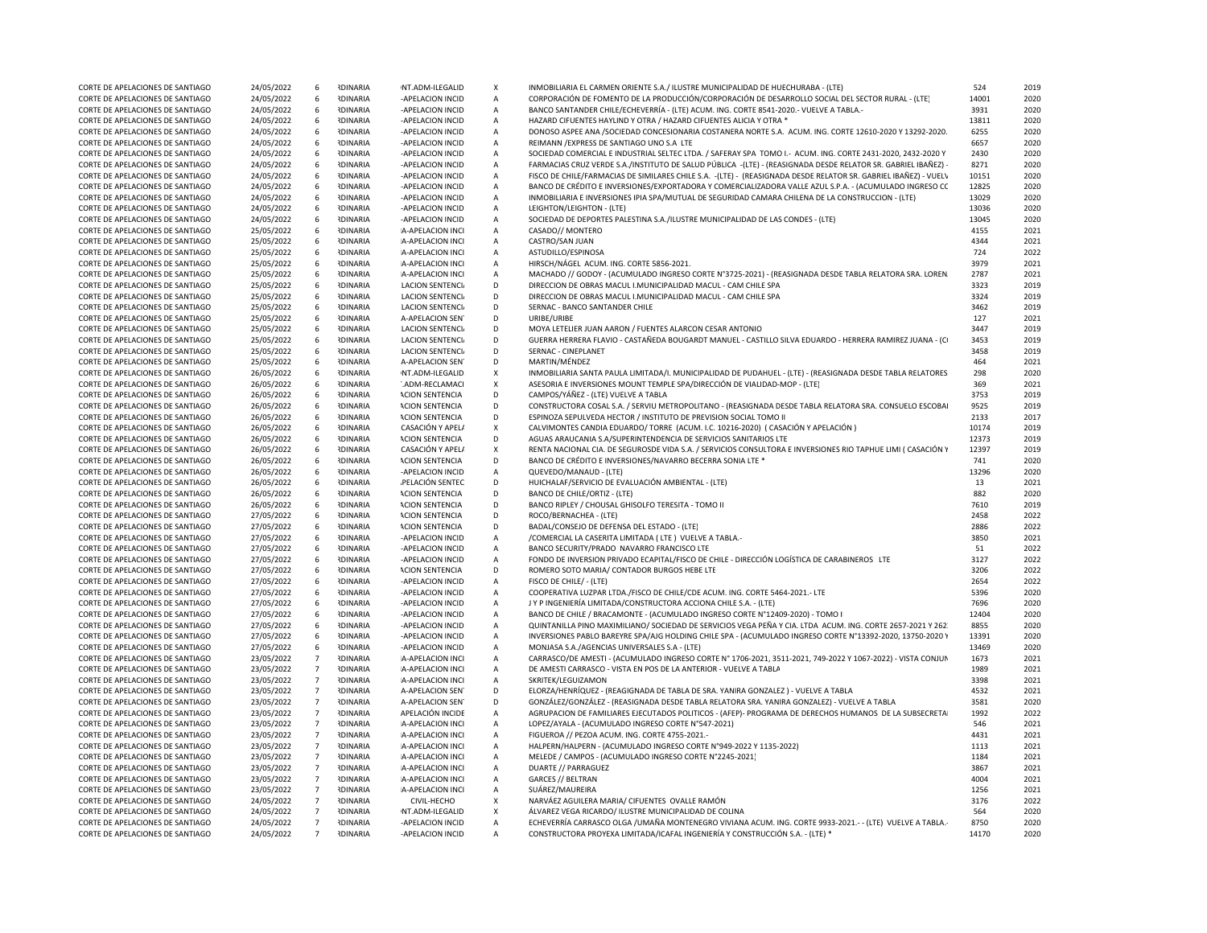|                                  |            | 6               | <b>RDINARIA</b> |                         |                           |                                                                                                                 | 524   |      |  |
|----------------------------------|------------|-----------------|-----------------|-------------------------|---------------------------|-----------------------------------------------------------------------------------------------------------------|-------|------|--|
| CORTE DE APELACIONES DE SANTIAGO | 24/05/2022 |                 |                 | NT.ADM-ILEGALID         | X                         | INMOBILIARIA EL CARMEN ORIENTE S.A./ ILUSTRE MUNICIPALIDAD DE HUECHURABA - (LTE)                                |       | 2019 |  |
| CORTE DE APELACIONES DE SANTIAGO | 24/05/2022 | - 6             | <b>RDINARIA</b> | -APELACION INCID        | $\overline{A}$            | CORPORACIÓN DE FOMENTO DE LA PRODUCCIÓN/CORPORACIÓN DE DESARROLLO SOCIAL DEL SECTOR RURAL - (LTE)               | 14001 | 2020 |  |
| CORTE DE APELACIONES DE SANTIAGO | 24/05/2022 | - 6             | <b>RDINARIA</b> | -APELACION INCID        | А                         | BANCO SANTANDER CHILE/ECHEVERRÍA - (LTE) ACUM. ING. CORTE 8541-2020. - VUELVE A TABLA.                          | 3931  | 2020 |  |
| CORTE DE APELACIONES DE SANTIAGO | 24/05/2022 | - 6             | <b>RDINARIA</b> | -APELACION INCID        | $\mathsf{A}$              | HAZARD CIFUENTES HAYLIND Y OTRA / HAZARD CIFUENTES ALICIA Y OTRA *                                              | 13811 | 2020 |  |
| CORTE DE APELACIONES DE SANTIAGO | 24/05/2022 | - 6             | <b>IDINARIA</b> | -APELACION INCID        | $\overline{A}$            | DONOSO ASPEE ANA /SOCIEDAD CONCESIONARIA COSTANERA NORTE S.A. ACUM. ING. CORTE 12610-2020 Y 13292-2020.         | 6255  | 2020 |  |
| CORTE DE APELACIONES DE SANTIAGO | 24/05/2022 | - 6             | <b>RDINARIA</b> | -APELACION INCID        | $\overline{A}$            | REIMANN / EXPRESS DE SANTIAGO UNO S.A LTE                                                                       | 6657  | 2020 |  |
|                                  |            |                 |                 |                         |                           |                                                                                                                 |       |      |  |
| CORTE DE APELACIONES DE SANTIAGO | 24/05/2022 | 6               | <b>IDINARIA</b> | -APELACION INCID        | $\overline{A}$            | SOCIEDAD COMERCIAL E INDUSTRIAL SELTEC LTDA. / SAFERAY SPA TOMO I.- ACUM. ING. CORTE 2431-2020, 2432-2020 Y     | 2430  | 2020 |  |
| CORTE DE APELACIONES DE SANTIAGO | 24/05/2022 | 6               | <b>RDINARIA</b> | -APELACION INCID        | $\overline{A}$            | FARMACIAS CRUZ VERDE S.A./INSTITUTO DE SALUD PÚBLICA -(LTE) - (REASIGNADA DESDE RELATOR SR. GABRIEL IBAÑEZ) -   | 8271  | 2020 |  |
| CORTE DE APELACIONES DE SANTIAGO | 24/05/2022 | 6               | <b>IDINARIA</b> | -APELACION INCID        | $\overline{A}$            | FISCO DE CHILE/FARMACIAS DE SIMILARES CHILE S.A. -(LTE) - (REASIGNADA DESDE RELATOR SR. GABRIEL IBAÑEZ) - VUELV | 10151 | 2020 |  |
| CORTE DE APELACIONES DE SANTIAGO | 24/05/2022 | 6               | <b>IDINARIA</b> | -APELACION INCID        | $\overline{A}$            | BANCO DE CRÉDITO E INVERSIONES/EXPORTADORA Y COMERCIALIZADORA VALLE AZUL S.P.A. - (ACUMULADO INGRESO CC         | 12825 | 2020 |  |
| CORTE DE APELACIONES DE SANTIAGO | 24/05/2022 | - 6             | <b>IDINARIA</b> | -APELACION INCID        | A                         | INMOBILIARIA E INVERSIONES IPIA SPA/MUTUAL DE SEGURIDAD CAMARA CHILENA DE LA CONSTRUCCION - (LTE)               | 13029 | 2020 |  |
| CORTE DE APELACIONES DE SANTIAGO | 24/05/2022 | 6               | <b>RDINARIA</b> | -APELACION INCID        | $\overline{A}$            | LEIGHTON/LEIGHTON - (LTE)                                                                                       | 13036 | 2020 |  |
| CORTE DE APELACIONES DE SANTIAGO | 24/05/2022 | 6               | <b>IDINARIA</b> | -APELACION INCID        | $\overline{A}$            | SOCIEDAD DE DEPORTES PALESTINA S.A./ILUSTRE MUNICIPALIDAD DE LAS CONDES - (LTE)                                 | 13045 | 2020 |  |
|                                  |            |                 |                 |                         |                           |                                                                                                                 |       |      |  |
| CORTE DE APELACIONES DE SANTIAGO | 25/05/2022 | 6               | <b>RDINARIA</b> | A-APELACION INCI        | $\overline{A}$            | CASADO// MONTERO                                                                                                | 4155  | 2021 |  |
| CORTE DE APELACIONES DE SANTIAGO | 25/05/2022 | 6               | <b>IDINARIA</b> | A-APELACION INCI        | $\overline{A}$            | CASTRO/SAN JUAN                                                                                                 | 4344  | 2021 |  |
| CORTE DE APELACIONES DE SANTIAGO | 25/05/2022 | 6               | <b>IDINARIA</b> | A-APELACION INCI        | $\overline{A}$            | ASTUDILLO/ESPINOSA                                                                                              | 724   | 2022 |  |
| CORTE DE APELACIONES DE SANTIAGO | 25/05/2022 | - 6             | <b>RDINARIA</b> | A-APELACION INCI        | $\mathsf{A}$              | HIRSCH/NAGEL ACUM. ING. CORTE 5856-2021.                                                                        | 3979  | 2021 |  |
| CORTE DE APELACIONES DE SANTIAGO | 25/05/2022 | - 6             | <b>RDINARIA</b> | A-APELACION INCI        | A                         | MACHADO // GODOY - (ACUMULADO INGRESO CORTE Nº3725-2021) - (REASIGNADA DESDE TABLA RELATORA SRA. LOREN          | 2787  | 2021 |  |
| CORTE DE APELACIONES DE SANTIAGO | 25/05/2022 | -6              | <b>IDINARIA</b> | <b>LACION SENTENCIA</b> | D                         | DIRECCION DE OBRAS MACUL I.MUNICIPALIDAD MACUL - CAM CHILE SPA                                                  | 3323  | 2019 |  |
| CORTE DE APELACIONES DE SANTIAGO | 25/05/2022 | 6               | <b>RDINARIA</b> | <b>LACION SENTENCIA</b> | D                         | DIRECCION DE OBRAS MACUL I.MUNICIPALIDAD MACUL - CAM CHILE SPA                                                  | 3324  | 2019 |  |
|                                  |            |                 |                 |                         |                           |                                                                                                                 |       |      |  |
| CORTE DE APELACIONES DE SANTIAGO | 25/05/2022 | 6               | <b>IDINARIA</b> | <b>LACION SENTENCIA</b> | D                         | SERNAC - BANCO SANTANDER CHILE                                                                                  | 3462  | 2019 |  |
| CORTE DE APELACIONES DE SANTIAGO | 25/05/2022 | 6               | <b>IDINARIA</b> | <b>A-APELACION SEN</b>  | D                         | URIBE/URIBE                                                                                                     | 127   | 2021 |  |
| CORTE DE APELACIONES DE SANTIAGO | 25/05/2022 | - 6             | <b>RDINARIA</b> | LACION SENTENCI         | D                         | MOYA LETELIER JUAN AARON / FUENTES ALARCON CESAR ANTONIO                                                        | 3447  | 2019 |  |
| CORTE DE APELACIONES DE SANTIAGO | 25/05/2022 | - 6             | <b>IDINARIA</b> | <b>LACION SENTENCIA</b> | D                         | GUERRA HERRERA FLAVIO - CASTAÑEDA BOUGARDT MANUEL - CASTILLO SILVA EDUARDO - HERRERA RAMIREZ JUANA - (CI        | 3453  | 2019 |  |
| CORTE DE APELACIONES DE SANTIAGO | 25/05/2022 | 6               | <b>IDINARIA</b> | <b>LACION SENTENCIA</b> | D                         | SERNAC - CINEPLANET                                                                                             | 3458  | 2019 |  |
| CORTE DE APELACIONES DE SANTIAGO | 25/05/2022 | 6               | <b>IDINARIA</b> | A-APELACION SEN         | D                         | MARTIN/MÉNDEZ                                                                                                   | 464   | 2021 |  |
| CORTE DE APELACIONES DE SANTIAGO | 26/05/2022 | 6               | <b>IDINARIA</b> | NT.ADM-ILEGALID         | $\boldsymbol{\mathsf{X}}$ | INMOBILIARIA SANTA PAULA LIMITADA/I. MUNICIPALIDAD DE PUDAHUEL - (LTE) - (REASIGNADA DESDE TABLA RELATORES      | 298   | 2020 |  |
| CORTE DE APELACIONES DE SANTIAGO | 26/05/2022 | 6               | <b>RDINARIA</b> | .ADM-RECLAMACI          | $\boldsymbol{\mathsf{X}}$ | ASESORIA E INVERSIONES MOUNT TEMPLE SPA/DIRECCIÓN DE VIALIDAD-MOP - (LTE)                                       | 369   | 2021 |  |
|                                  |            |                 |                 |                         |                           |                                                                                                                 |       |      |  |
| CORTE DE APELACIONES DE SANTIAGO | 26/05/2022 | - 6             | <b>RDINARIA</b> | <b>ACION SENTENCIA</b>  | D                         | CAMPOS/YÁÑEZ - (LTE) VUELVE A TABLA                                                                             | 3753  | 2019 |  |
| CORTE DE APELACIONES DE SANTIAGO | 26/05/2022 | 6               | <b>IDINARIA</b> | <b>ACION SENTENCIA</b>  | D                         | CONSTRUCTORA COSAL S.A. / SERVIU METROPOLITANO - (REASIGNADA DESDE TABLA RELATORA SRA. CONSUELO ESCOBAI         | 9525  | 2019 |  |
| CORTE DE APELACIONES DE SANTIAGO | 26/05/2022 | 6               | <b>IDINARIA</b> | <b>ACION SENTENCIA</b>  | D                         | ESPINOZA SEPULVEDA HECTOR / INSTITUTO DE PREVISION SOCIAL TOMO II                                               | 2133  | 2017 |  |
| CORTE DE APELACIONES DE SANTIAGO | 26/05/2022 | - 6             | <b>RDINARIA</b> | CASACIÓN Y APEL/        | $\mathsf{X}$              | CALVIMONTES CANDIA EDUARDO/ TORRE (ACUM. I.C. 10216-2020) ( CASACIÓN Y APELACIÓN )                              | 10174 | 2019 |  |
| CORTE DE APELACIONES DE SANTIAGO | 26/05/2022 | 6               | <b>RDINARIA</b> | <b>ACION SENTENCIA</b>  | D                         | AGUAS ARAUCANIA S.A/SUPERINTENDENCIA DE SERVICIOS SANITARIOS LTE                                                | 12373 | 2019 |  |
| CORTE DE APELACIONES DE SANTIAGO | 26/05/2022 | 6               | <b>NDINARIA</b> | CASACIÓN Y APELA        | $\mathsf{x}$              | RENTA NACIONAL CIA. DE SEGUROSDE VIDA S.A. / SERVICIOS CONSULTORA E INVERSIONES RIO TAPHUE LIMI (CASACIÓN Y     | 12397 | 2019 |  |
| CORTE DE APELACIONES DE SANTIAGO |            | - 6             | <b>RDINARIA</b> | <b>ACION SENTENCIA</b>  | D                         | BANCO DE CRÉDITO E INVERSIONES/NAVARRO BECERRA SONIA LTE *                                                      | 741   | 2020 |  |
|                                  | 26/05/2022 |                 |                 |                         |                           |                                                                                                                 |       |      |  |
| CORTE DE APELACIONES DE SANTIAGO | 26/05/2022 | 6               | <b>IDINARIA</b> | -APELACION INCID        | $\overline{A}$            | QUEVEDO/MANAUD - (LTE)                                                                                          | 13296 | 2020 |  |
| CORTE DE APELACIONES DE SANTIAGO | 26/05/2022 | 6               | <b>RDINARIA</b> | PELACIÓN SENTEC         | D                         | HUICHALAF/SERVICIO DE EVALUACIÓN AMBIENTAL - (LTE)                                                              | 13    | 2021 |  |
| CORTE DE APELACIONES DE SANTIAGO | 26/05/2022 | - 6             | <b>RDINARIA</b> | <b>ACION SENTENCIA</b>  | D                         | BANCO DE CHILE/ORTIZ - (LTE)                                                                                    | 882   | 2020 |  |
| CORTE DE APELACIONES DE SANTIAGO | 26/05/2022 | - 6             | <b>IDINARIA</b> | <b>ACION SENTENCIA</b>  | D                         | BANCO RIPLEY / CHOUSAL GHISOLFO TERESITA - TOMO II                                                              | 7610  | 2019 |  |
| CORTE DE APELACIONES DE SANTIAGO | 27/05/2022 | 6               | <b>RDINARIA</b> | <b>ACION SENTENCIA</b>  | D                         | ROCO/BERNACHEA - (LTE)                                                                                          | 2458  | 2022 |  |
| CORTE DE APELACIONES DE SANTIAGO | 27/05/2022 | - 6             | <b>IDINARIA</b> | <b>ACION SENTENCIA</b>  | D                         | BADAL/CONSEJO DE DEFENSA DEL ESTADO - (LTE)                                                                     | 2886  | 2022 |  |
| CORTE DE APELACIONES DE SANTIAGO | 27/05/2022 | 6               | <b>RDINARIA</b> | -APELACION INCID        | $\overline{A}$            | /COMERCIAL LA CASERITA LIMITADA (LTE) VUELVE A TABLA.-                                                          | 3850  | 2021 |  |
|                                  |            |                 |                 |                         |                           |                                                                                                                 |       |      |  |
| CORTE DE APELACIONES DE SANTIAGO | 27/05/2022 | 6               | <b>IDINARIA</b> | -APELACION INCID        | $\mathsf{A}$              | BANCO SECURITY/PRADO NAVARRO FRANCISCO LTE                                                                      | 51    | 2022 |  |
| CORTE DE APELACIONES DE SANTIAGO | 27/05/2022 | - 6             | <b>RDINARIA</b> | -APELACION INCID        | $\overline{A}$            | FONDO DE INVERSION PRIVADO ECAPITAL/FISCO DE CHILE - DIRECCIÓN LOGÍSTICA DE CARABINEROS LTE                     | 3127  | 2022 |  |
| CORTE DE APELACIONES DE SANTIAGO | 27/05/2022 | 6               | <b>IDINARIA</b> | <b>ACION SENTENCIA</b>  | D                         | ROMERO SOTO MARIA/ CONTADOR BURGOS HEBE LTE                                                                     | 3206  | 2022 |  |
| CORTE DE APELACIONES DE SANTIAGO | 27/05/2022 | 6               | <b>IDINARIA</b> | -APELACION INCID        | $\overline{A}$            | FISCO DE CHILE/ - (LTE)                                                                                         | 2654  | 2022 |  |
| CORTE DE APELACIONES DE SANTIAGO | 27/05/2022 | - 6             | <b>IDINARIA</b> | -APELACION INCID        | A                         | COOPERATIVA LUZPAR LTDA./FISCO DE CHILE/CDE ACUM. ING. CORTE 5464-2021.- LTE                                    | 5396  | 2020 |  |
| CORTE DE APELACIONES DE SANTIAGO | 27/05/2022 | 6               | <b>RDINARIA</b> | -APELACION INCID        | A                         | J Y P INGENIERÍA LIMITADA/CONSTRUCTORA ACCIONA CHILE S.A. - (LTE)                                               | 7696  | 2020 |  |
| CORTE DE APELACIONES DE SANTIAGO | 27/05/2022 | 6               | <b>RDINARIA</b> | -APELACION INCID        | $\overline{A}$            | BANCO DE CHILE / BRACAMONTE - (ACUMULADO INGRESO CORTE N°12409-2020) - TOMO II                                  | 12404 | 2020 |  |
|                                  |            |                 | <b>RDINARIA</b> |                         |                           |                                                                                                                 |       |      |  |
| CORTE DE APELACIONES DE SANTIAGO | 27/05/2022 | - 6             |                 | -APELACION INCID        | $\overline{A}$            | QUINTANILLA PINO MAXIMILIANO/ SOCIEDAD DE SERVICIOS VEGA PEÑA Y CIA. LTDA ACUM. ING. CORTE 2657-2021 Y 262.     | 8855  | 2020 |  |
| CORTE DE APELACIONES DE SANTIAGO | 27/05/2022 | 6               | <b>IDINARIA</b> | -APELACION INCID        | $\overline{A}$            | INVERSIONES PABLO BAREYRE SPA/AJG HOLDING CHILE SPA - (ACUMULADO INGRESO CORTE N°13392-2020, 13750-2020 Y       | 13391 | 2020 |  |
| CORTE DE APELACIONES DE SANTIAGO | 27/05/2022 | 6               | <b>IDINARIA</b> | -APELACION INCID        | $\overline{A}$            | MONJASA S.A./AGENCIAS UNIVERSALES S.A - (LTE)                                                                   | 13469 | 2020 |  |
| CORTE DE APELACIONES DE SANTIAGO | 23/05/2022 | $\overline{7}$  | <b>RDINARIA</b> | A-APELACION INCI        | $\mathsf{A}$              | CARRASCO/DE AMESTI - (ACUMULADO INGRESO CORTE Nº 1706-2021, 3511-2021, 749-2022 Y 1067-2022) - VISTA CONJUN     | 1673  | 2021 |  |
| CORTE DE APELACIONES DE SANTIAGO | 23/05/2022 | $\overline{7}$  | <b>IDINARIA</b> | A-APELACION INCI        | $\overline{A}$            | DE AMESTI CARRASCO - VISTA EN POS DE LA ANTERIOR - VUELVE A TABLA                                               | 1989  | 2021 |  |
| CORTE DE APELACIONES DE SANTIAGO | 23/05/2022 | $7\overline{ }$ | <b>IDINARIA</b> | A-APELACION INCI        | $\overline{A}$            | SKRITEK/LEGUIZAMON                                                                                              | 3398  | 2021 |  |
| CORTE DE APELACIONES DE SANTIAGO | 23/05/2022 | $\overline{7}$  | <b>IDINARIA</b> | A-APELACION SEN         | D                         | ELORZA/HENRÍQUEZ - (REAGIGNADA DE TABLA DE SRA. YANIRA GONZALEZ) - VUELVE A TABLA                               | 4532  | 2021 |  |
|                                  |            |                 |                 |                         |                           |                                                                                                                 |       |      |  |
| CORTE DE APELACIONES DE SANTIAGO | 23/05/2022 | $7\overline{ }$ | <b>IDINARIA</b> | <b>A-APELACION SEN</b>  | D                         | GONZÁLEZ/GONZÁLEZ - (REASIGNADA DESDE TABLA RELATORA SRA. YANIRA GONZALEZ) - VUELVE A TABLA                     | 3581  | 2020 |  |
| CORTE DE APELACIONES DE SANTIAGO | 23/05/2022 | $\overline{7}$  | <b>IDINARIA</b> | APELACIÓN INCIDE        | $\overline{A}$            | AGRUPACION DE FAMILIARES EJECUTADOS POLITICOS - (AFEP)- PROGRAMA DE DERECHOS HUMANOS DE LA SUBSECRETA           | 1992  | 2022 |  |
| CORTE DE APELACIONES DE SANTIAGO | 23/05/2022 | $\overline{7}$  | <b>RDINARIA</b> | A-APELACION INCI        | $\mathsf{A}$              | LOPEZ/AYALA - (ACUMULADO INGRESO CORTE N°547-2021)                                                              | 546   | 2021 |  |
| CORTE DE APELACIONES DE SANTIAGO | 23/05/2022 | $7\overline{ }$ | <b>IDINARIA</b> | A-APELACION INCI        | $\overline{A}$            | FIGUEROA // PEZOA ACUM. ING. CORTE 4755-2021.-                                                                  | 4431  | 2021 |  |
| CORTE DE APELACIONES DE SANTIAGO | 23/05/2022 | $\overline{7}$  | <b>IDINARIA</b> | A-APELACION INCI        | $\overline{A}$            | HALPERN/HALPERN - (ACUMULADO INGRESO CORTE Nº949-2022 Y 1135-2022)                                              | 1113  | 2021 |  |
| CORTE DE APELACIONES DE SANTIAGO | 23/05/2022 | $\overline{7}$  | <b>IDINARIA</b> | A-APELACION INCI        | $\overline{A}$            | MELEDE / CAMPOS - (ACUMULADO INGRESO CORTE Nº2245-2021)                                                         | 1184  | 2021 |  |
| CORTE DE APELACIONES DE SANTIAGO | 23/05/2022 | $7\overline{ }$ | <b>RDINARIA</b> | A-APELACION INCI        | $\overline{A}$            | DUARTE // PARRAGUEZ                                                                                             | 3867  | 2021 |  |
|                                  |            |                 |                 |                         |                           |                                                                                                                 |       |      |  |
| CORTE DE APELACIONES DE SANTIAGO | 23/05/2022 | $\overline{7}$  | <b>RDINARIA</b> | A-APELACION INCI        | $\mathsf{A}$              | <b>GARCES // BELTRAN</b>                                                                                        | 4004  | 2021 |  |
| CORTE DE APELACIONES DE SANTIAGO | 23/05/2022 | $\overline{7}$  | <b>RDINARIA</b> | A-APELACION INCI        | $\mathsf{A}$              | SUÁREZ/MAUREIRA                                                                                                 | 1256  | 2021 |  |
| CORTE DE APELACIONES DE SANTIAGO | 24/05/2022 | $7\overline{ }$ | <b>IDINARIA</b> | CIVIL-HECHO             | X                         | NARVÁEZ AGUILERA MARIA/ CIFUENTES OVALLE RAMÓN                                                                  | 3176  | 2022 |  |
| CORTE DE APELACIONES DE SANTIAGO | 24/05/2022 | $\overline{7}$  | <b>IDINARIA</b> | NT.ADM-ILEGALID         | $\boldsymbol{\mathsf{X}}$ | ÁLVAREZ VEGA RICARDO/ ILUSTRE MUNICIPALIDAD DE COLINA                                                           | 564   | 2020 |  |
| CORTE DE APELACIONES DE SANTIAGO | 24/05/2022 | $\overline{7}$  | <b>RDINARIA</b> | -APELACION INCID        | $\mathsf{A}$              | ECHEVERRÍA CARRASCO OLGA / UMAÑA MONTENEGRO VIVIANA ACUM. ING. CORTE 9933-2021.- - (LTE) VUELVE A TABLA.-       | 8750  | 2020 |  |
| CORTE DE APELACIONES DE SANTIAGO | 24/05/2022 | $7^{\circ}$     | <b>IDINARIA</b> | -APELACION INCID        | $\mathsf{A}$              | CONSTRUCTORA PROYEXA LIMITADA/ICAFAL INGENIERÍA Y CONSTRUCCIÓN S.A. - (LTE) *                                   | 14170 | 2020 |  |
|                                  |            |                 |                 |                         |                           |                                                                                                                 |       |      |  |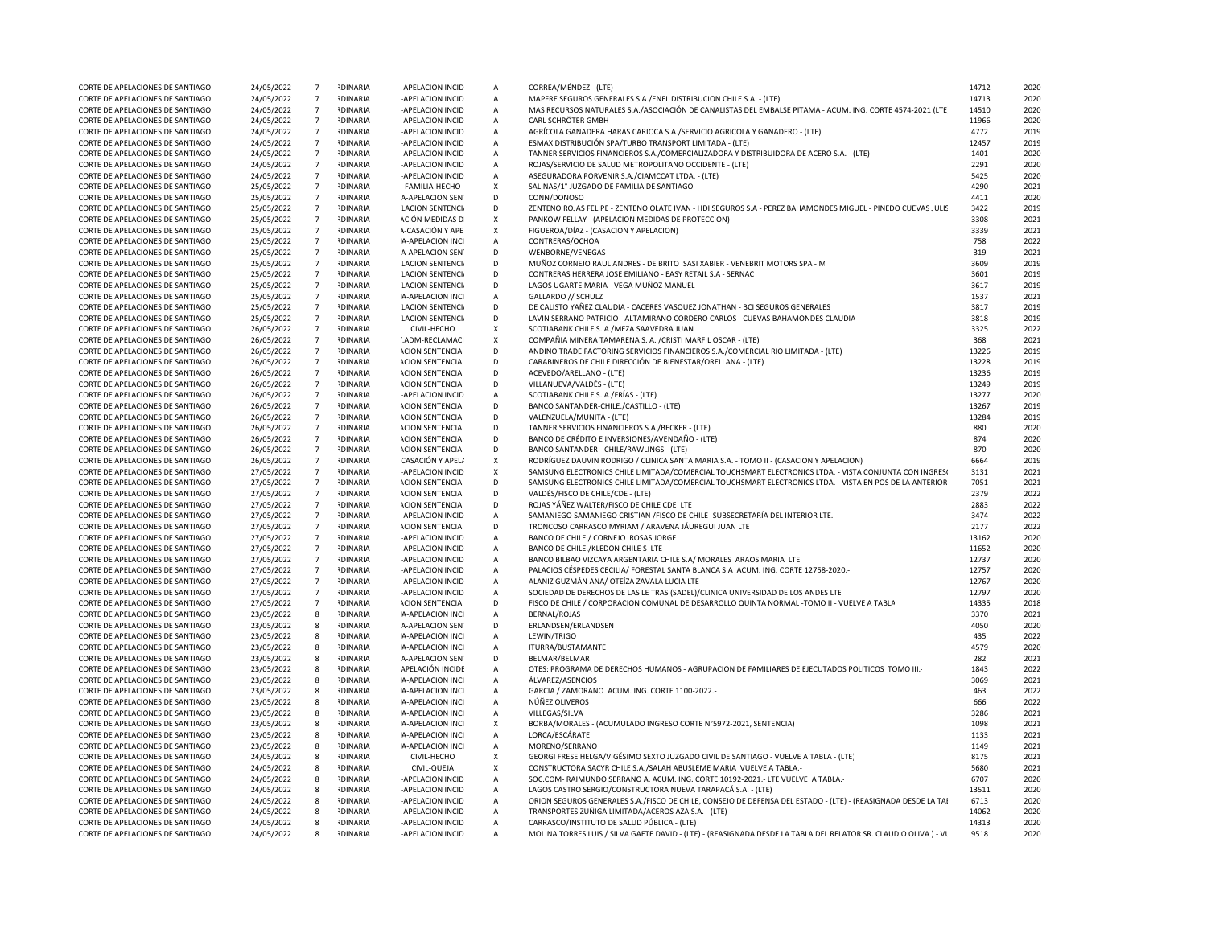| CORTE DE APELACIONES DE SANTIAGO | 24/05/2022 | $7\overline{ }$  | <b>IDINARIA</b> | -APELACION INCID        | А              | CORREA/MÉNDEZ - (LTE)                                                                                           | 14712 | 2020 |
|----------------------------------|------------|------------------|-----------------|-------------------------|----------------|-----------------------------------------------------------------------------------------------------------------|-------|------|
| CORTE DE APELACIONES DE SANTIAGO | 24/05/2022 | $7\phantom{.0}$  | <b>RDINARIA</b> | -APELACION INCID        | Α              | MAPFRE SEGUROS GENERALES S.A./ENEL DISTRIBUCION CHILE S.A. - (LTE)                                              | 14713 | 2020 |
| CORTE DE APELACIONES DE SANTIAGO | 24/05/2022 | $7\overline{ }$  | <b>RDINARIA</b> | -APELACION INCID        | $\overline{A}$ | MAS RECURSOS NATURALES S.A./ASOCIACIÓN DE CANALISTAS DEL EMBALSE PITAMA - ACUM. ING. CORTE 4574-2021 (LTE       | 14510 | 2020 |
| CORTE DE APELACIONES DE SANTIAGO | 24/05/2022 | $\overline{7}$   | <b>RDINARIA</b> | -APELACION INCID        | A              | CARL SCHRÖTER GMBH                                                                                              | 11966 | 2020 |
| CORTE DE APELACIONES DE SANTIAGO | 24/05/2022 | $7\overline{ }$  | <b>IDINARIA</b> | -APELACION INCID        | А              | AGRÍCOLA GANADERA HARAS CARIOCA S.A./SERVICIO AGRICOLA Y GANADERO - (LTE)                                       | 4772  | 2019 |
| CORTE DE APELACIONES DE SANTIAGO | 24/05/2022 | $\overline{7}$   | <b>RDINARIA</b> | -APELACION INCID        | А              | ESMAX DISTRIBUCIÓN SPA/TURBO TRANSPORT LIMITADA - (LTE)                                                         | 12457 | 2019 |
| CORTE DE APELACIONES DE SANTIAGO | 24/05/2022 | $\overline{7}$   | <b>RDINARIA</b> | -APELACION INCID        | А              | TANNER SERVICIOS FINANCIEROS S.A./COMERCIALIZADORA Y DISTRIBUIDORA DE ACERO S.A. - (LTE)                        | 1401  | 2020 |
| CORTE DE APELACIONES DE SANTIAGO | 24/05/2022 | $7\overline{ }$  | <b>IDINARIA</b> | -APELACION INCID        | А              | ROJAS/SERVICIO DE SALUD METROPOLITANO OCCIDENTE - (LTE)                                                         | 2291  | 2020 |
| CORTE DE APELACIONES DE SANTIAGO | 24/05/2022 | $7\overline{ }$  | <b>IDINARIA</b> | -APELACION INCID        | А              | ASEGURADORA PORVENIR S.A./CIAMCCAT LTDA. - (LTE)                                                                | 5425  | 2020 |
| CORTE DE APELACIONES DE SANTIAGO | 25/05/2022 | $\overline{7}$   | <b>RDINARIA</b> | FAMILIA-HECHO           | X              | SALINAS/1° JUZGADO DE FAMILIA DE SANTIAGO                                                                       | 4290  | 2021 |
| CORTE DE APELACIONES DE SANTIAGO | 25/05/2022 | $\overline{7}$   | <b>RDINARIA</b> | A-APELACION SEN         | D              | CONN/DONOSO                                                                                                     | 4411  | 2020 |
| CORTE DE APELACIONES DE SANTIAGO | 25/05/2022 | $\overline{7}$   | <b>RDINARIA</b> | LACION SENTENCIA        | D              | ZENTENO ROJAS FELIPE - ZENTENO OLATE IVAN - HDI SEGUROS S.A - PEREZ BAHAMONDES MIGUEL - PINEDO CUEVAS JULIS     | 3422  | 2019 |
| CORTE DE APELACIONES DE SANTIAGO | 25/05/2022 | $\overline{7}$   | <b>RDINARIA</b> | ACIÓN MEDIDAS D         | X              | PANKOW FELLAY - (APELACION MEDIDAS DE PROTECCION)                                                               | 3308  | 2021 |
| CORTE DE APELACIONES DE SANTIAGO | 25/05/2022 | $7\overline{ }$  | <b>RDINARIA</b> | A-CASACIÓN Y APF        | $\mathsf{x}$   | FIGUEROA/DÍAZ - (CASACION Y APELACION)                                                                          | 3339  | 2021 |
| CORTE DE APELACIONES DE SANTIAGO | 25/05/2022 | $7\phantom{.0}$  | <b>RDINARIA</b> | A-APELACION INCI        | А              | CONTRERAS/OCHOA                                                                                                 | 758   | 2022 |
| CORTE DE APELACIONES DE SANTIAGO | 25/05/2022 | $7\phantom{.0}$  | <b>RDINARIA</b> | A-APELACION SEN         | D              | WENBORNE/VENEGAS                                                                                                | 319   | 2021 |
| CORTE DE APELACIONES DE SANTIAGO | 25/05/2022 | $7\overline{ }$  | <b>IDINARIA</b> | <b>LACION SENTENCIA</b> | D              | MUÑOZ CORNEJO RAUL ANDRES - DE BRITO ISASI XABIER - VENEBRIT MOTORS SPA - M                                     | 3609  | 2019 |
| CORTE DE APELACIONES DE SANTIAGO | 25/05/2022 | $7\overline{ }$  | <b>RDINARIA</b> | LACION SENTENCIA        | D              | CONTRERAS HERRERA JOSE EMILIANO - EASY RETAIL S.A - SERNAC                                                      | 3601  | 2019 |
| CORTE DE APELACIONES DE SANTIAGO | 25/05/2022 | $7\overline{ }$  | <b>RDINARIA</b> | <b>LACION SENTENCIA</b> | D              | LAGOS UGARTE MARIA - VEGA MUÑOZ MANUEL                                                                          | 3617  | 2019 |
| CORTE DE APELACIONES DE SANTIAGO | 25/05/2022 | $\overline{7}$   | <b>IDINARIA</b> | A-APELACION INCI        | A              | GALLARDO // SCHULZ                                                                                              | 1537  | 2021 |
| CORTE DE APELACIONES DE SANTIAGO | 25/05/2022 | $\overline{7}$   | <b>IDINARIA</b> | LACION SENTENCIA        | D              | DE CALISTO YAÑEZ CLAUDIA - CACERES VASQUEZ JONATHAN - BCI SEGUROS GENERALES                                     | 3817  | 2019 |
| CORTE DE APELACIONES DE SANTIAGO | 25/05/2022 | $7\phantom{.0}$  | <b>NDINARIA</b> | <b>LACION SENTENCIA</b> | D              | LAVIN SERRANO PATRICIO - ALTAMIRANO CORDERO CARLOS - CUEVAS BAHAMONDES CLAUDIA                                  | 3818  | 2019 |
| CORTE DE APELACIONES DE SANTIAGO | 26/05/2022 | $7\overline{ }$  | <b>NDINARIA</b> | CIVIL-HECHO             | $\mathsf{x}$   | SCOTIABANK CHILE S. A./MEZA SAAVEDRA JUAN                                                                       | 3325  | 2022 |
| CORTE DE APELACIONES DE SANTIAGO | 26/05/2022 | $7\overline{ }$  | <b>RDINARIA</b> | '.ADM-RECLAMACI         | X              | COMPAÑIA MINERA TAMARENA S. A. / CRISTI MARFIL OSCAR - (LTE)                                                    | 368   | 2021 |
| CORTE DE APELACIONES DE SANTIAGO | 26/05/2022 | $7\phantom{.0}$  | <b>RDINARIA</b> | <b>ACION SENTENCIA</b>  | D              | ANDINO TRADE FACTORING SERVICIOS FINANCIEROS S.A./COMERCIAL RIO LIMITADA - (LTE)                                | 13226 | 2019 |
| CORTE DE APELACIONES DE SANTIAGO | 26/05/2022 | $7\overline{ }$  | <b>RDINARIA</b> | <b>ACION SENTENCIA</b>  | D              | CARABINEROS DE CHILE DIRECCIÓN DE BIENESTAR/ORELLANA - (LTE)                                                    | 13228 | 2019 |
| CORTE DE APELACIONES DE SANTIAGO | 26/05/2022 | $7^{\circ}$      | <b>RDINARIA</b> | <b>ACION SENTENCIA</b>  | D              | ACEVEDO/ARELLANO - (LTE)                                                                                        | 13236 | 2019 |
| CORTE DE APELACIONES DE SANTIAGO | 26/05/2022 | $7\phantom{.0}$  | <b>IDINARIA</b> | <b>ACION SENTENCIA</b>  | D              | VILLANUEVA/VALDÉS - (LTE)                                                                                       | 13249 | 2019 |
| CORTE DE APELACIONES DE SANTIAGO | 26/05/2022 | $7\overline{ }$  | <b>NDINARIA</b> | -APELACION INCID        | $\overline{A}$ | SCOTIABANK CHILE S. A./FRÍAS - (LTE)                                                                            | 13277 | 2020 |
| CORTE DE APELACIONES DE SANTIAGO | 26/05/2022 | $\overline{7}$   | <b>RDINARIA</b> | <b>ACION SENTENCIA</b>  | D              | BANCO SANTANDER-CHILE./CASTILLO - (LTE)                                                                         | 13267 | 2019 |
| CORTE DE APELACIONES DE SANTIAGO | 26/05/2022 | $\overline{7}$   | <b>RDINARIA</b> | <b>ACION SENTENCIA</b>  | D              | VALENZUELA/MUNITA - (LTE)                                                                                       | 13284 | 2019 |
| CORTE DE APELACIONES DE SANTIAGO | 26/05/2022 | $\overline{7}$   | <b>RDINARIA</b> | <b>ACION SENTENCIA</b>  | D              | TANNER SERVICIOS FINANCIEROS S.A./BECKER - (LTE)                                                                | 880   | 2020 |
| CORTE DE APELACIONES DE SANTIAGO | 26/05/2022 | $7\overline{ }$  | <b>IDINARIA</b> | <b>ACION SENTENCIA</b>  | D              | BANCO DE CRÉDITO E INVERSIONES/AVENDAÑO - (LTE)                                                                 | 874   | 2020 |
| CORTE DE APELACIONES DE SANTIAGO | 26/05/2022 | $7\overline{ }$  | <b>IDINARIA</b> | <b>ACION SENTENCIA</b>  | D              | BANCO SANTANDER - CHILE/RAWLINGS - (LTE)                                                                        | 870   | 2020 |
| CORTE DE APELACIONES DE SANTIAGO | 26/05/2022 | $7\phantom{.0}$  | <b>IDINARIA</b> | CASACIÓN Y APELA        | X              | RODRÍGUEZ DAUVIN RODRIGO / CLINICA SANTA MARIA S.A. - TOMO II - (CASACION Y APELACION)                          | 6664  | 2019 |
| CORTE DE APELACIONES DE SANTIAGO | 27/05/2022 | $\overline{7}$   | <b>RDINARIA</b> | -APELACION INCID        | X              | SAMSUNG ELECTRONICS CHILE LIMITADA/COMERCIAL TOUCHSMART ELECTRONICS LTDA. - VISTA CONJUNTA CON INGRESI          | 3131  | 2021 |
| CORTE DE APELACIONES DE SANTIAGO | 27/05/2022 | $\overline{7}$   | <b>RDINARIA</b> | <b>ACION SENTENCIA</b>  | D              | SAMSUNG ELECTRONICS CHILE LIMITADA/COMERCIAL TOUCHSMART ELECTRONICS LTDA. - VISTA EN POS DE LA ANTERIOR         | 7051  | 2021 |
| CORTE DE APELACIONES DE SANTIAGO | 27/05/2022 | $\overline{7}$   | <b>RDINARIA</b> | <b>ACION SENTENCIA</b>  | D              | VALDÉS/FISCO DE CHILE/CDE - (LTE)                                                                               | 2379  | 2022 |
| CORTE DE APELACIONES DE SANTIAGO | 27/05/2022 | $\overline{7}$   | <b>RDINARIA</b> | <b>ACION SENTENCIA</b>  | D              | ROJAS YÁÑEZ WALTER/FISCO DE CHILE CDE LTE                                                                       | 2883  | 2022 |
| CORTE DE APELACIONES DE SANTIAGO | 27/05/2022 | $7\phantom{.0}$  | <b>RDINARIA</b> | -APELACION INCID        | Α              | SAMANIEGO SAMANIEGO CRISTIAN / FISCO DE CHILE- SUBSECRETARÍA DEL INTERIOR LTE.-                                 | 3474  | 2022 |
| CORTE DE APELACIONES DE SANTIAGO | 27/05/2022 | $7\phantom{.0}$  | <b>RDINARIA</b> | <b>ACION SENTENCIA</b>  | D              | TRONCOSO CARRASCO MYRIAM / ARAVENA JÁUREGUI JUAN LTE                                                            | 2177  | 2022 |
| CORTE DE APELACIONES DE SANTIAGO | 27/05/2022 | $7\phantom{.0}$  | <b>IDINARIA</b> | -APELACION INCID        | А              | BANCO DE CHILE / CORNEJO ROSAS JORGE                                                                            | 13162 | 2020 |
| CORTE DE APELACIONES DE SANTIAGO | 27/05/2022 | $\overline{7}$   | <b>IDINARIA</b> | -APELACION INCID        | A              | BANCO DE CHILE./KLEDON CHILE S LTE                                                                              | 11652 | 2020 |
| CORTE DE APELACIONES DE SANTIAGO | 27/05/2022 | $7\overline{ }$  | <b>RDINARIA</b> | -APELACION INCID        | Α              | BANCO BILBAO VIZCAYA ARGENTARIA CHILE S.A/ MORALES ARAOS MARIA LTE                                              | 12737 | 2020 |
| CORTE DE APELACIONES DE SANTIAGO | 27/05/2022 | $7\phantom{.0}$  | <b>IDINARIA</b> | -APELACION INCID        | А              | PALACIOS CÉSPEDES CECILIA/ FORESTAL SANTA BLANCA S.A ACUM. ING. CORTE 12758-2020.-                              | 12757 | 2020 |
| CORTE DE APELACIONES DE SANTIAGO | 27/05/2022 | $\overline{7}$   | <b>NDINARIA</b> | -APELACION INCID        | A              | ALANIZ GUZMÁN ANA/ OTEÍZA ZAVALA LUCIA LTE                                                                      | 12767 | 2020 |
| CORTE DE APELACIONES DE SANTIAGO | 27/05/2022 | $7\phantom{.0}$  | <b>NDINARIA</b> | -APELACION INCID        | А              | SOCIEDAD DE DERECHOS DE LAS LE TRAS (SADEL)/CLINICA UNIVERSIDAD DE LOS ANDES LTE                                | 12797 | 2020 |
| CORTE DE APELACIONES DE SANTIAGO | 27/05/2022 | $7\overline{ }$  | <b>IDINARIA</b> | <b>ACION SENTENCIA</b>  | D              | FISCO DE CHILE / CORPORACION COMUNAL DE DESARROLLO QUINTA NORMAL -TOMO II - VUELVE A TABLA                      | 14335 | 2018 |
| CORTE DE APELACIONES DE SANTIAGO | 23/05/2022 | 8                | <b>RDINARIA</b> | A-APELACION INCI        | A              | <b>BERNAL/ROJAS</b>                                                                                             | 3370  | 2021 |
| CORTE DE APELACIONES DE SANTIAGO | 23/05/2022 | 8                | <b>RDINARIA</b> | A-APELACION SEN         | D              | ERLANDSEN/ERLANDSEN                                                                                             | 4050  | 2020 |
| CORTE DE APELACIONES DE SANTIAGO | 23/05/2022 | 8                | <b>RDINARIA</b> | A-APELACION INCI        | А              | LEWIN/TRIGO                                                                                                     | 435   | 2022 |
| CORTE DE APELACIONES DE SANTIAGO | 23/05/2022 | 8                | <b>RDINARIA</b> | A-APELACION INCI        | $\overline{A}$ | ITURRA/BUSTAMANTE                                                                                               | 4579  | 2020 |
| CORTE DE APELACIONES DE SANTIAGO | 23/05/2022 | 8                | <b>IDINARIA</b> | A-APELACION SEN         | D              | BELMAR/BELMAR                                                                                                   | 282   | 2021 |
| CORTE DE APELACIONES DE SANTIAGO | 23/05/2022 | 8                | <b>IDINARIA</b> | APELACIÓN INCIDE        | А              | QTES: PROGRAMA DE DERECHOS HUMANOS - AGRUPACION DE FAMILIARES DE EJECUTADOS POLITICOS TOMO III.                 | 1843  | 2022 |
| CORTE DE APELACIONES DE SANTIAGO | 23/05/2022 | 8                | <b>IDINARIA</b> | A-APELACION INCI        | $\overline{A}$ | ÁLVAREZ/ASENCIOS                                                                                                | 3069  | 2021 |
| CORTE DE APELACIONES DE SANTIAGO | 23/05/2022 | 8                | <b>RDINARIA</b> | A-APELACION INCI        | А              | GARCIA / ZAMORANO ACUM. ING. CORTE 1100-2022.-                                                                  | 463   | 2022 |
| CORTE DE APELACIONES DE SANTIAGO | 23/05/2022 | 8                | <b>RDINARIA</b> | A-APELACION INCI        | А              | NÚÑEZ OLIVEROS                                                                                                  | 666   | 2022 |
| CORTE DE APELACIONES DE SANTIAGO | 23/05/2022 | 8                | <b>IDINARIA</b> | A-APELACION INCI        | А              | VILLEGAS/SILVA                                                                                                  | 3286  | 2021 |
| CORTE DE APELACIONES DE SANTIAGO | 23/05/2022 | 8                | <b>IDINARIA</b> | A-APELACION INCI        | X              | BORBA/MORALES - (ACUMULADO INGRESO CORTE Nº5972-2021, SENTENCIA)                                                | 1098  | 2021 |
| CORTE DE APELACIONES DE SANTIAGO | 23/05/2022 | 8                | <b>IDINARIA</b> | A-APELACION INCI        | А              | LORCA/ESCÁRATE                                                                                                  | 1133  | 2021 |
| CORTE DE APELACIONES DE SANTIAGO | 23/05/2022 | 8                | <b>IDINARIA</b> | A-APELACION INCI        | А              | MORENO/SERRANO                                                                                                  | 1149  | 2021 |
| CORTE DE APELACIONES DE SANTIAGO | 24/05/2022 | 8                | <b>IDINARIA</b> | CIVIL-HECHO             | X              | GEORGI FRESE HELGA/VIGÉSIMO SEXTO JUZGADO CIVIL DE SANTIAGO - VUELVE A TABLA - (LTE)                            | 8175  | 2021 |
| CORTE DE APELACIONES DE SANTIAGO | 24/05/2022 | 8                | <b>RDINARIA</b> | CIVIL-QUEJA             | X              | CONSTRUCTORA SACYR CHILE S.A./SALAH ABUSLEME MARIA VUELVE A TABLA.-                                             | 5680  | 2021 |
| CORTE DE APELACIONES DE SANTIAGO | 24/05/2022 | 8                | <b>IDINARIA</b> | -APELACION INCID        | А              | SOC.COM- RAIMUNDO SERRANO A. ACUM. ING. CORTE 10192-2021.- LTE VUELVE A TABLA.-                                 | 6707  | 2020 |
| CORTE DE APELACIONES DE SANTIAGO | 24/05/2022 | 8                | <b>IDINARIA</b> | -APELACION INCID        | A              | LAGOS CASTRO SERGIO/CONSTRUCTORA NUEVA TARAPACÁ S.A. - (LTE)                                                    | 13511 | 2020 |
| CORTE DE APELACIONES DE SANTIAGO | 24/05/2022 | 8                | <b>IDINARIA</b> | -APFLACION INCID        | А              | ORION SEGUROS GENERALES S.A./FISCO DE CHILE, CONSEJO DE DEFENSA DEL ESTADO - (LTE) - (REASIGNADA DESDE LA TAI   | 6713  | 2020 |
| CORTE DE APELACIONES DE SANTIAGO | 24/05/2022 | 8                | <b>NDINARIA</b> | -APELACION INCID        | А              | TRANSPORTES ZUÑIGA LIMITADA/ACEROS AZA S.A. - (LTE)                                                             | 14062 | 2020 |
| CORTE DE APELACIONES DE SANTIAGO | 24/05/2022 | $\boldsymbol{8}$ | <b>RDINARIA</b> | -APELACION INCID        | $\overline{A}$ | CARRASCO/INSTITUTO DE SALUD PÚBLICA - (LTE)                                                                     | 14313 | 2020 |
| CORTE DE APELACIONES DE SANTIAGO | 24/05/2022 | 8                | <b>RDINARIA</b> | -APELACION INCID        | $\overline{A}$ | MOLINA TORRES LUIS / SILVA GAETE DAVID - (LTE) - (REASIGNADA DESDE LA TABLA DEL RELATOR SR. CLAUDIO OLIVA) - VL | 9518  | 2020 |
|                                  |            |                  |                 |                         |                |                                                                                                                 |       |      |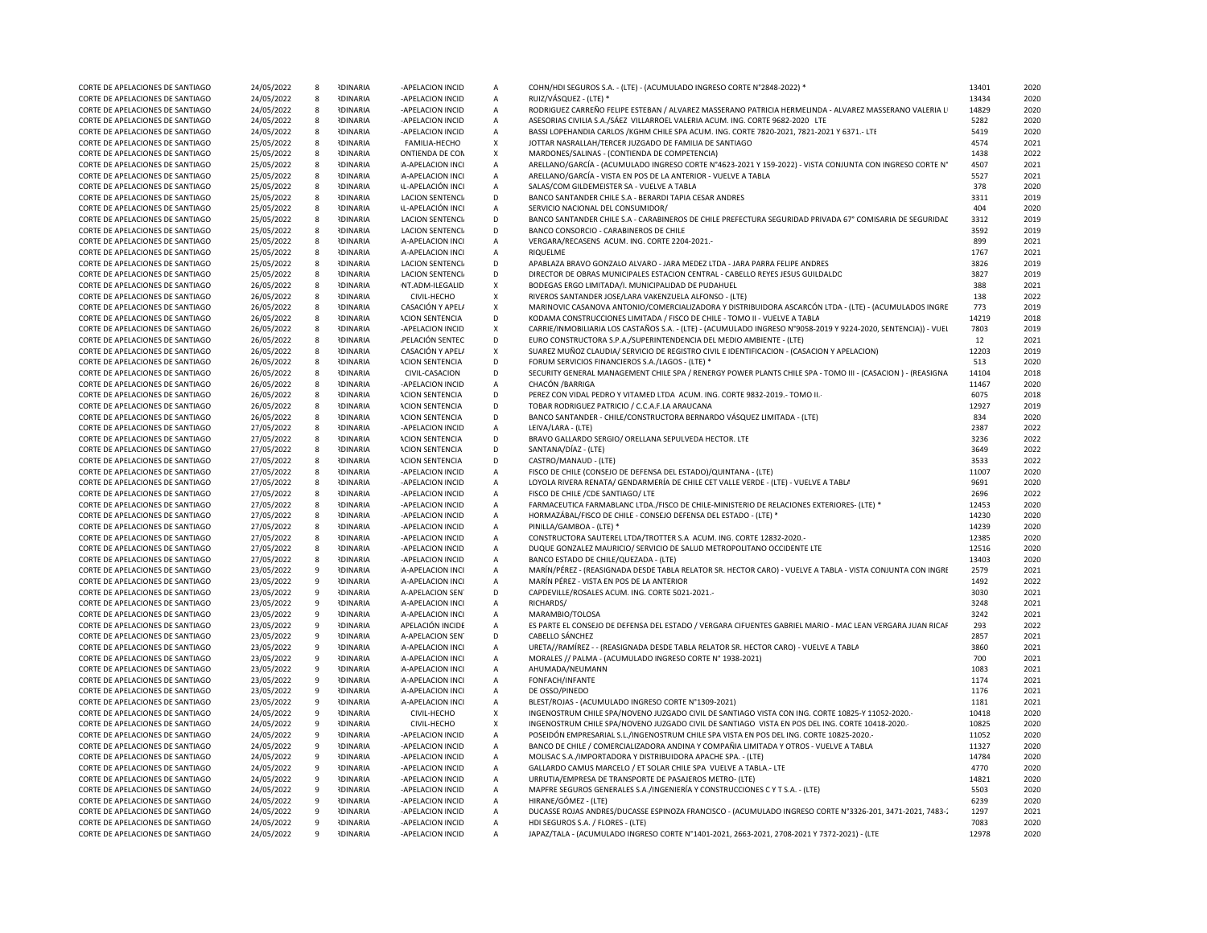| CORTE DE APELACIONES DE SANTIAGO<br>24/05/2022<br>-APELACION INCID<br>COHN/HDI SEGUROS S.A. - (LTE) - (ACUMULADO INGRESO CORTE N°2848-2022)<br>2020<br>$\overline{A}$<br>2020<br>CORTE DE APELACIONES DE SANTIAGO<br>24/05/2022<br><b>RDINARIA</b><br>-APELACION INCID<br>$\overline{A}$<br>RUIZ/VÁSQUEZ - (LTE) *<br>13434<br>-8<br>CORTE DE APELACIONES DE SANTIAGO<br>24/05/2022<br>8<br><b>RDINARIA</b><br>-APELACION INCID<br>А<br>RODRIGUEZ CARREÑO FELIPE ESTEBAN / ALVAREZ MASSERANO PATRICIA HERMELINDA - ALVAREZ MASSERANO VALERIA LI<br>14829<br>2020<br>CORTE DE APELACIONES DE SANTIAGO<br>24/05/2022<br><b>RDINARIA</b><br>-APELACION INCID<br>$\overline{A}$<br>ASESORIAS CIVILIA S.A./SÁEZ VILLARROEL VALERIA ACUM. ING. CORTE 9682-2020 LTE<br>5282<br>2020<br>8<br><b>IDINARIA</b><br>BASSI LOPEHANDIA CARLOS /KGHM CHILE SPA ACUM. ING. CORTE 7820-2021, 7821-2021 Y 6371.- LTE<br>5419<br>CORTE DE APELACIONES DE SANTIAGO<br>24/05/2022<br>-APELACION INCID<br>2020<br>-8<br>$\overline{A}$<br>CORTE DE APELACIONES DE SANTIAGO<br>25/05/2022<br><b>IDINARIA</b><br>FAMILIA-HECHO<br>$\mathsf{x}$<br>JOTTAR NASRALLAH/TERCER JUZGADO DE FAMILIA DE SANTIAGO<br>4574<br>2021<br>-8<br>CORTE DE APELACIONES DE SANTIAGO<br>25/05/2022<br>8<br><b>RDINARIA</b><br>ONTIENDA DE CON<br>$\mathsf{x}$<br>MARDONES/SALINAS - (CONTIENDA DE COMPETENCIA)<br>1438<br>2022<br><b>RDINARIA</b><br>ARELLANO/GARCÍA - (ACUMULADO INGRESO CORTE Nº4623-2021 Y 159-2022) - VISTA CONJUNTA CON INGRESO CORTE Nº<br>4507<br>CORTE DE APELACIONES DE SANTIAGO<br>25/05/2022<br>-8<br>A-APELACION INCI<br>$\overline{A}$<br>2021 |
|-----------------------------------------------------------------------------------------------------------------------------------------------------------------------------------------------------------------------------------------------------------------------------------------------------------------------------------------------------------------------------------------------------------------------------------------------------------------------------------------------------------------------------------------------------------------------------------------------------------------------------------------------------------------------------------------------------------------------------------------------------------------------------------------------------------------------------------------------------------------------------------------------------------------------------------------------------------------------------------------------------------------------------------------------------------------------------------------------------------------------------------------------------------------------------------------------------------------------------------------------------------------------------------------------------------------------------------------------------------------------------------------------------------------------------------------------------------------------------------------------------------------------------------------------------------------------------------------------------------------------------------|
|                                                                                                                                                                                                                                                                                                                                                                                                                                                                                                                                                                                                                                                                                                                                                                                                                                                                                                                                                                                                                                                                                                                                                                                                                                                                                                                                                                                                                                                                                                                                                                                                                                   |
|                                                                                                                                                                                                                                                                                                                                                                                                                                                                                                                                                                                                                                                                                                                                                                                                                                                                                                                                                                                                                                                                                                                                                                                                                                                                                                                                                                                                                                                                                                                                                                                                                                   |
|                                                                                                                                                                                                                                                                                                                                                                                                                                                                                                                                                                                                                                                                                                                                                                                                                                                                                                                                                                                                                                                                                                                                                                                                                                                                                                                                                                                                                                                                                                                                                                                                                                   |
|                                                                                                                                                                                                                                                                                                                                                                                                                                                                                                                                                                                                                                                                                                                                                                                                                                                                                                                                                                                                                                                                                                                                                                                                                                                                                                                                                                                                                                                                                                                                                                                                                                   |
|                                                                                                                                                                                                                                                                                                                                                                                                                                                                                                                                                                                                                                                                                                                                                                                                                                                                                                                                                                                                                                                                                                                                                                                                                                                                                                                                                                                                                                                                                                                                                                                                                                   |
|                                                                                                                                                                                                                                                                                                                                                                                                                                                                                                                                                                                                                                                                                                                                                                                                                                                                                                                                                                                                                                                                                                                                                                                                                                                                                                                                                                                                                                                                                                                                                                                                                                   |
|                                                                                                                                                                                                                                                                                                                                                                                                                                                                                                                                                                                                                                                                                                                                                                                                                                                                                                                                                                                                                                                                                                                                                                                                                                                                                                                                                                                                                                                                                                                                                                                                                                   |
|                                                                                                                                                                                                                                                                                                                                                                                                                                                                                                                                                                                                                                                                                                                                                                                                                                                                                                                                                                                                                                                                                                                                                                                                                                                                                                                                                                                                                                                                                                                                                                                                                                   |
| CORTE DE APELACIONES DE SANTIAGO<br>25/05/2022<br><b>IDINARIA</b><br>A-APELACION INCI<br>ARELLANO/GARCÍA - VISTA EN POS DE LA ANTERIOR - VUELVE A TABLA<br>5527<br>2021<br>- 8<br>$\overline{A}$                                                                                                                                                                                                                                                                                                                                                                                                                                                                                                                                                                                                                                                                                                                                                                                                                                                                                                                                                                                                                                                                                                                                                                                                                                                                                                                                                                                                                                  |
| CORTE DE APELACIONES DE SANTIAGO<br>25/05/2022<br><b>RDINARIA</b><br><b>IL-APELACIÓN INCI</b><br>$\overline{A}$<br>SALAS/COM GILDEMEISTER SA - VUELVE A TABLA<br>378<br>2020<br>-8                                                                                                                                                                                                                                                                                                                                                                                                                                                                                                                                                                                                                                                                                                                                                                                                                                                                                                                                                                                                                                                                                                                                                                                                                                                                                                                                                                                                                                                |
| <b>RDINARIA</b><br>3311<br>CORTE DE APELACIONES DE SANTIAGO<br>25/05/2022<br><b>LACION SENTENCI</b><br>D<br>BANCO SANTANDER CHILE S.A - BERARDI TAPIA CESAR ANDRES<br>2019<br>-8                                                                                                                                                                                                                                                                                                                                                                                                                                                                                                                                                                                                                                                                                                                                                                                                                                                                                                                                                                                                                                                                                                                                                                                                                                                                                                                                                                                                                                                  |
| $\overline{A}$<br>404<br>8                                                                                                                                                                                                                                                                                                                                                                                                                                                                                                                                                                                                                                                                                                                                                                                                                                                                                                                                                                                                                                                                                                                                                                                                                                                                                                                                                                                                                                                                                                                                                                                                        |
| CORTE DE APELACIONES DE SANTIAGO<br>25/05/2022<br><b>IDINARIA</b><br><b>IL-APELACIÓN INCI</b><br>SERVICIO NACIONAL DEL CONSUMIDOR/<br>2020                                                                                                                                                                                                                                                                                                                                                                                                                                                                                                                                                                                                                                                                                                                                                                                                                                                                                                                                                                                                                                                                                                                                                                                                                                                                                                                                                                                                                                                                                        |
| BANCO SANTANDER CHILE S.A - CARABINEROS DE CHILE PREFECTURA SEGURIDAD PRIVADA 67° COMISARIA DE SEGURIDAI<br>CORTE DE APELACIONES DE SANTIAGO<br>25/05/2022<br>8<br><b>RDINARIA</b><br><b>LACION SENTENCIA</b><br>D<br>3312<br>2019                                                                                                                                                                                                                                                                                                                                                                                                                                                                                                                                                                                                                                                                                                                                                                                                                                                                                                                                                                                                                                                                                                                                                                                                                                                                                                                                                                                                |
| D<br>3592<br>2019<br>25/05/2022<br><b>IDINARIA</b><br>BANCO CONSORCIO - CARABINEROS DE CHILE<br>CORTE DE APELACIONES DE SANTIAGO<br>-8<br>LACION SENTENCI                                                                                                                                                                                                                                                                                                                                                                                                                                                                                                                                                                                                                                                                                                                                                                                                                                                                                                                                                                                                                                                                                                                                                                                                                                                                                                                                                                                                                                                                         |
| CORTE DE APELACIONES DE SANTIAGO<br>25/05/2022<br><b>IDINARIA</b><br>A-APELACION INCI<br>VERGARA/RECASENS ACUM. ING. CORTE 2204-2021.-<br>899<br>2021<br>-8<br>$\overline{A}$                                                                                                                                                                                                                                                                                                                                                                                                                                                                                                                                                                                                                                                                                                                                                                                                                                                                                                                                                                                                                                                                                                                                                                                                                                                                                                                                                                                                                                                     |
| CORTE DE APELACIONES DE SANTIAGO<br>25/05/2022<br>8<br><b>IDINARIA</b><br>A-APELACION INCI<br>$\overline{A}$<br>RIQUELME<br>1767<br>2021                                                                                                                                                                                                                                                                                                                                                                                                                                                                                                                                                                                                                                                                                                                                                                                                                                                                                                                                                                                                                                                                                                                                                                                                                                                                                                                                                                                                                                                                                          |
| 25/05/2022<br><b>IDINARIA</b><br>3826<br>CORTE DE APELACIONES DE SANTIAGO<br><b>LACION SENTENCIA</b><br>D<br>APABLAZA BRAVO GONZALO ALVARO - JARA MEDEZ LTDA - JARA PARRA EFLIPE ANDRES<br>2019<br>-8                                                                                                                                                                                                                                                                                                                                                                                                                                                                                                                                                                                                                                                                                                                                                                                                                                                                                                                                                                                                                                                                                                                                                                                                                                                                                                                                                                                                                             |
| CORTE DE APELACIONES DE SANTIAGO<br>25/05/2022<br><b>IDINARIA</b><br><b>LACION SENTENCI</b><br>D<br>DIRECTOR DE OBRAS MUNICIPALES ESTACION CENTRAL - CABELLO REYES JESUS GUILDALDO<br>3827<br>2019<br>-8                                                                                                                                                                                                                                                                                                                                                                                                                                                                                                                                                                                                                                                                                                                                                                                                                                                                                                                                                                                                                                                                                                                                                                                                                                                                                                                                                                                                                          |
| CORTE DE APELACIONES DE SANTIAGO<br>26/05/2022<br><b>RDINARIA</b><br>NT.ADM-ILEGALID<br>$\mathsf{x}$<br>BODEGAS ERGO LIMITADA/I. MUNICIPALIDAD DE PUDAHUEL<br>388<br>2021<br>8                                                                                                                                                                                                                                                                                                                                                                                                                                                                                                                                                                                                                                                                                                                                                                                                                                                                                                                                                                                                                                                                                                                                                                                                                                                                                                                                                                                                                                                    |
| <b>RDINARIA</b>                                                                                                                                                                                                                                                                                                                                                                                                                                                                                                                                                                                                                                                                                                                                                                                                                                                                                                                                                                                                                                                                                                                                                                                                                                                                                                                                                                                                                                                                                                                                                                                                                   |
| RIVEROS SANTANDER JOSE/LARA VAKENZUELA ALFONSO - (LTE)<br>CORTE DE APELACIONES DE SANTIAGO<br>26/05/2022<br>8<br>$\boldsymbol{\mathsf{x}}$<br>138<br>2022<br>CIVIL-HECHO                                                                                                                                                                                                                                                                                                                                                                                                                                                                                                                                                                                                                                                                                                                                                                                                                                                                                                                                                                                                                                                                                                                                                                                                                                                                                                                                                                                                                                                          |
| CORTE DE APELACIONES DE SANTIAGO<br>26/05/2022<br><b>IDINARIA</b><br>CASACIÓN Y APELA<br>$\mathsf{x}$<br>MARINOVIC CASANOVA ANTONIO/COMERCIALIZADORA Y DISTRIBUIDORA ASCARCÓN LTDA - (LTE) - (ACUMULADOS INGRE<br>773<br>2019<br>- 8                                                                                                                                                                                                                                                                                                                                                                                                                                                                                                                                                                                                                                                                                                                                                                                                                                                                                                                                                                                                                                                                                                                                                                                                                                                                                                                                                                                              |
| CORTE DE APELACIONES DE SANTIAGO<br>26/05/2022<br>8<br><b>IDINARIA</b><br><b>ACION SENTENCIA</b><br>D<br>KODAMA CONSTRUCCIONES LIMITADA / FISCO DE CHILE - TOMO II - VUELVE A TABLA<br>14219<br>2018                                                                                                                                                                                                                                                                                                                                                                                                                                                                                                                                                                                                                                                                                                                                                                                                                                                                                                                                                                                                                                                                                                                                                                                                                                                                                                                                                                                                                              |
| <b>RDINARIA</b><br>CARRIE/INMOBILIARIA LOS CASTAÑOS S.A. - (LTE) - (ACUMULADO INGRESO N°9058-2019 Y 9224-2020, SENTENCIA)) - VUEI<br>7803<br>CORTE DE APELACIONES DE SANTIAGO<br>26/05/2022<br>-APELACION INCID<br>2019<br>-8<br>X                                                                                                                                                                                                                                                                                                                                                                                                                                                                                                                                                                                                                                                                                                                                                                                                                                                                                                                                                                                                                                                                                                                                                                                                                                                                                                                                                                                                |
| <b>NDINARIA</b><br>D<br>EURO CONSTRUCTORA S.P.A./SUPERINTENDENCIA DEL MEDIO AMBIENTE - (LTE)<br>12<br>2021<br>CORTE DE APELACIONES DE SANTIAGO<br>26/05/2022<br>8<br>PELACIÓN SENTEC                                                                                                                                                                                                                                                                                                                                                                                                                                                                                                                                                                                                                                                                                                                                                                                                                                                                                                                                                                                                                                                                                                                                                                                                                                                                                                                                                                                                                                              |
| CORTE DE APELACIONES DE SANTIAGO<br>26/05/2022<br><b>RDINARIA</b><br>CASACIÓN Y APEL/<br>$\mathsf{x}$<br>SUAREZ MUÑOZ CLAUDIA/ SERVICIO DE REGISTRO CIVIL E IDENTIFICACION - (CASACION Y APELACION)<br>12203<br>2019<br>8                                                                                                                                                                                                                                                                                                                                                                                                                                                                                                                                                                                                                                                                                                                                                                                                                                                                                                                                                                                                                                                                                                                                                                                                                                                                                                                                                                                                         |
| D<br>2020<br>26/05/2022<br><b>RDINARIA</b><br>FORUM SERVICIOS FINANCIEROS S.A./LAGOS - (LTE) *<br>513<br>CORTE DE APELACIONES DE SANTIAGO<br>-8<br><b>ACION SENTENCIA</b>                                                                                                                                                                                                                                                                                                                                                                                                                                                                                                                                                                                                                                                                                                                                                                                                                                                                                                                                                                                                                                                                                                                                                                                                                                                                                                                                                                                                                                                         |
| CORTE DE APELACIONES DE SANTIAGO<br>26/05/2022<br><b>IDINARIA</b><br>CIVIL-CASACION<br>D<br>SECURITY GENERAL MANAGEMENT CHILE SPA / RENERGY POWER PLANTS CHILE SPA - TOMO III - (CASACION ) - (REASIGNA<br>14104<br>2018<br>-8                                                                                                                                                                                                                                                                                                                                                                                                                                                                                                                                                                                                                                                                                                                                                                                                                                                                                                                                                                                                                                                                                                                                                                                                                                                                                                                                                                                                    |
| 8<br>$\overline{A}$                                                                                                                                                                                                                                                                                                                                                                                                                                                                                                                                                                                                                                                                                                                                                                                                                                                                                                                                                                                                                                                                                                                                                                                                                                                                                                                                                                                                                                                                                                                                                                                                               |
| CORTE DE APELACIONES DE SANTIAGO<br>26/05/2022<br><b>IDINARIA</b><br>-APELACION INCID<br>CHACÓN / BARRIGA<br>11467<br>2020                                                                                                                                                                                                                                                                                                                                                                                                                                                                                                                                                                                                                                                                                                                                                                                                                                                                                                                                                                                                                                                                                                                                                                                                                                                                                                                                                                                                                                                                                                        |
| <b>IDINARIA</b><br>6075<br>CORTE DE APELACIONES DE SANTIAGO<br>26/05/2022<br>-8<br><b>ACION SENTENCIA</b><br>D<br>PEREZ CON VIDAL PEDRO Y VITAMED LTDA ACUM. ING. CORTE 9832-2019.- TOMO II.<br>2018                                                                                                                                                                                                                                                                                                                                                                                                                                                                                                                                                                                                                                                                                                                                                                                                                                                                                                                                                                                                                                                                                                                                                                                                                                                                                                                                                                                                                              |
| 26/05/2022<br><b>RDINARIA</b><br>TOBAR RODRIGUEZ PATRICIO / C.C.A.F.LA ARAUCANA<br>12927<br>2019<br>CORTE DE APELACIONES DE SANTIAGO<br>-8<br><b>ACION SENTENCIA</b><br>D                                                                                                                                                                                                                                                                                                                                                                                                                                                                                                                                                                                                                                                                                                                                                                                                                                                                                                                                                                                                                                                                                                                                                                                                                                                                                                                                                                                                                                                         |
| CORTE DE APELACIONES DE SANTIAGO<br>26/05/2022<br><b>RDINARIA</b><br>D<br>BANCO SANTANDER - CHILE/CONSTRUCTORA BERNARDO VÁSQUEZ LIMITADA - (LTE)<br>834<br>2020<br>8<br><b>ACION SENTENCIA</b>                                                                                                                                                                                                                                                                                                                                                                                                                                                                                                                                                                                                                                                                                                                                                                                                                                                                                                                                                                                                                                                                                                                                                                                                                                                                                                                                                                                                                                    |
| <b>RDINARIA</b><br>2387<br>2022<br>CORTE DE APELACIONES DE SANTIAGO<br>27/05/2022<br>-8<br>-APELACION INCID<br>$\overline{A}$<br>LEIVA/LARA - (LTE)                                                                                                                                                                                                                                                                                                                                                                                                                                                                                                                                                                                                                                                                                                                                                                                                                                                                                                                                                                                                                                                                                                                                                                                                                                                                                                                                                                                                                                                                               |
| CORTE DE APELACIONES DE SANTIAGO<br>27/05/2022<br>8<br><b>IDINARIA</b><br><b>ACION SENTENCIA</b><br>D<br>BRAVO GALLARDO SERGIO/ ORELLANA SEPULVEDA HECTOR. LTE<br>3236<br>2022                                                                                                                                                                                                                                                                                                                                                                                                                                                                                                                                                                                                                                                                                                                                                                                                                                                                                                                                                                                                                                                                                                                                                                                                                                                                                                                                                                                                                                                    |
| 27/05/2022<br><b>RDINARIA</b><br>SANTANA/DÍAZ - (LTE)<br>3649<br>2022<br>CORTE DE APELACIONES DE SANTIAGO<br>8<br><b>ACION SENTENCIA</b><br>D                                                                                                                                                                                                                                                                                                                                                                                                                                                                                                                                                                                                                                                                                                                                                                                                                                                                                                                                                                                                                                                                                                                                                                                                                                                                                                                                                                                                                                                                                     |
|                                                                                                                                                                                                                                                                                                                                                                                                                                                                                                                                                                                                                                                                                                                                                                                                                                                                                                                                                                                                                                                                                                                                                                                                                                                                                                                                                                                                                                                                                                                                                                                                                                   |
|                                                                                                                                                                                                                                                                                                                                                                                                                                                                                                                                                                                                                                                                                                                                                                                                                                                                                                                                                                                                                                                                                                                                                                                                                                                                                                                                                                                                                                                                                                                                                                                                                                   |
| <b>RDINARIA</b><br>3533<br>CORTE DE APELACIONES DE SANTIAGO<br>27/05/2022<br>- 8<br><b>ACION SENTENCIA</b><br>D<br>CASTRO/MANAUD - (LTE)<br>2022                                                                                                                                                                                                                                                                                                                                                                                                                                                                                                                                                                                                                                                                                                                                                                                                                                                                                                                                                                                                                                                                                                                                                                                                                                                                                                                                                                                                                                                                                  |
| 27/05/2022<br><b>IDINARIA</b><br>FISCO DE CHILE (CONSEJO DE DEFENSA DEL ESTADO)/QUINTANA - (LTE)<br>11007<br>2020<br>CORTE DE APELACIONES DE SANTIAGO<br>8<br>-APELACION INCID<br>$\overline{A}$                                                                                                                                                                                                                                                                                                                                                                                                                                                                                                                                                                                                                                                                                                                                                                                                                                                                                                                                                                                                                                                                                                                                                                                                                                                                                                                                                                                                                                  |
| CORTE DE APELACIONES DE SANTIAGO<br>27/05/2022<br><b>RDINARIA</b><br>$\overline{A}$<br>LOYOLA RIVERA RENATA/ GENDARMERÍA DE CHILE CET VALLE VERDE - (LTE) - VUELVE A TABLA<br>9691<br>2020<br>$\mathbf{R}$<br>-APFLACION INCID                                                                                                                                                                                                                                                                                                                                                                                                                                                                                                                                                                                                                                                                                                                                                                                                                                                                                                                                                                                                                                                                                                                                                                                                                                                                                                                                                                                                    |
| <b>RDINARIA</b><br>2696<br>2022<br>27/05/2022<br>$\overline{A}$<br>FISCO DE CHILE / CDE SANTIAGO/ LTE<br>CORTE DE APELACIONES DE SANTIAGO<br>-8<br>-APELACION INCID                                                                                                                                                                                                                                                                                                                                                                                                                                                                                                                                                                                                                                                                                                                                                                                                                                                                                                                                                                                                                                                                                                                                                                                                                                                                                                                                                                                                                                                               |
| FARMACEUTICA FARMABLANC LTDA./FISCO DE CHILE-MINISTERIO DE RELACIONES EXTERIORES- (LTE) *<br>2020<br>CORTE DE APELACIONES DE SANTIAGO<br>27/05/2022<br>8<br><b>RDINARIA</b><br>-APELACION INCID<br>$\overline{A}$<br>12453                                                                                                                                                                                                                                                                                                                                                                                                                                                                                                                                                                                                                                                                                                                                                                                                                                                                                                                                                                                                                                                                                                                                                                                                                                                                                                                                                                                                        |
| <b>RDINARIA</b><br>14230<br>2020<br>$\overline{A}$<br>-8                                                                                                                                                                                                                                                                                                                                                                                                                                                                                                                                                                                                                                                                                                                                                                                                                                                                                                                                                                                                                                                                                                                                                                                                                                                                                                                                                                                                                                                                                                                                                                          |
| 27/05/2022<br>HORMAZÁBAL/FISCO DE CHILE - CONSEJO DEFENSA DEL ESTADO - (LTE) *<br>CORTE DE APELACIONES DE SANTIAGO<br>-APELACION INCID                                                                                                                                                                                                                                                                                                                                                                                                                                                                                                                                                                                                                                                                                                                                                                                                                                                                                                                                                                                                                                                                                                                                                                                                                                                                                                                                                                                                                                                                                            |
| 27/05/2022<br><b>RDINARIA</b><br>PINILLA/GAMBOA - (LTE) *<br>14239<br>CORTE DE APELACIONES DE SANTIAGO<br>-8<br>-APELACION INCID<br>A<br>2020                                                                                                                                                                                                                                                                                                                                                                                                                                                                                                                                                                                                                                                                                                                                                                                                                                                                                                                                                                                                                                                                                                                                                                                                                                                                                                                                                                                                                                                                                     |
| 27/05/2022<br><b>IDINARIA</b><br>CONSTRUCTORA SAUTEREL LTDA/TROTTER S.A ACUM. ING. CORTE 12832-2020.<br>12385<br>2020<br>CORTE DE APELACIONES DE SANTIAGO<br>- 8<br>-APELACION INCID<br>A                                                                                                                                                                                                                                                                                                                                                                                                                                                                                                                                                                                                                                                                                                                                                                                                                                                                                                                                                                                                                                                                                                                                                                                                                                                                                                                                                                                                                                         |
| CORTE DE APELACIONES DE SANTIAGO<br>27/05/2022<br><b>RDINARIA</b><br>-APELACION INCID<br>$\overline{A}$<br>DUQUE GONZALEZ MAURICIO/ SERVICIO DE SALUD METROPOLITANO OCCIDENTE LTE<br>12516<br>2020<br>-8                                                                                                                                                                                                                                                                                                                                                                                                                                                                                                                                                                                                                                                                                                                                                                                                                                                                                                                                                                                                                                                                                                                                                                                                                                                                                                                                                                                                                          |
| 13403<br>CORTE DE APELACIONES DE SANTIAGO<br>27/05/2022<br>8<br><b>RDINARIA</b><br>-APELACION INCID<br>$\overline{A}$<br>BANCO ESTADO DE CHILE/QUEZADA - (LTE)<br>2020                                                                                                                                                                                                                                                                                                                                                                                                                                                                                                                                                                                                                                                                                                                                                                                                                                                                                                                                                                                                                                                                                                                                                                                                                                                                                                                                                                                                                                                            |
| MARÍN/PÉREZ - (REASIGNADA DESDE TABLA RELATOR SR. HECTOR CARO) - VUELVE A TABLA - VISTA CONJUNTA CON INGRI<br>2579<br>CORTE DE APELACIONES DE SANTIAGO<br>23/05/2022<br>$\mathbf{q}$<br><b>RDINARIA</b><br>A-APELACION INCI<br>$\overline{A}$<br>2021                                                                                                                                                                                                                                                                                                                                                                                                                                                                                                                                                                                                                                                                                                                                                                                                                                                                                                                                                                                                                                                                                                                                                                                                                                                                                                                                                                             |
| CORTE DE APELACIONES DE SANTIAGO<br>23/05/2022<br><b>RDINARIA</b><br>MARÍN PÉREZ - VISTA EN POS DE LA ANTERIOR<br>1492<br>2022<br>$\mathbf{q}$<br>A-APELACION INCI<br>$\overline{A}$                                                                                                                                                                                                                                                                                                                                                                                                                                                                                                                                                                                                                                                                                                                                                                                                                                                                                                                                                                                                                                                                                                                                                                                                                                                                                                                                                                                                                                              |
| 23/05/2022<br><b>RDINARIA</b><br>D<br>CAPDEVILLE/ROSALES ACUM. ING. CORTE 5021-2021.<br>3030<br>2021<br>CORTE DE APELACIONES DE SANTIAGO<br>-9<br>A-APELACION SEN                                                                                                                                                                                                                                                                                                                                                                                                                                                                                                                                                                                                                                                                                                                                                                                                                                                                                                                                                                                                                                                                                                                                                                                                                                                                                                                                                                                                                                                                 |
| <b>IDINARIA</b><br>3248<br>2021<br>9<br>$\overline{A}$<br>RICHARDS/                                                                                                                                                                                                                                                                                                                                                                                                                                                                                                                                                                                                                                                                                                                                                                                                                                                                                                                                                                                                                                                                                                                                                                                                                                                                                                                                                                                                                                                                                                                                                               |
| 23/05/2022<br>CORTE DE APELACIONES DE SANTIAGO<br>A-APELACION INCI                                                                                                                                                                                                                                                                                                                                                                                                                                                                                                                                                                                                                                                                                                                                                                                                                                                                                                                                                                                                                                                                                                                                                                                                                                                                                                                                                                                                                                                                                                                                                                |
| 3242<br>2021<br>CORTE DE APELACIONES DE SANTIAGO<br>23/05/2022<br>$\mathbf{q}$<br><b>RDINARIA</b><br>A-APELACION INCI<br>$\overline{A}$<br>MARAMBIO/TOLOSA                                                                                                                                                                                                                                                                                                                                                                                                                                                                                                                                                                                                                                                                                                                                                                                                                                                                                                                                                                                                                                                                                                                                                                                                                                                                                                                                                                                                                                                                        |
| ES PARTE EL CONSEJO DE DEFENSA DEL ESTADO / VERGARA CIFUENTES GABRIEL MARIO - MAC LEAN VERGARA JUAN RICAF<br>2022<br>CORTE DE APELACIONES DE SANTIAGO<br>23/05/2022<br>-9<br><b>RDINARIA</b><br>APELACIÓN INCIDE<br>А<br>293                                                                                                                                                                                                                                                                                                                                                                                                                                                                                                                                                                                                                                                                                                                                                                                                                                                                                                                                                                                                                                                                                                                                                                                                                                                                                                                                                                                                      |
| D<br>2857<br>2021<br>CORTE DE APELACIONES DE SANTIAGO<br>23/05/2022<br>q<br><b>RDINARIA</b><br>A-APELACION SEN<br>CABELLO SÁNCHEZ                                                                                                                                                                                                                                                                                                                                                                                                                                                                                                                                                                                                                                                                                                                                                                                                                                                                                                                                                                                                                                                                                                                                                                                                                                                                                                                                                                                                                                                                                                 |
| CORTE DE APELACIONES DE SANTIAGO<br>23/05/2022<br><b>RDINARIA</b><br>A-APELACION INCI<br>URETA//RAMÍREZ - - (REASIGNADA DESDE TABLA RELATOR SR. HECTOR CARO) - VUELVE A TABLA<br>3860<br>2021<br>$\mathbf{q}$<br>$\overline{A}$                                                                                                                                                                                                                                                                                                                                                                                                                                                                                                                                                                                                                                                                                                                                                                                                                                                                                                                                                                                                                                                                                                                                                                                                                                                                                                                                                                                                   |
| 23/05/2022<br><b>RDINARIA</b><br>MORALES // PALMA - (ACUMULADO INGRESO CORTE Nº 1938-2021)<br>700<br>2021<br>CORTE DE APELACIONES DE SANTIAGO<br>- 9<br>A-APELACION INCI<br>A                                                                                                                                                                                                                                                                                                                                                                                                                                                                                                                                                                                                                                                                                                                                                                                                                                                                                                                                                                                                                                                                                                                                                                                                                                                                                                                                                                                                                                                     |
| CORTE DE APELACIONES DE SANTIAGO<br>23/05/2022<br>$\mathbf{q}$<br><b>RDINARIA</b><br>A-APELACION INCI<br>$\overline{A}$<br>AHUMADA/NEUMANN<br>1083<br>2021                                                                                                                                                                                                                                                                                                                                                                                                                                                                                                                                                                                                                                                                                                                                                                                                                                                                                                                                                                                                                                                                                                                                                                                                                                                                                                                                                                                                                                                                        |
| <b>RDINARIA</b><br>1174<br>2021<br>CORTE DE APELACIONES DE SANTIAGO<br>23/05/2022<br>$\overline{q}$<br>A-APELACION INCI<br>$\overline{A}$<br>FONFACH/INFANTE                                                                                                                                                                                                                                                                                                                                                                                                                                                                                                                                                                                                                                                                                                                                                                                                                                                                                                                                                                                                                                                                                                                                                                                                                                                                                                                                                                                                                                                                      |
| A<br>2021                                                                                                                                                                                                                                                                                                                                                                                                                                                                                                                                                                                                                                                                                                                                                                                                                                                                                                                                                                                                                                                                                                                                                                                                                                                                                                                                                                                                                                                                                                                                                                                                                         |
| CORTE DE APELACIONES DE SANTIAGO<br>23/05/2022<br>9<br><b>RDINARIA</b><br>A-APELACION INCI<br>DE OSSO/PINEDO<br>1176<br><sup>9</sup><br><b>RDINARIA</b>                                                                                                                                                                                                                                                                                                                                                                                                                                                                                                                                                                                                                                                                                                                                                                                                                                                                                                                                                                                                                                                                                                                                                                                                                                                                                                                                                                                                                                                                           |
| BLEST/ROJAS - (ACUMULADO INGRESO CORTE N°1309-2021)<br>CORTE DE APELACIONES DE SANTIAGO<br>23/05/2022<br>A-APELACION INCI<br>A<br>1181<br>2021                                                                                                                                                                                                                                                                                                                                                                                                                                                                                                                                                                                                                                                                                                                                                                                                                                                                                                                                                                                                                                                                                                                                                                                                                                                                                                                                                                                                                                                                                    |
| CORTE DE APELACIONES DE SANTIAGO<br>24/05/2022<br><b>RDINARIA</b><br>CIVIL-HECHO<br>INGENOSTRUM CHILE SPA/NOVENO JUZGADO CIVIL DE SANTIAGO VISTA CON ING. CORTE 10825-Y 11052-2020.<br>10418<br>2020<br>$\mathbf{q}$<br>$\boldsymbol{\mathsf{x}}$                                                                                                                                                                                                                                                                                                                                                                                                                                                                                                                                                                                                                                                                                                                                                                                                                                                                                                                                                                                                                                                                                                                                                                                                                                                                                                                                                                                 |
| CORTE DE APELACIONES DE SANTIAGO<br>24/05/2022<br><b>IDINARIA</b><br>CIVIL-HECHO<br>$\boldsymbol{\mathsf{x}}$<br>INGENOSTRUM CHILE SPA/NOVENO JUZGADO CIVIL DE SANTIAGO VISTA EN POS DEL ING. CORTE 10418-2020.<br>10825<br>2020<br>9                                                                                                                                                                                                                                                                                                                                                                                                                                                                                                                                                                                                                                                                                                                                                                                                                                                                                                                                                                                                                                                                                                                                                                                                                                                                                                                                                                                             |
| CORTE DE APELACIONES DE SANTIAGO<br>24/05/2022<br>q<br><b>RDINARIA</b><br>-APELACION INCID<br>$\overline{A}$<br>POSEIDÓN EMPRESARIAL S.L./INGENOSTRUM CHILE SPA VISTA EN POS DEL ING. CORTE 10825-2020.<br>11052<br>2020                                                                                                                                                                                                                                                                                                                                                                                                                                                                                                                                                                                                                                                                                                                                                                                                                                                                                                                                                                                                                                                                                                                                                                                                                                                                                                                                                                                                          |
| <b>RDINARIA</b><br>BANCO DE CHILE / COMERCIALIZADORA ANDINA Y COMPAÑIA LIMITADA Y OTROS - VUELVE A TABLA<br>11327<br>2020<br>CORTE DE APELACIONES DE SANTIAGO<br>24/05/2022<br>$\mathbf{q}$<br>-APELACION INCID<br>$\overline{A}$                                                                                                                                                                                                                                                                                                                                                                                                                                                                                                                                                                                                                                                                                                                                                                                                                                                                                                                                                                                                                                                                                                                                                                                                                                                                                                                                                                                                 |
| MOLISAC S.A./IMPORTADORA Y DISTRIBUIDORA APACHE SPA. - (LTE)<br>14784<br>2020<br>CORTE DE APELACIONES DE SANTIAGO<br>24/05/2022<br>-9<br><b>RDINARIA</b><br>-APELACION INCID<br>$\overline{A}$                                                                                                                                                                                                                                                                                                                                                                                                                                                                                                                                                                                                                                                                                                                                                                                                                                                                                                                                                                                                                                                                                                                                                                                                                                                                                                                                                                                                                                    |
| <b>RDINARIA</b><br>GALLARDO CAMUS MARCELO / ET SOLAR CHILE SPA VUELVE A TABLA.- LTE<br>4770<br>2020<br>CORTE DE APELACIONES DE SANTIAGO<br>24/05/2022<br>9<br>-APELACION INCID<br>A                                                                                                                                                                                                                                                                                                                                                                                                                                                                                                                                                                                                                                                                                                                                                                                                                                                                                                                                                                                                                                                                                                                                                                                                                                                                                                                                                                                                                                               |
| <b>IDINARIA</b><br>-9                                                                                                                                                                                                                                                                                                                                                                                                                                                                                                                                                                                                                                                                                                                                                                                                                                                                                                                                                                                                                                                                                                                                                                                                                                                                                                                                                                                                                                                                                                                                                                                                             |
| 24/05/2022<br>URRUTIA/EMPRESA DE TRANSPORTE DE PASAJEROS METRO- (LTE)<br>14821<br>CORTE DE APELACIONES DE SANTIAGO<br>-APELACION INCID<br>A<br>2020                                                                                                                                                                                                                                                                                                                                                                                                                                                                                                                                                                                                                                                                                                                                                                                                                                                                                                                                                                                                                                                                                                                                                                                                                                                                                                                                                                                                                                                                               |
| CORTE DE APELACIONES DE SANTIAGO<br>24/05/2022<br><b>RDINARIA</b><br>-APELACION INCID<br>MAPFRE SEGUROS GENERALES S.A./INGENIERÍA Y CONSTRUCCIONES C Y T S.A. - (LTE)<br>5503<br>2020<br>-9<br>$\overline{A}$                                                                                                                                                                                                                                                                                                                                                                                                                                                                                                                                                                                                                                                                                                                                                                                                                                                                                                                                                                                                                                                                                                                                                                                                                                                                                                                                                                                                                     |
| CORTE DE APELACIONES DE SANTIAGO<br>24/05/2022<br>$\mathbf{q}$<br><b>RDINARIA</b><br>-APELACION INCID<br>$\overline{A}$<br>HIRANE/GÓMEZ - (LTE)<br>6239<br>2020                                                                                                                                                                                                                                                                                                                                                                                                                                                                                                                                                                                                                                                                                                                                                                                                                                                                                                                                                                                                                                                                                                                                                                                                                                                                                                                                                                                                                                                                   |
| CORTE DE APELACIONES DE SANTIAGO<br>DUCASSE ROJAS ANDRES/DUCASSE ESPINOZA FRANCISCO - (ACUMULADO INGRESO CORTE Nº3326-201, 3471-2021, 7483-2<br>1297<br>24/05/2022<br>$\overline{q}$<br><b>RDINARIA</b><br>-APELACION INCID<br>$\overline{A}$<br>2021                                                                                                                                                                                                                                                                                                                                                                                                                                                                                                                                                                                                                                                                                                                                                                                                                                                                                                                                                                                                                                                                                                                                                                                                                                                                                                                                                                             |
| 7083<br>CORTE DE APELACIONES DE SANTIAGO<br>24/05/2022<br>- 9<br><b>RDINARIA</b><br>-APELACION INCID<br>$\overline{A}$<br>HDI SEGUROS S.A. / FLORES - (LTE)<br>2020<br>JAPAZ/TALA - (ACUMULADO INGRESO CORTE Nº1401-2021, 2663-2021, 2708-2021 Y 7372-2021) - (LTE<br>CORTE DE APELACIONES DE SANTIAGO<br>24/05/2022<br>$\mathbf{q}$<br><b>RDINARIA</b><br>-APELACION INCID<br>$\overline{A}$<br>12978<br>2020                                                                                                                                                                                                                                                                                                                                                                                                                                                                                                                                                                                                                                                                                                                                                                                                                                                                                                                                                                                                                                                                                                                                                                                                                    |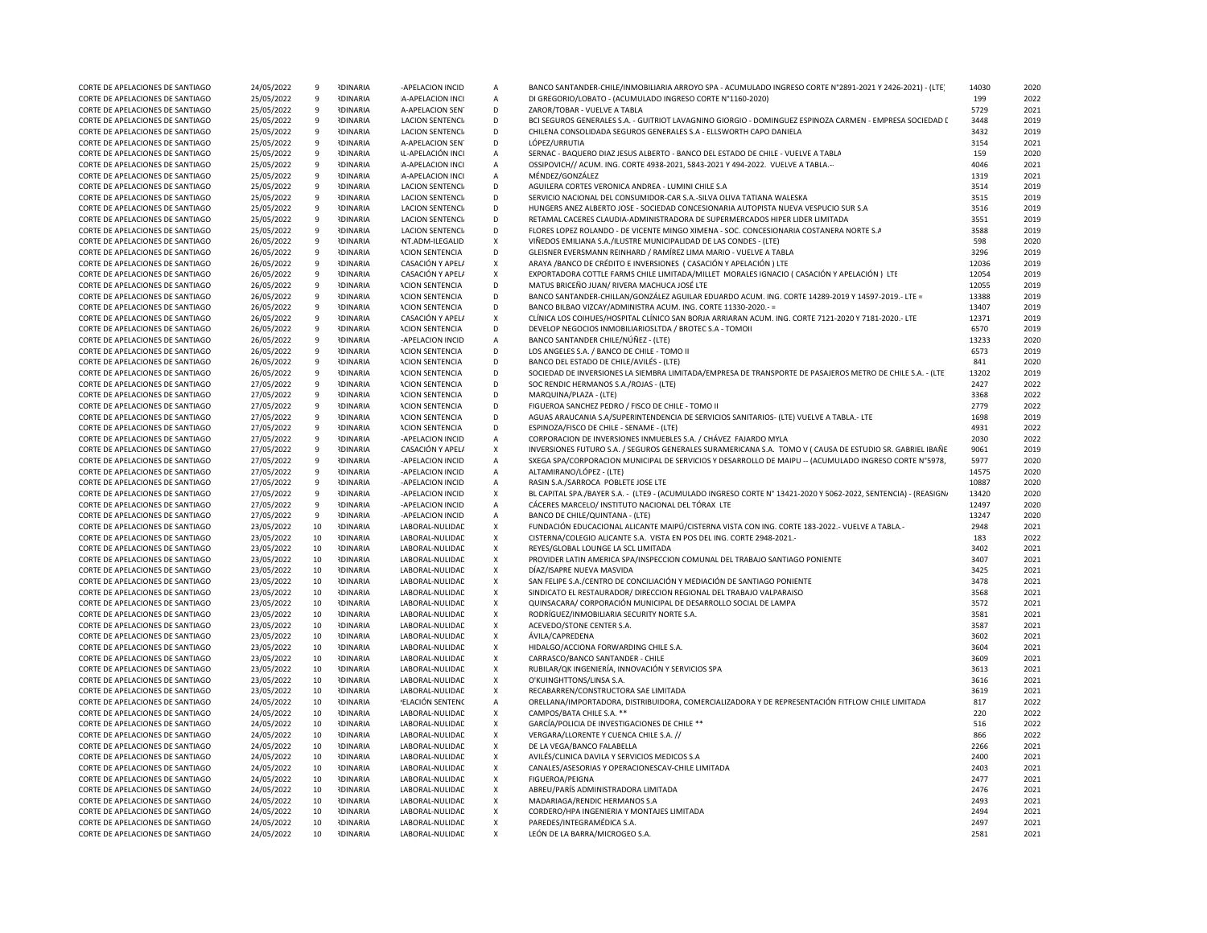| CORTE DE APELACIONES DE SANTIAGO                                     | 24/05/2022               | 9        | <b>IDINARIA</b>                    | -APELACION INCID                   | A           | BANCO SANTANDER-CHILE/INMOBILIARIA ARROYO SPA - ACUMULADO INGRESO CORTE Nº2891-2021 Y 2426-2021) - (LTE         | 14030        | 2020         |
|----------------------------------------------------------------------|--------------------------|----------|------------------------------------|------------------------------------|-------------|-----------------------------------------------------------------------------------------------------------------|--------------|--------------|
| CORTE DE APELACIONES DE SANTIAGO                                     | 25/05/2022               | 9        | <b>RDINARIA</b>                    | A-APELACION INCI                   | A           | DI GREGORIO/LOBATO - (ACUMULADO INGRESO CORTE N°1160-2020)                                                      | 199          | 2022         |
| CORTE DE APELACIONES DE SANTIAGO                                     | 25/05/2022               | 9        | <b>RDINARIA</b>                    | A-APELACION SEN                    | D           | ZAROR/TOBAR - VUELVE A TABLA                                                                                    | 5729         | 2021         |
| CORTE DE APELACIONES DE SANTIAGO                                     | 25/05/2022               | 9        | <b>IDINARIA</b>                    | <b>LACION SENTENCI</b>             | D           | BCI SEGUROS GENERALES S.A. - GUITRIOT LAVAGNINO GIORGIO - DOMINGUEZ ESPINOZA CARMEN - EMPRESA SOCIEDAD I        | 3448         | 2019         |
| CORTE DE APELACIONES DE SANTIAGO                                     | 25/05/2022               | 9        | <b>RDINARIA</b>                    | LACION SENTENCI.                   | D           | CHILENA CONSOLIDADA SEGUROS GENERALES S.A - ELLSWORTH CAPO DANIELA                                              | 3432         | 2019         |
| CORTE DE APELACIONES DE SANTIAGO                                     | 25/05/2022               | 9        | <b>IDINARIA</b>                    | A-APELACION SEN                    | D           | LÓPEZ/URRUTIA                                                                                                   | 3154         | 2021         |
| CORTE DE APELACIONES DE SANTIAGO                                     | 25/05/2022               | 9        | <b>IDINARIA</b>                    | <b>IL-APELACIÓN INCI</b>           | A           | SERNAC - BAQUERO DIAZ JESUS ALBERTO - BANCO DEL ESTADO DE CHILE - VUELVE A TABLA                                | 159          | 2020         |
| CORTE DE APELACIONES DE SANTIAGO                                     | 25/05/2022               | 9        | <b>RDINARIA</b>                    | A-APELACION INCI                   | $\mathsf A$ | OSSIPOVICH// ACUM. ING. CORTE 4938-2021, 5843-2021 Y 494-2022. VUELVE A TABLA.-                                 | 4046         | 2021         |
| CORTE DE APELACIONES DE SANTIAGO                                     | 25/05/2022               | 9        | <b>IDINARIA</b>                    | A-APELACION INCI                   | А           | MÉNDEZ/GONZÁLEZ                                                                                                 | 1319         | 2021         |
| CORTE DE APELACIONES DE SANTIAGO                                     | 25/05/2022               | 9        | <b>IDINARIA</b>                    | <b>LACION SENTENCI</b>             | D           | AGUILERA CORTES VERONICA ANDREA - LUMINI CHILE S.A                                                              | 3514         | 2019         |
| CORTE DE APELACIONES DE SANTIAGO                                     | 25/05/2022               | 9        | <b>IDINARIA</b>                    | <b>LACION SENTENCI</b>             | D           | SERVICIO NACIONAL DEL CONSUMIDOR-CAR S.A.-SILVA OLIVA TATIANA WALESKA                                           | 3515         | 2019         |
| CORTE DE APELACIONES DE SANTIAGO                                     | 25/05/2022               | 9        | <b>NDINARIA</b>                    | LACION SENTENCI.                   | D           | HUNGERS ANEZ ALBERTO JOSE - SOCIEDAD CONCESIONARIA AUTOPISTA NUEVA VESPUCIO SUR S.A                             | 3516         | 2019         |
| CORTE DE APELACIONES DE SANTIAGO                                     | 25/05/2022               | 9        | <b>IDINARIA</b>                    | LACION SENTENCI                    | D           | RETAMAL CACERES CLAUDIA-ADMINISTRADORA DE SUPERMERCADOS HIPER LIDER LIMITADA                                    | 3551         | 2019         |
| CORTE DE APELACIONES DE SANTIAGO                                     | 25/05/2022               | 9        | <b>IDINARIA</b>                    | <b>LACION SENTENCI</b>             | D           | FLORES LOPEZ ROLANDO - DE VICENTE MINGO XIMENA - SOC. CONCESIONARIA COSTANERA NORTE S.A                         | 3588         | 2019         |
| CORTE DE APELACIONES DE SANTIAGO                                     |                          | 9        | <b>IDINARIA</b>                    | NT.ADM-ILEGALID                    | X           | VIÑEDOS EMILIANA S.A./ILUSTRE MUNICIPALIDAD DE LAS CONDES - (LTE)                                               | 598          | 2020         |
|                                                                      | 26/05/2022               |          |                                    |                                    | D           | GLEISNER EVERSMANN REINHARD / RAMÍREZ LIMA MARIO - VUELVE A TABLA                                               |              |              |
| CORTE DE APELACIONES DE SANTIAGO                                     | 26/05/2022               | 9        | <b>IDINARIA</b>                    | <b>ACION SENTENCIA</b>             | $\mathsf X$ | ARAYA /BANCO DE CRÉDITO E INVERSIONES (CASACIÓN Y APELACIÓN) LTE                                                | 3296         | 2019<br>2019 |
| CORTE DE APELACIONES DE SANTIAGO                                     | 26/05/2022               | 9        | <b>IDINARIA</b>                    | CASACIÓN Y APELA                   |             |                                                                                                                 | 12036        |              |
| CORTE DE APELACIONES DE SANTIAGO                                     | 26/05/2022               | 9        | <b>IDINARIA</b>                    | CASACIÓN Y APEL/                   | X           | EXPORTADORA COTTLE FARMS CHILE LIMITADA/MILLET MORALES IGNACIO (CASACIÓN Y APELACIÓN) LTE                       | 12054        | 2019         |
| CORTE DE APELACIONES DE SANTIAGO                                     | 26/05/2022               | 9        | <b>IDINARIA</b>                    | <b>ACION SENTENCIA</b>             | D           | MATUS BRICEÑO JUAN/ RIVERA MACHUCA JOSÉ LTE                                                                     | 12055        | 2019         |
| CORTE DE APELACIONES DE SANTIAGO                                     | 26/05/2022               | 9        | <b>RDINARIA</b>                    | <b>ACION SENTENCIA</b>             | D           | BANCO SANTANDER-CHILLAN/GONZÁLEZ AGUILAR EDUARDO ACUM. ING. CORTE 14289-2019 Y 14597-2019.- LTE =               | 13388        | 2019         |
| CORTE DE APELACIONES DE SANTIAGO                                     | 26/05/2022               | 9        | <b>IDINARIA</b>                    | <b>ACION SENTENCIA</b>             | D           | BANCO BILBAO VIZCAY/ADMINISTRA ACUM. ING. CORTE 11330-2020.- =                                                  | 13407        | 2019         |
| CORTE DE APELACIONES DE SANTIAGO                                     | 26/05/2022               | 9        | <b>IDINARIA</b>                    | CASACIÓN Y APELA                   | X           | CLÍNICA LOS COIHUES/HOSPITAL CLÍNICO SAN BORJA ARRIARAN ACUM. ING. CORTE 7121-2020 Y 7181-2020.- LTE            | 12371        | 2019         |
| CORTE DE APELACIONES DE SANTIAGO                                     | 26/05/2022               | 9        | <b>IDINARIA</b>                    | <b>ACION SENTENCIA</b>             | D           | DEVELOP NEGOCIOS INMOBILIARIOSLTDA / BROTEC S.A - TOMOII                                                        | 6570         | 2019         |
| CORTE DE APELACIONES DE SANTIAGO                                     | 26/05/2022               | 9        | <b>IDINARIA</b>                    | -APELACION INCID                   | А           | BANCO SANTANDER CHILE/NÚÑEZ - (LTE)                                                                             | 13233        | 2020         |
| CORTE DE APELACIONES DE SANTIAGO                                     | 26/05/2022               | 9        | <b>IDINARIA</b>                    | <b>ACION SENTENCIA</b>             | D           | LOS ANGELES S.A. / BANCO DE CHILE - TOMO II                                                                     | 6573         | 2019         |
| CORTE DE APELACIONES DE SANTIAGO                                     | 26/05/2022               | 9        | <b>RDINARIA</b>                    | <b>ACION SENTENCIA</b>             | D           | BANCO DEL ESTADO DE CHILE/AVILÉS - (LTE)                                                                        | 841          | 2020         |
| CORTE DE APELACIONES DE SANTIAGO                                     | 26/05/2022               | 9        | <b>IDINARIA</b>                    | <b>ACION SENTENCIA</b>             | D           | SOCIEDAD DE INVERSIONES LA SIEMBRA LIMITADA/EMPRESA DE TRANSPORTE DE PASAJEROS METRO DE CHILE S.A. - (LTE       | 13202        | 2019         |
| CORTE DE APELACIONES DE SANTIAGO                                     | 27/05/2022               | 9        | <b>IDINARIA</b>                    | <b>ACION SENTENCIA</b>             | D           | SOC RENDIC HERMANOS S.A./ROJAS - (LTE)                                                                          | 2427         | 2022         |
| CORTE DE APELACIONES DE SANTIAGO                                     | 27/05/2022               | 9        | <b>IDINARIA</b>                    | <b>ACION SENTENCIA</b>             | D           | MARQUINA/PLAZA - (LTE)                                                                                          | 3368         | 2022         |
| CORTE DE APELACIONES DE SANTIAGO                                     | 27/05/2022               | 9        | <b>IDINARIA</b>                    | <b>ACION SENTENCIA</b>             | D           | FIGUEROA SANCHEZ PEDRO / FISCO DE CHILE - TOMO II                                                               | 2779         | 2022         |
| CORTE DE APELACIONES DE SANTIAGO                                     | 27/05/2022               | 9        | <b>IDINARIA</b>                    | <b>ACION SENTENCIA</b>             | D           | AGUAS ARAUCANIA S.A/SUPERINTENDENCIA DE SERVICIOS SANITARIOS- (LTE) VUELVE A TABLA.- LTE                        | 1698         | 2019         |
| CORTE DE APELACIONES DE SANTIAGO                                     | 27/05/2022               | 9        | <b>IDINARIA</b>                    | <b>ACION SENTENCIA</b>             | D           | ESPINOZA/FISCO DE CHILE - SENAME - (LTE)                                                                        | 4931         | 2022         |
| CORTE DE APELACIONES DE SANTIAGO                                     | 27/05/2022               | 9        | <b>NDINARIA</b>                    | -APELACION INCID                   | $\mathsf A$ | CORPORACION DE INVERSIONES INMUEBLES S.A. / CHÁVEZ FAJARDO MYLA                                                 | 2030         | 2022         |
| CORTE DE APELACIONES DE SANTIAGO                                     | 27/05/2022               | 9        | <b>IDINARIA</b>                    | CASACIÓN Y APEL/                   | X           | INVERSIONES FUTURO S.A. / SEGUROS GENERALES SURAMERICANA S.A. TOMO V ( CAUSA DE ESTUDIO SR. GABRIEL IBAÑE       | 9061         | 2019         |
| CORTE DE APELACIONES DE SANTIAGO                                     | 27/05/2022               | 9        | <b>RDINARIA</b>                    | -APELACION INCID                   | $\mathsf A$ | SXEGA SPA/CORPORACION MUNICIPAL DE SERVICIOS Y DESARROLLO DE MAIPU -- (ACUMULADO INGRESO CORTE N°5978,          | 5977         | 2020         |
| CORTE DE APELACIONES DE SANTIAGO                                     | 27/05/2022               | 9        | <b>IDINARIA</b>                    | -APELACION INCID                   | А           | ALTAMIRANO/LÓPEZ - (LTE)                                                                                        | 14575        | 2020         |
| CORTE DE APELACIONES DE SANTIAGO                                     | 27/05/2022               | 9        | <b>IDINARIA</b>                    | -APELACION INCID                   | A           | RASIN S.A./SARROCA POBLETE JOSE LTE                                                                             | 10887        | 2020         |
| CORTE DE APELACIONES DE SANTIAGO                                     | 27/05/2022               | 9        | <b>IDINARIA</b>                    | -APELACION INCID                   | X           | BL CAPITAL SPA./BAYER S.A. - (LTE9 - (ACUMULADO INGRESO CORTE Nº 13421-2020 Y 5062-2022, SENTENCIA) - (REASIGN/ | 13420        | 2020         |
| CORTE DE APELACIONES DE SANTIAGO                                     | 27/05/2022               | 9        | <b>RDINARIA</b>                    | -APELACION INCID                   | А           | CÁCERES MARCELO/ INSTITUTO NACIONAL DEL TÓRAX LTE                                                               | 12497        | 2020         |
| CORTE DE APELACIONES DE SANTIAGO                                     | 27/05/2022               | 9        | <b>IDINARIA</b>                    | -APELACION INCID                   | $\mathsf A$ | BANCO DE CHILE/QUINTANA - (LTE)                                                                                 | 13247        | 2020         |
| CORTE DE APELACIONES DE SANTIAGO                                     | 23/05/2022               | 10       | <b>RDINARIA</b>                    | LABORAL-NULIDAE                    | X           | FUNDACIÓN EDUCACIONAL ALICANTE MAIPÚ/CISTERNA VISTA CON ING. CORTE 183-2022.- VUELVE A TABLA.-                  | 2948         | 2021         |
| CORTE DE APELACIONES DE SANTIAGO                                     | 23/05/2022               |          |                                    |                                    |             | CISTERNA/COLEGIO ALICANTE S.A. VISTA EN POS DEL ING. CORTE 2948-2021.-                                          |              |              |
| CORTE DE APELACIONES DE SANTIAGO                                     |                          |          |                                    |                                    |             |                                                                                                                 |              |              |
|                                                                      |                          | 10       | <b>IDINARIA</b>                    | LABORAL-NULIDAE                    | X           |                                                                                                                 | 183<br>3402  | 2022         |
|                                                                      | 23/05/2022               | 10       | <b>IDINARIA</b>                    | LABORAL-NULIDAE                    | X           | REYES/GLOBAL LOUNGE LA SCL LIMITADA                                                                             |              | 2021         |
| CORTE DE APELACIONES DE SANTIAGO                                     | 23/05/2022               | 10       | <b>IDINARIA</b>                    | LABORAL-NULIDAE                    | $\mathsf X$ | PROVIDER LATIN AMERICA SPA/INSPECCION COMUNAL DEL TRABAJO SANTIAGO PONIENTE                                     | 3407         | 2021         |
| CORTE DE APELACIONES DE SANTIAGO                                     | 23/05/2022               | 10       | <b>IDINARIA</b>                    | LABORAL-NULIDAE                    | X           | DÍAZ/ISAPRE NUEVA MASVIDA                                                                                       | 3425         | 2021         |
| CORTE DE APELACIONES DE SANTIAGO                                     | 23/05/2022               | 10       | <b>IDINARIA</b>                    | LABORAL-NULIDAE                    | X           | SAN FELIPE S.A./CENTRO DE CONCILIACIÓN Y MEDIACIÓN DE SANTIAGO PONIENTE                                         | 3478         | 2021         |
| CORTE DE APELACIONES DE SANTIAGO                                     | 23/05/2022               | 10       | <b>IDINARIA</b>                    | LABORAL-NULIDAD                    | $\mathsf X$ | SINDICATO EL RESTAURADOR/ DIRECCION REGIONAL DEL TRABAJO VALPARAISO                                             | 3568         | 2021         |
| CORTE DE APELACIONES DE SANTIAGO                                     | 23/05/2022               | 10       | <b>NDINARIA</b>                    | LABORAL-NULIDAE                    | X           | QUINSACARA/ CORPORACIÓN MUNICIPAL DE DESARROLLO SOCIAL DE LAMPA                                                 | 3572         | 2021         |
| CORTE DE APELACIONES DE SANTIAGO                                     | 23/05/2022               | 10       | <b>IDINARIA</b>                    | LABORAL-NULIDAE                    | X           | RODRÍGUEZ/INMOBILIARIA SECURITY NORTE S.A.                                                                      | 3581         | 2021         |
| CORTE DE APELACIONES DE SANTIAGO                                     | 23/05/2022               | 10       | <b>IDINARIA</b>                    | LABORAL-NULIDAE                    | X           | ACEVEDO/STONE CENTER S.A.                                                                                       | 3587         | 2021         |
| CORTE DE APELACIONES DE SANTIAGO                                     | 23/05/2022               | 10       | <b>IDINARIA</b>                    | LABORAL-NULIDAE                    | X           | ÁVILA/CAPREDENA                                                                                                 | 3602         | 2021         |
| CORTE DE APELACIONES DE SANTIAGO                                     | 23/05/2022               | 10       | <b>IDINARIA</b>                    | LABORAL-NULIDAE                    | X           | HIDALGO/ACCIONA FORWARDING CHILE S.A.                                                                           | 3604         | 2021         |
| CORTE DE APELACIONES DE SANTIAGO                                     | 23/05/2022               | 10       | <b>IDINARIA</b>                    | LABORAL-NULIDAD                    | X           | CARRASCO/BANCO SANTANDER - CHILE                                                                                | 3609         | 2021         |
| CORTE DE APELACIONES DE SANTIAGO                                     | 23/05/2022               | 10       | <b>IDINARIA</b>                    | LABORAL-NULIDAD                    | X           | RUBILAR/QK INGENIERÍA, INNOVACIÓN Y SERVICIOS SPA                                                               | 3613         | 2021         |
| CORTE DE APELACIONES DE SANTIAGO                                     | 23/05/2022               | 10       | <b>IDINARIA</b>                    | LABORAL-NULIDAE                    | X           | O'KUINGHTTONS/LINSA S.A.                                                                                        | 3616         | 2021         |
| CORTE DE APELACIONES DE SANTIAGO                                     | 23/05/2022               | 10       | <b>RDINARIA</b>                    | LABORAL-NULIDAE                    | X           | RECABARREN/CONSTRUCTORA SAE LIMITADA                                                                            | 3619         | 2021         |
| CORTE DE APELACIONES DE SANTIAGO                                     | 24/05/2022               | 10       | <b>IDINARIA</b>                    | 'ELACIÓN SENTENC                   | А           | ORELLANA/IMPORTADORA, DISTRIBUIDORA, COMERCIALIZADORA Y DE REPRESENTACIÓN FITFLOW CHILE LIMITADA                | 817          | 2022         |
| CORTE DE APELACIONES DE SANTIAGO                                     | 24/05/2022               | 10       | <b>IDINARIA</b>                    | LABORAL-NULIDAE                    | X           | CAMPOS/BATA CHILE S.A. **                                                                                       | 220          | 2022         |
| CORTE DE APELACIONES DE SANTIAGO                                     | 24/05/2022               | 10       | <b>IDINARIA</b>                    | LABORAL-NULIDAE                    | X           | GARCÍA/POLICIA DE INVESTIGACIONES DE CHILE **                                                                   | 516          | 2022         |
| CORTE DE APELACIONES DE SANTIAGO                                     | 24/05/2022               | 10       | <b>IDINARIA</b>                    | LABORAL-NULIDAE                    | X           | VERGARA/LLORENTE Y CUENCA CHILE S.A. //                                                                         | 866          | 2022         |
| CORTE DE APELACIONES DE SANTIAGO                                     | 24/05/2022               | 10       | <b>IDINARIA</b>                    | LABORAL-NULIDAE                    | X           | DE LA VEGA/BANCO FALABELLA                                                                                      | 2266         | 2021         |
| CORTE DE APELACIONES DE SANTIAGO                                     | 24/05/2022               | 10       | <b>RDINARIA</b>                    | LABORAL-NULIDAD                    | $\mathsf X$ | AVILÉS/CLINICA DAVILA Y SERVICIOS MEDICOS S.A                                                                   | 2400         | 2021         |
| CORTE DE APELACIONES DE SANTIAGO                                     | 24/05/2022               | 10       | <b>RDINARIA</b>                    | LABORAL-NULIDAE                    | X           | CANALES/ASESORIAS Y OPERACIONESCAV-CHILE LIMITADA                                                               | 2403         | 2021         |
| CORTE DE APELACIONES DE SANTIAGO                                     | 24/05/2022               | 10       | <b>RDINARIA</b>                    | LABORAL-NULIDAE                    | X           | FIGUEROA/PEIGNA                                                                                                 | 2477         | 2021         |
| CORTE DE APELACIONES DE SANTIAGO                                     | 24/05/2022               | 10       | <b>IDINARIA</b>                    | LABORAL-NULIDAE                    | X           | ABREU/PARÍS ADMINISTRADORA LIMITADA                                                                             | 2476         | 2021         |
| CORTE DE APELACIONES DE SANTIAGO                                     | 24/05/2022               | 10       | <b>IDINARIA</b>                    | LABORAL-NULIDAE                    | X           | MADARIAGA/RENDIC HERMANOS S.A                                                                                   | 2493         | 2021         |
| CORTE DE APELACIONES DE SANTIAGO                                     | 24/05/2022               | 10       | <b>IDINARIA</b>                    | LABORAL-NULIDAE                    | X           | CORDERO/HPA INGENIERIA Y MONTAJES LIMITADA                                                                      | 2494         | 2021         |
| CORTE DE APELACIONES DE SANTIAGO<br>CORTE DE APELACIONES DE SANTIAGO | 24/05/2022<br>24/05/2022 | 10<br>10 | <b>IDINARIA</b><br><b>IDINARIA</b> | LABORAL-NULIDAD<br>LABORAL-NULIDAD | X<br>X      | PAREDES/INTEGRAMÉDICA S.A.<br>LEÓN DE LA BARRA/MICROGEO S.A.                                                    | 2497<br>2581 | 2021<br>2021 |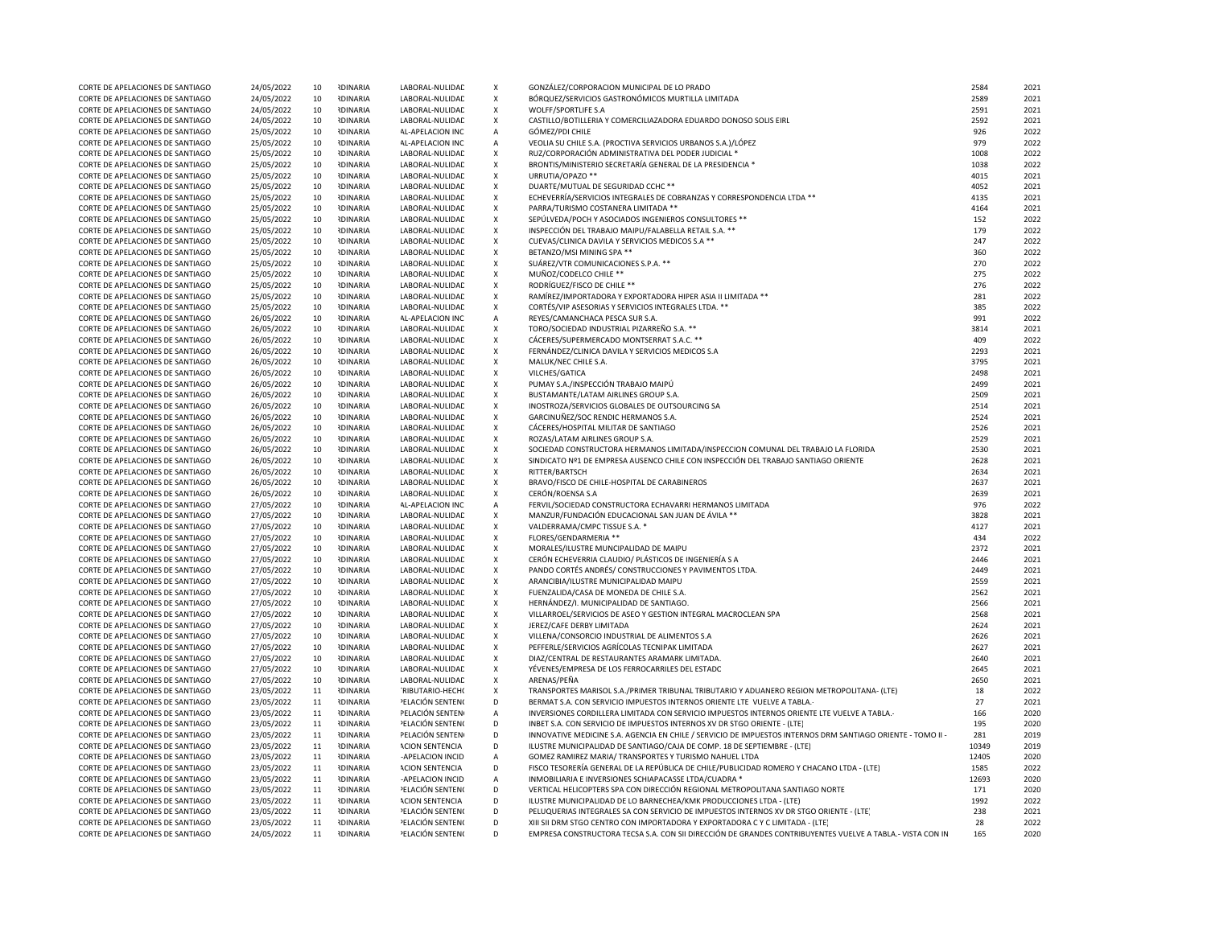| CORTE DE APELACIONES DE SANTIAGO                                     | 24/05/2022               | 10       | <b>IDINARIA</b>                    | LABORAL-NULIDAD                            | $\boldsymbol{\mathsf{x}}$    | GONZÁLEZ/CORPORACION MUNICIPAL DE LO PRADO                                                                  | 2584        | 2021         |
|----------------------------------------------------------------------|--------------------------|----------|------------------------------------|--------------------------------------------|------------------------------|-------------------------------------------------------------------------------------------------------------|-------------|--------------|
| CORTE DE APELACIONES DE SANTIAGO                                     | 24/05/2022               | 10       | <b>IDINARIA</b>                    | LABORAL-NULIDAD                            | $\boldsymbol{\mathsf{x}}$    | BÓRQUEZ/SERVICIOS GASTRONÓMICOS MURTILLA LIMITADA                                                           | 2589        | 2021         |
| CORTE DE APELACIONES DE SANTIAGO                                     | 24/05/2022               | 10       | <b>IDINARIA</b>                    | LABORAL-NULIDAD                            | $\boldsymbol{\mathsf{x}}$    | WOLFF/SPORTLIFE S.A                                                                                         | 2591        | 2021         |
| CORTE DE APELACIONES DE SANTIAGO                                     | 24/05/2022               | 10       | <b>IDINARIA</b>                    | LABORAL-NULIDAD                            | X                            | CASTILLO/BOTILLERIA Y COMERCILIAZADORA EDUARDO DONOSO SOLIS EIRL                                            | 2592        | 2021         |
| CORTE DE APELACIONES DE SANTIAGO                                     | 25/05/2022               | 10       | <b>IDINARIA</b>                    | AL-APELACION INC                           | $\mathsf{A}$                 | GÓMEZ/PDI CHILE                                                                                             | 926         | 2022         |
| CORTE DE APELACIONES DE SANTIAGO                                     | 25/05/2022               | 10       | <b>IDINARIA</b>                    | AL-APELACION INC                           | $\mathsf{A}$                 | VEOLIA SU CHILE S.A. (PROCTIVA SERVICIOS URBANOS S.A.)/LÓPEZ                                                | 979         | 2022         |
| CORTE DE APELACIONES DE SANTIAGO                                     | 25/05/2022               | 10       | <b>RDINARIA</b>                    | LABORAL-NULIDAD                            | $\mathsf X$                  | RUZ/CORPORACIÓN ADMINISTRATIVA DEL PODER JUDICIAL *                                                         | 1008        | 2022         |
| CORTE DE APELACIONES DE SANTIAGO                                     | 25/05/2022               | 10       | <b>RDINARIA</b>                    | LABORAL-NULIDAD                            | $\pmb{\chi}$                 | BRONTIS/MINISTERIO SECRETARÍA GENERAL DE LA PRESIDENCIA *                                                   | 1038        | 2022         |
| CORTE DE APELACIONES DE SANTIAGO                                     | 25/05/2022               | 10       | <b>NDINARIA</b>                    | LABORAL-NULIDAD                            | $\pmb{\chi}$                 | URRUTIA/OPAZO **                                                                                            | 4015        | 2021         |
| CORTE DE APELACIONES DE SANTIAGO                                     | 25/05/2022               | 10       | <b>NDINARIA</b>                    | LABORAL-NULIDAD                            | $\pmb{\chi}$                 | DUARTE/MUTUAL DE SEGURIDAD CCHC **                                                                          | 4052        | 2021         |
| CORTE DE APELACIONES DE SANTIAGO                                     | 25/05/2022               | 10       | <b>IDINARIA</b>                    | LABORAL-NULIDAD                            | $\pmb{\mathsf{X}}$           | ECHEVERRÍA/SERVICIOS INTEGRALES DE COBRANZAS Y CORRESPONDENCIA LTDA **                                      | 4135        | 2021         |
| CORTE DE APELACIONES DE SANTIAGO                                     | 25/05/2022               | 10       | <b>IDINARIA</b>                    | LABORAL-NULIDAD                            | $\pmb{\chi}$                 | PARRA/TURISMO COSTANERA LIMITADA **                                                                         | 4164        | 2021         |
| CORTE DE APELACIONES DE SANTIAGO                                     | 25/05/2022               | 10       | <b>IDINARIA</b>                    | LABORAL-NULIDAD                            | $\pmb{\chi}$                 | SEPÚLVEDA/POCH Y ASOCIADOS INGENIEROS CONSULTORES **                                                        | 152         | 2022         |
| CORTE DE APELACIONES DE SANTIAGO                                     | 25/05/2022               | 10       | <b>IDINARIA</b>                    | LABORAL-NULIDAD                            | $\pmb{\mathsf{X}}$           | INSPECCIÓN DEL TRABAJO MAIPU/FALABELLA RETAIL S.A. **                                                       | 179         | 2022         |
| CORTE DE APELACIONES DE SANTIAGO                                     | 25/05/2022               | 10       | <b>IDINARIA</b>                    | LABORAL-NULIDAD                            | $\pmb{\chi}$                 | CUEVAS/CLINICA DAVILA Y SERVICIOS MEDICOS S.A **                                                            | 247         | 2022         |
| CORTE DE APELACIONES DE SANTIAGO                                     | 25/05/2022               | 10       | <b>IDINARIA</b>                    | LABORAL-NULIDAD                            | $\pmb{\chi}$                 | BETANZO/MSI MINING SPA **                                                                                   | 360         | 2022         |
| CORTE DE APELACIONES DE SANTIAGO                                     | 25/05/2022               | 10       | <b>NDINARIA</b>                    | LABORAL-NULIDAD                            | X                            | SUÁREZ/VTR COMUNICACIONES S.P.A. **                                                                         | 270         | 2022         |
| CORTE DE APELACIONES DE SANTIAGO                                     | 25/05/2022               | 10       | <b>IDINARIA</b>                    | LABORAL-NULIDAD                            | X                            | MUÑOZ/CODELCO CHILE **                                                                                      | 275         | 2022         |
| CORTE DE APELACIONES DE SANTIAGO                                     | 25/05/2022               | 10       | <b>NDINARIA</b>                    | LABORAL-NULIDAD                            | $\mathsf X$                  | RODRÍGUEZ/FISCO DE CHILE **                                                                                 | 276         | 2022         |
| CORTE DE APELACIONES DE SANTIAGO                                     | 25/05/2022               | 10       | <b>RDINARIA</b>                    | LABORAL-NULIDAD                            | $\pmb{\chi}$                 | RAMÍREZ/IMPORTADORA Y EXPORTADORA HIPER ASIA II LIMITADA **                                                 | 281         | 2022         |
| CORTE DE APELACIONES DE SANTIAGO<br>CORTE DE APELACIONES DE SANTIAGO | 25/05/2022               | 10       | <b>NDINARIA</b><br><b>NDINARIA</b> | LABORAL-NULIDAD<br><b>AL-APELACION INC</b> | $\pmb{\mathsf{X}}$           | CORTÉS/VIP ASESORIAS Y SERVICIOS INTEGRALES LTDA. **<br>REYES/CAMANCHACA PESCA SUR S.A.                     | 385<br>991  | 2022<br>2022 |
|                                                                      | 26/05/2022               | 10       | <b>IDINARIA</b>                    |                                            | $\mathsf A$                  |                                                                                                             | 3814        | 2021         |
| CORTE DE APELACIONES DE SANTIAGO                                     | 26/05/2022               | 10       |                                    | LABORAL-NULIDAD                            | $\mathsf X$                  | TORO/SOCIEDAD INDUSTRIAL PIZARREÑO S.A. **                                                                  |             | 2022         |
| CORTE DE APELACIONES DE SANTIAGO<br>CORTE DE APELACIONES DE SANTIAGO | 26/05/2022               | 10<br>10 | <b>IDINARIA</b><br><b>NDINARIA</b> | LABORAL-NULIDAD                            | $\pmb{\chi}$<br>$\pmb{\chi}$ | CÁCERES/SUPERMERCADO MONTSERRAT S.A.C. **<br>FERNÁNDEZ/CLINICA DAVILA Y SERVICIOS MEDICOS S.A               | 409<br>2293 | 2021         |
|                                                                      | 26/05/2022               | 10       |                                    | LABORAL-NULIDAD                            | $\pmb{\mathsf{X}}$           |                                                                                                             | 3795        | 2021         |
| CORTE DE APELACIONES DE SANTIAGO<br>CORTE DE APELACIONES DE SANTIAGO | 26/05/2022<br>26/05/2022 | 10       | <b>NDINARIA</b><br><b>IDINARIA</b> | LABORAL-NULIDAD<br>LABORAL-NULIDAD         | X                            | MALUK/NEC CHILE S.A.<br>VILCHES/GATICA                                                                      | 2498        | 2021         |
| CORTE DE APELACIONES DE SANTIAGO                                     | 26/05/2022               | 10       | <b>IDINARIA</b>                    | LABORAL-NULIDAD                            | $\boldsymbol{\mathsf{x}}$    | PUMAY S.A./INSPECCIÓN TRABAJO MAIPÚ                                                                         | 2499        | 2021         |
| CORTE DE APELACIONES DE SANTIAGO                                     | 26/05/2022               | 10       | <b>IDINARIA</b>                    |                                            | X                            | BUSTAMANTE/LATAM AIRLINES GROUP S.A.                                                                        | 2509        | 2021         |
| CORTE DE APELACIONES DE SANTIAGO                                     | 26/05/2022               | 10       | <b>IDINARIA</b>                    | LABORAL-NULIDAD<br>LABORAL-NULIDAD         | X                            | INOSTROZA/SERVICIOS GLOBALES DE OUTSOURCING SA                                                              | 2514        | 2021         |
| CORTE DE APELACIONES DE SANTIAGO                                     | 26/05/2022               | 10       | <b>NDINARIA</b>                    | LABORAL-NULIDAD                            | $\boldsymbol{\mathsf{X}}$    | GARCINUÑEZ/SOC RENDIC HERMANOS S.A.                                                                         | 2524        | 2021         |
| CORTE DE APELACIONES DE SANTIAGO                                     | 26/05/2022               | 10       | <b>RDINARIA</b>                    | LABORAL-NULIDAD                            | $\mathsf X$                  | CÁCERES/HOSPITAL MILITAR DE SANTIAGO                                                                        | 2526        | 2021         |
| CORTE DE APELACIONES DE SANTIAGO                                     | 26/05/2022               | 10       | <b>RDINARIA</b>                    | LABORAL-NULIDAD                            | $\pmb{\chi}$                 | ROZAS/LATAM AIRLINES GROUP S.A.                                                                             | 2529        | 2021         |
| CORTE DE APELACIONES DE SANTIAGO                                     | 26/05/2022               | 10       | <b>NDINARIA</b>                    | LABORAL-NULIDAD                            | $\pmb{\mathsf{X}}$           | SOCIEDAD CONSTRUCTORA HERMANOS LIMITADA/INSPECCION COMUNAL DEL TRABAJO LA FLORIDA                           | 2530        | 2021         |
| CORTE DE APELACIONES DE SANTIAGO                                     | 26/05/2022               | 10       | <b>IDINARIA</b>                    | LABORAL-NULIDAD                            | $\pmb{\mathsf{X}}$           | SINDICATO Nº1 DE EMPRESA AUSENCO CHILE CON INSPECCIÓN DEL TRABAJO SANTIAGO ORIENTE                          | 2628        | 2021         |
| CORTE DE APELACIONES DE SANTIAGO                                     | 26/05/2022               | 10       | <b>IDINARIA</b>                    | LABORAL-NULIDAD                            | $\boldsymbol{\mathsf{x}}$    | RITTER/BARTSCH                                                                                              | 2634        | 2021         |
| CORTE DE APELACIONES DE SANTIAGO                                     | 26/05/2022               | 10       | <b>IDINARIA</b>                    | LABORAL-NULIDAD                            | $\pmb{\chi}$                 | BRAVO/FISCO DE CHILE-HOSPITAL DE CARABINEROS                                                                | 2637        | 2021         |
| CORTE DE APELACIONES DE SANTIAGO                                     | 26/05/2022               | 10       | <b>IDINARIA</b>                    | LABORAL-NULIDAD                            | $\pmb{\chi}$                 | CERÓN/ROENSA S.A                                                                                            | 2639        | 2021         |
| CORTE DE APELACIONES DE SANTIAGO                                     | 27/05/2022               | 10       | <b>IDINARIA</b>                    | <b>AL-APELACION INC</b>                    | А                            | FERVIL/SOCIEDAD CONSTRUCTORA ECHAVARRI HERMANOS LIMITADA                                                    | 976         | 2022         |
| CORTE DE APELACIONES DE SANTIAGO                                     | 27/05/2022               | 10       | <b>IDINARIA</b>                    | LABORAL-NULIDAD                            | $\boldsymbol{\mathsf{x}}$    | MANZUR/FUNDACIÓN EDUCACIONAL SAN JUAN DE ÁVILA **                                                           | 3828        | 2021         |
| CORTE DE APELACIONES DE SANTIAGO                                     | 27/05/2022               | 10       | <b>IDINARIA</b>                    | LABORAL-NULIDAD                            | X                            | VALDERRAMA/CMPC TISSUE S.A. *                                                                               | 4127        | 2021         |
| CORTE DE APELACIONES DE SANTIAGO                                     | 27/05/2022               | 10       | <b>RDINARIA</b>                    | LABORAL-NULIDAD                            | X                            | FLORES/GENDARMERIA **                                                                                       | 434         | 2022         |
| CORTE DE APELACIONES DE SANTIAGO                                     | 27/05/2022               | 10       | <b>NDINARIA</b>                    | LABORAL-NULIDAD                            | $\pmb{\chi}$                 | MORALES/ILUSTRE MUNCIPALIDAD DE MAIPU                                                                       | 2372        | 2021         |
| CORTE DE APELACIONES DE SANTIAGO                                     | 27/05/2022               | 10       | <b>RDINARIA</b>                    | LABORAL-NULIDAD                            | $\mathsf X$                  | CERÓN ECHEVERRIA CLAUDIO/ PLÁSTICOS DE INGENIERÍA S A                                                       | 2446        | 2021         |
| CORTE DE APELACIONES DE SANTIAGO                                     | 27/05/2022               | 10       | <b>RDINARIA</b>                    | LABORAL-NULIDAD                            | $\pmb{\chi}$                 | PANDO CORTÉS ANDRÉS/ CONSTRUCCIONES Y PAVIMENTOS LTDA.                                                      | 2449        | 2021         |
| CORTE DE APELACIONES DE SANTIAGO                                     | 27/05/2022               | 10       | <b>NDINARIA</b>                    | LABORAL-NULIDAD                            | $\pmb{\mathsf{X}}$           | ARANCIBIA/ILUSTRE MUNICIPALIDAD MAIPU                                                                       | 2559        | 2021         |
| CORTE DE APELACIONES DE SANTIAGO                                     | 27/05/2022               | 10       | <b>NDINARIA</b>                    | LABORAL-NULIDAD                            | $\pmb{\chi}$                 | FUENZALIDA/CASA DE MONEDA DE CHILE S.A.                                                                     | 2562        | 2021         |
| CORTE DE APELACIONES DE SANTIAGO                                     | 27/05/2022               | 10       | <b>IDINARIA</b>                    | LABORAL-NULIDAD                            | X                            | HERNÁNDEZ/I. MUNICIPALIDAD DE SANTIAGO.                                                                     | 2566        | 2021         |
| CORTE DE APELACIONES DE SANTIAGO                                     | 27/05/2022               | 10       | <b>IDINARIA</b>                    | LABORAL-NULIDAD                            | $\pmb{\chi}$                 | VILLARROEL/SERVICIOS DE ASEO Y GESTION INTEGRAL MACROCLEAN SPA                                              | 2568        | 2021         |
| CORTE DE APELACIONES DE SANTIAGO                                     | 27/05/2022               | 10       | <b>IDINARIA</b>                    | LABORAL-NULIDAD                            | $\pmb{\chi}$                 | JEREZ/CAFE DERBY LIMITADA                                                                                   | 2624        | 2021         |
| CORTE DE APELACIONES DE SANTIAGO                                     | 27/05/2022               | 10       | <b>NDINARIA</b>                    | LABORAL-NULIDAD                            | $\pmb{\chi}$                 | VILLENA/CONSORCIO INDUSTRIAL DE ALIMENTOS S.A                                                               | 2626        | 2021         |
| CORTE DE APELACIONES DE SANTIAGO                                     | 27/05/2022               | 10       | <b>IDINARIA</b>                    | LABORAL-NULIDAD                            | X                            | PEFFERLE/SERVICIOS AGRÍCOLAS TECNIPAK LIMITADA                                                              | 2627        | 2021         |
| CORTE DE APELACIONES DE SANTIAGO                                     | 27/05/2022               | 10       | <b>IDINARIA</b>                    | LABORAL-NULIDAD                            | $\boldsymbol{\mathsf{x}}$    | DIAZ/CENTRAL DE RESTAURANTES ARAMARK LIMITADA.                                                              | 2640        | 2021         |
| CORTE DE APELACIONES DE SANTIAGO                                     | 27/05/2022               | 10       | <b>IDINARIA</b>                    | LABORAL-NULIDAD                            | X                            | YÉVENES/EMPRESA DE LOS FERROCARRILES DEL ESTADO                                                             | 2645        | 2021         |
| CORTE DE APELACIONES DE SANTIAGO                                     | 27/05/2022               | 10       | <b>RDINARIA</b>                    | LABORAL-NULIDAD                            | $\pmb{\chi}$                 | ARENAS/PEÑA                                                                                                 | 2650        | 2021         |
| CORTE DE APELACIONES DE SANTIAGO                                     | 23/05/2022               | 11       | <b>RDINARIA</b>                    | RIBUTARIO-HECH(                            | $\boldsymbol{\mathsf{X}}$    | TRANSPORTES MARISOL S.A./PRIMER TRIBUNAL TRIBUTARIO Y ADUANERO REGION METROPOLITANA- (LTE)                  | 18          | 2022         |
| CORTE DE APELACIONES DE SANTIAGO                                     | 23/05/2022               | 11       | <b>RDINARIA</b>                    | PELACIÓN SENTENO                           | D                            | BERMAT S.A. CON SERVICIO IMPUESTOS INTERNOS ORIENTE LTE VUELVE A TABLA.-                                    | 27          | 2021         |
| CORTE DE APELACIONES DE SANTIAGO                                     | 23/05/2022               | 11       | <b>IDINARIA</b>                    | PELACIÓN SENTEN                            | Α                            | INVERSIONES CORDILLERA LIMITADA CON SERVICIO IMPUESTOS INTERNOS ORIENTE LTE VUELVE A TABLA.-                | 166         | 2020         |
| CORTE DE APELACIONES DE SANTIAGO                                     | 23/05/2022               | 11       | <b>NDINARIA</b>                    | PELACIÓN SENTENO                           | D                            | INBET S.A. CON SERVICIO DE IMPUESTOS INTERNOS XV DR STGO ORIENTE - (LTE)                                    | 195         | 2020         |
| CORTE DE APELACIONES DE SANTIAGO                                     | 23/05/2022               | 11       | <b>IDINARIA</b>                    | PELACIÓN SENTEN                            | D                            | INNOVATIVE MEDICINE S.A. AGENCIA EN CHILE / SERVICIO DE IMPUESTOS INTERNOS DRM SANTIAGO ORIENTE - TOMO II - | 281         | 2019         |
| CORTE DE APELACIONES DE SANTIAGO                                     | 23/05/2022               | 11       | <b>IDINARIA</b>                    | <b>ACION SENTENCIA</b>                     | D                            | ILUSTRE MUNICIPALIDAD DE SANTIAGO/CAJA DE COMP. 18 DE SEPTIEMBRE - (LTE)                                    | 10349       | 2019         |
| CORTE DE APELACIONES DE SANTIAGO                                     | 23/05/2022               | 11       | <b>IDINARIA</b>                    | -APELACION INCID                           | $\mathsf{A}$                 | GOMEZ RAMIREZ MARIA/ TRANSPORTES Y TURISMO NAHUEL LTDA                                                      | 12405       | 2020         |
| CORTE DE APELACIONES DE SANTIAGO                                     | 23/05/2022               | 11       | <b>NDINARIA</b>                    | <b>ACION SENTENCIA</b>                     | D                            | FISCO TESORERÍA GENERAL DE LA REPÚBLICA DE CHILE/PUBLICIDAD ROMERO Y CHACANO LTDA - (LTE)                   | 1585        | 2022         |
| CORTE DE APELACIONES DE SANTIAGO                                     | 23/05/2022               | 11       | <b>IDINARIA</b>                    | -APELACION INCID                           | А                            | INMOBILIARIA E INVERSIONES SCHIAPACASSE LTDA/CUADRA *                                                       | 12693       | 2020         |
| CORTE DE APELACIONES DE SANTIAGO                                     | 23/05/2022               | 11       | <b>IDINARIA</b>                    | PELACIÓN SENTENO                           | D                            | VERTICAL HELICOPTERS SPA CON DIRECCIÓN REGIONAL METROPOLITANA SANTIAGO NORTE                                | 171         | 2020         |
| CORTE DE APELACIONES DE SANTIAGO                                     | 23/05/2022               | 11       | <b>IDINARIA</b>                    | <b>ACION SENTENCIA</b>                     | D                            | ILUSTRE MUNICIPALIDAD DE LO BARNECHEA/KMK PRODUCCIONES LTDA - (LTE)                                         | 1992        | 2022         |
| CORTE DE APELACIONES DE SANTIAGO                                     | 23/05/2022               | 11       | <b>RDINARIA</b>                    | PELACIÓN SENTENO                           | $\mathsf D$                  | PELUQUERIAS INTEGRALES SA CON SERVICIO DE IMPUESTOS INTERNOS XV DR STGO ORIENTE - (LTE)                     | 238         | 2021         |
| CORTE DE APELACIONES DE SANTIAGO                                     | 23/05/2022               | 11       | <b>NDINARIA</b>                    | PELACIÓN SENTENO                           | D                            | XIII SII DRM STGO CENTRO CON IMPORTADORA Y EXPORTADORA C Y C LIMITADA - (LTE)                               | 28          | 2022         |
| CORTE DE APELACIONES DE SANTIAGO                                     | 24/05/2022               | 11       | <b>RDINARIA</b>                    | PELACIÓN SENTENO                           | D.                           | EMPRESA CONSTRUCTORA TECSA S.A. CON SII DIRECCIÓN DE GRANDES CONTRIBUYENTES VUELVE A TABLA.- VISTA CON IN   | 165         | 2020         |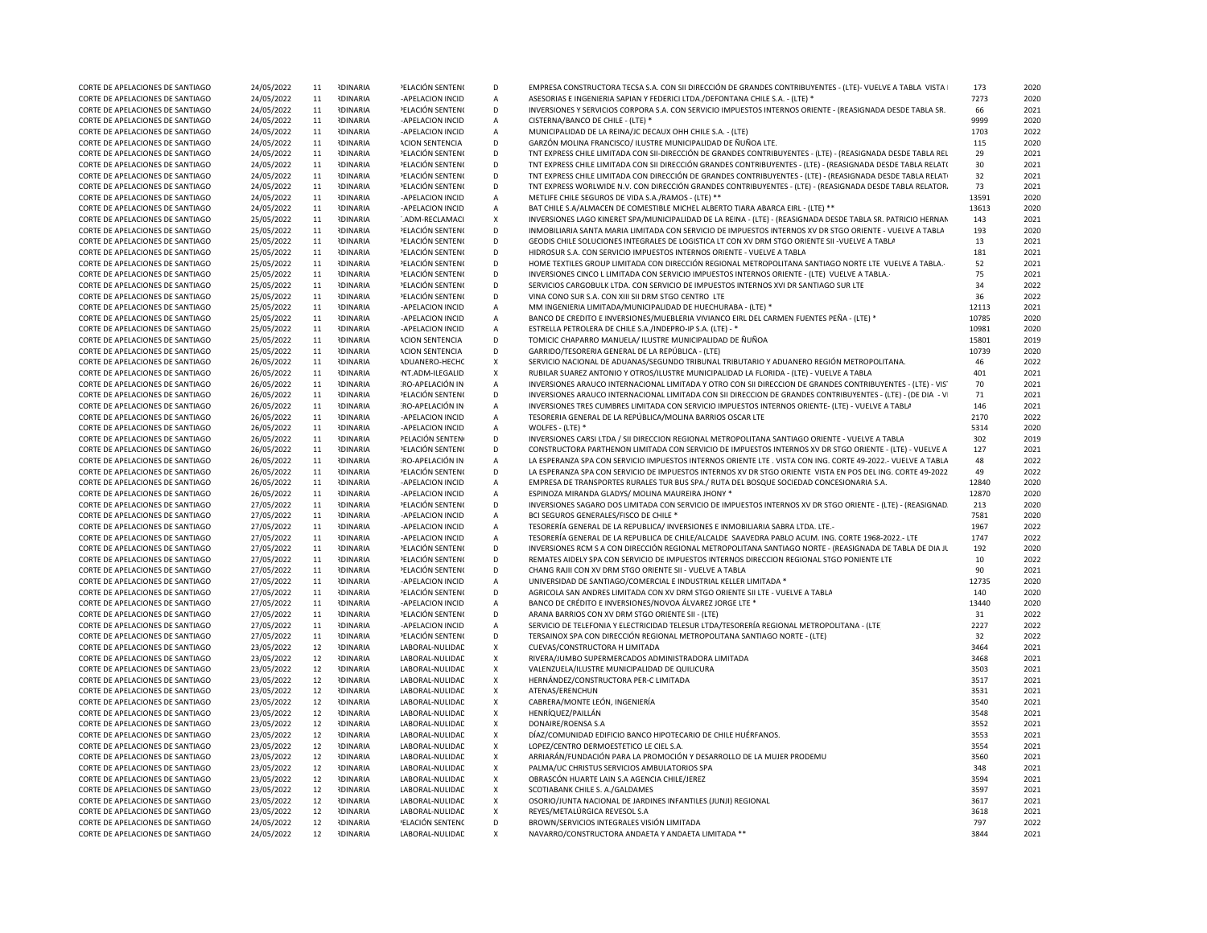| CORTE DE APELACIONES DE SANTIAGO | 24/05/2022 | 11 | <b>RDINARIA</b> | PELACIÓN SENTENO        | D                         | EMPRESA CONSTRUCTORA TECSA S.A. CON SII DIRECCIÓN DE GRANDES CONTRIBUYENTES - (LTE)- VUELVE A TABLA VISTA    | 173   | 2020 |
|----------------------------------|------------|----|-----------------|-------------------------|---------------------------|--------------------------------------------------------------------------------------------------------------|-------|------|
| CORTE DE APELACIONES DE SANTIAGO | 24/05/2022 | 11 | <b>RDINARIA</b> | -APELACION INCID        | $\mathsf{A}$              | ASESORIAS E INGENIERIA SAPIAN Y FEDERICI LTDA./DEFONTANA CHILE S.A. - (LTE) *                                | 7273  | 2020 |
| CORTE DE APELACIONES DE SANTIAGO | 24/05/2022 | 11 | <b>RDINARIA</b> | <b>ELACIÓN SENTENO</b>  | D                         | INVERSIONES Y SERVICIOS CORPORA S.A. CON SERVICIO IMPUESTOS INTERNOS ORIENTE - (REASIGNADA DESDE TABLA SR.   | 66    | 2021 |
| CORTE DE APELACIONES DE SANTIAGO | 24/05/2022 | 11 | <b>IDINARIA</b> | -APELACION INCID        | $\overline{A}$            | CISTERNA/BANCO DE CHILE - (LTE) *                                                                            | 9999  | 2020 |
|                                  |            |    |                 |                         |                           |                                                                                                              |       |      |
| CORTE DE APELACIONES DE SANTIAGO | 24/05/2022 | 11 | <b>IDINARIA</b> | -APELACION INCID        | $\overline{A}$            | MUNICIPALIDAD DE LA REINA/JC DECAUX OHH CHILE S.A. - (LTE)                                                   | 1703  | 2022 |
| CORTE DE APELACIONES DE SANTIAGO | 24/05/2022 | 11 | <b>NDINARIA</b> | <b>ACION SENTENCIA</b>  | D                         | GARZÓN MOLINA FRANCISCO/ ILUSTRE MUNICIPALIDAD DE ÑUÑOA LTE.                                                 | 115   | 2020 |
| CORTE DE APELACIONES DE SANTIAGO | 24/05/2022 | 11 | <b>RDINARIA</b> | PELACIÓN SENTENO        | D                         | TNT EXPRESS CHILE LIMITADA CON SII-DIRECCIÓN DE GRANDES CONTRIBUYENTES - (LTE) - (REASIGNADA DESDE TABLA REL | 29    | 2021 |
| CORTE DE APELACIONES DE SANTIAGO | 24/05/2022 | 11 | <b>IDINARIA</b> | PELACIÓN SENTENO        | D                         | TNT EXPRESS CHILE LIMITADA CON SII DIRECCIÓN GRANDES CONTRIBUYENTES - (LTE) - (REASIGNADA DESDE TABLA RELAT( | 30    | 2021 |
| CORTE DE APELACIONES DE SANTIAGO | 24/05/2022 | 11 | <b>NDINARIA</b> | <b>PELACIÓN SENTENO</b> | D                         | TNT EXPRESS CHILE LIMITADA CON DIRECCIÓN DE GRANDES CONTRIBUYENTES - (LTE) - (REASIGNADA DESDE TABLA RELATI  | 32    | 2021 |
| CORTE DE APELACIONES DE SANTIAGO | 24/05/2022 | 11 | <b>IDINARIA</b> | PELACIÓN SENTENO        | D                         | TNT EXPRESS WORLWIDE N.V. CON DIRECCIÓN GRANDES CONTRIBUYENTES - (LTE) - (REASIGNADA DESDE TABLA RELATOR.    | 73    | 2021 |
| CORTE DE APELACIONES DE SANTIAGO | 24/05/2022 | 11 | <b>IDINARIA</b> | -APELACION INCID        | $\mathsf{A}$              | METLIFE CHILE SEGUROS DE VIDA S.A./RAMOS - (LTE) **                                                          | 13591 | 2020 |
| CORTE DE APELACIONES DE SANTIAGO | 24/05/2022 | 11 | <b>RDINARIA</b> | -APELACION INCID        | $\mathsf{A}$              | BAT CHILE S.A/ALMACEN DE COMESTIBLE MICHEL ALBERTO TIARA ABARCA EIRL - (LTE) **                              | 13613 | 2020 |
| CORTE DE APELACIONES DE SANTIAGO | 25/05/2022 | 11 | <b>RDINARIA</b> | ADM-RECLAMACI           | X                         | INVERSIONES LAGO KINERET SPA/MUNICIPALIDAD DE LA REINA - (LTE) - (REASIGNADA DESDE TABLA SR. PATRICIO HERNAN | 143   | 2021 |
|                                  |            |    |                 |                         |                           |                                                                                                              |       |      |
| CORTE DE APELACIONES DE SANTIAGO | 25/05/2022 | 11 | <b>IDINARIA</b> | PELACIÓN SENTENO        | D                         | INMOBILIARIA SANTA MARIA LIMITADA CON SERVICIO DE IMPUESTOS INTERNOS XV DR STGO ORIENTE - VUELVE A TABLA     | 193   | 2020 |
| CORTE DE APELACIONES DE SANTIAGO | 25/05/2022 | 11 | <b>RDINARIA</b> | PELACIÓN SENTENO        | D                         | GEODIS CHILE SOLUCIONES INTEGRALES DE LOGISTICA LT CON XV DRM STGO ORIENTE SII -VUELVE A TABLA               | 13    | 2021 |
| CORTE DE APELACIONES DE SANTIAGO | 25/05/2022 | 11 | <b>IDINARIA</b> | PELACIÓN SENTENO        | D                         | HIDROSUR S.A. CON SERVICIO IMPUESTOS INTERNOS ORIENTE - VUELVE A TABLA                                       | 181   | 2021 |
| CORTE DE APELACIONES DE SANTIAGO | 25/05/2022 | 11 | <b>IDINARIA</b> | PELACIÓN SENTENO        | D                         | HOME TEXTILES GROUP LIMITADA CON DIRECCIÓN REGIONAL METROPOLITANA SANTIAGO NORTE LTE VUELVE A TABLA.         | 52    | 2021 |
| CORTE DE APELACIONES DE SANTIAGO | 25/05/2022 | 11 | <b>IDINARIA</b> | PELACIÓN SENTENO        | D                         | INVERSIONES CINCO L LIMITADA CON SERVICIO IMPUESTOS INTERNOS ORIENTE - (LTE) VUELVE A TABLA.                 | 75    | 2021 |
| CORTE DE APELACIONES DE SANTIAGO | 25/05/2022 | 11 | <b>IDINARIA</b> | PELACIÓN SENTENO        | D                         | SERVICIOS CARGOBULK LTDA. CON SERVICIO DE IMPUESTOS INTERNOS XVI DR SANTIAGO SUR LTE                         | 34    | 2022 |
| CORTE DE APELACIONES DE SANTIAGO | 25/05/2022 | 11 | <b>IDINARIA</b> | PELACIÓN SENTENO        | D                         | VINA CONO SUR S.A. CON XIII SII DRM STGO CENTRO LTE                                                          | 36    | 2022 |
| CORTE DE APELACIONES DE SANTIAGO | 25/05/2022 | 11 | <b>RDINARIA</b> | -APELACION INCID        | $\mathsf{A}$              | MM INGENIERIA LIMITADA/MUNICIPALIDAD DE HUECHURABA - (LTE) *                                                 | 12113 | 2021 |
| CORTE DE APELACIONES DE SANTIAGO | 25/05/2022 | 11 | <b>IDINARIA</b> | -APELACION INCID        | A                         | BANCO DE CREDITO E INVERSIONES/MUEBLERIA VIVIANCO EIRL DEL CARMEN FUENTES PEÑA - (LTE) *                     | 10785 | 2020 |
| CORTE DE APELACIONES DE SANTIAGO | 25/05/2022 | 11 | <b>IDINARIA</b> | -APELACION INCID        | $\mathsf{A}$              | ESTRELLA PETROLERA DE CHILE S.A./INDEPRO-IP S.A. (LTE) - *                                                   | 10981 | 2020 |
|                                  |            |    |                 |                         |                           |                                                                                                              |       |      |
| CORTE DE APELACIONES DE SANTIAGO | 25/05/2022 | 11 | <b>IDINARIA</b> | <b>ACION SENTENCIA</b>  | D                         | TOMICIC CHAPARRO MANUELA/ ILUSTRE MUNICIPALIDAD DE ÑUÑOA                                                     | 15801 | 2019 |
| CORTE DE APELACIONES DE SANTIAGO | 25/05/2022 | 11 | <b>IDINARIA</b> | <b>ACION SENTENCIA</b>  | D                         | GARRIDO/TESORERIA GENERAL DE LA REPÚBLICA - (LTE)                                                            | 10739 | 2020 |
| CORTE DE APELACIONES DE SANTIAGO | 26/05/2022 | 11 | <b>IDINARIA</b> | <b>ADUANERO-HECHC</b>   | $\boldsymbol{\mathsf{x}}$ | SERVICIO NACIONAL DE ADUANAS/SEGUNDO TRIBUNAL TRIBUTARIO Y ADUANERO REGIÓN METROPOLITANA.                    | 46    | 2022 |
| CORTE DE APELACIONES DE SANTIAGO | 26/05/2022 | 11 | <b>RDINARIA</b> | NT.ADM-ILEGALID         | $\pmb{\chi}$              | RUBILAR SUAREZ ANTONIO Y OTROS/ILUSTRE MUNICIPALIDAD LA FLORIDA - (LTE) - VUELVE A TABLA                     | 401   | 2021 |
| CORTE DE APELACIONES DE SANTIAGO | 26/05/2022 | 11 | <b>IDINARIA</b> | RO-APELACIÓN IN         | $\overline{A}$            | INVERSIONES ARAUCO INTERNACIONAL LIMITADA Y OTRO CON SII DIRECCION DE GRANDES CONTRIBUYENTES - (LTE) - VIS   | 70    | 2021 |
| CORTE DE APELACIONES DE SANTIAGO | 26/05/2022 | 11 | <b>NDINARIA</b> | PELACIÓN SENTENO        | D                         | INVERSIONES ARAUCO INTERNACIONAL LIMITADA CON SII DIRECCION DE GRANDES CONTRIBUYENTES - (LTE) - (DE DIA - VI | 71    | 2021 |
| CORTE DE APELACIONES DE SANTIAGO | 26/05/2022 | 11 | <b>IDINARIA</b> | RO-APELACIÓN IN         | $\mathsf{A}$              | INVERSIONES TRES CUMBRES LIMITADA CON SERVICIO IMPUESTOS INTERNOS ORIENTE- (LTE) - VUELVE A TABLA            | 146   | 2021 |
| CORTE DE APELACIONES DE SANTIAGO | 26/05/2022 | 11 | <b>IDINARIA</b> | -APELACION INCID        | $\mathsf{A}$              | TESORERIA GENERAL DE LA REPÚBLICA/MOLINA BARRIOS OSCAR LTE                                                   | 2170  | 2022 |
| CORTE DE APELACIONES DE SANTIAGO | 26/05/2022 | 11 | <b>IDINARIA</b> | -APELACION INCID        | $\mathsf{A}$              | WOLFES - (LTE) *                                                                                             | 5314  | 2020 |
|                                  |            |    |                 |                         |                           |                                                                                                              |       | 2019 |
| CORTE DE APELACIONES DE SANTIAGO | 26/05/2022 | 11 | <b>NDINARIA</b> | PELACIÓN SENTEN         | D                         | INVERSIONES CARSI LTDA / SII DIRECCION REGIONAL METROPOLITANA SANTIAGO ORIENTE - VUELVE A TABLA              | 302   |      |
| CORTE DE APELACIONES DE SANTIAGO | 26/05/2022 | 11 | <b>RDINARIA</b> | PELACIÓN SENTENO        | D                         | CONSTRUCTORA PARTHENON LIMITADA CON SERVICIO DE IMPUESTOS INTERNOS XV DR STGO ORIENTE - (LTE) - VUELVE A     | 127   | 2021 |
| CORTE DE APELACIONES DE SANTIAGO | 26/05/2022 | 11 | <b>NDINARIA</b> | RO-APELACIÓN IN         | $\overline{A}$            | LA ESPERANZA SPA CON SERVICIO IMPUESTOS INTERNOS ORIENTE LTE . VISTA CON ING. CORTE 49-2022.- VUELVE A TABLA | 48    | 2022 |
| CORTE DE APELACIONES DE SANTIAGO | 26/05/2022 | 11 | <b>IDINARIA</b> | PELACIÓN SENTENO        | D                         | LA ESPERANZA SPA CON SERVICIO DE IMPUESTOS INTERNOS XV DR STGO ORIENTE VISTA EN POS DEL ING. CORTE 49-2022   | 49    | 2022 |
| CORTE DE APELACIONES DE SANTIAGO | 26/05/2022 | 11 | <b>IDINARIA</b> | -APELACION INCID        | $\overline{A}$            | EMPRESA DE TRANSPORTES RURALES TUR BUS SPA./ RUTA DEL BOSQUE SOCIEDAD CONCESIONARIA S.A.                     | 12840 | 2020 |
| CORTE DE APELACIONES DE SANTIAGO | 26/05/2022 | 11 | <b>IDINARIA</b> | -APELACION INCID        | $\overline{A}$            | ESPINOZA MIRANDA GLADYS/ MOLINA MAUREIRA JHONY *                                                             | 12870 | 2020 |
| CORTE DE APELACIONES DE SANTIAGO | 27/05/2022 | 11 | <b>IDINARIA</b> | PELACIÓN SENTENO        | D                         | INVERSIONES SAGARO DOS LIMITADA CON SERVICIO DE IMPUESTOS INTERNOS XV DR STGO ORIENTE - (LTE) - (REASIGNAD   | 213   | 2020 |
| CORTE DE APELACIONES DE SANTIAGO | 27/05/2022 | 11 | <b>RDINARIA</b> | -APELACION INCID        | $\mathsf{A}$              | BCI SEGUROS GENERALES/FISCO DE CHILE *                                                                       | 7581  | 2020 |
| CORTE DE APELACIONES DE SANTIAGO | 27/05/2022 | 11 | <b>NDINARIA</b> | -APELACION INCID        | $\mathsf{A}$              | TESORERÍA GENERAL DE LA REPUBLICA/ INVERSIONES E INMOBILIARIA SABRA LTDA. LTE.-                              | 1967  | 2022 |
|                                  |            |    |                 |                         |                           |                                                                                                              |       |      |
| CORTE DE APELACIONES DE SANTIAGO | 27/05/2022 | 11 | <b>IDINARIA</b> | -APELACION INCID        | $\mathsf{A}$              | TESORERÍA GENERAL DE LA REPUBLICA DE CHILE/ALCALDE SAAVEDRA PABLO ACUM. ING. CORTE 1968-2022.- LTE           | 1747  | 2022 |
| CORTE DE APELACIONES DE SANTIAGO | 27/05/2022 | 11 | <b>IDINARIA</b> | PELACIÓN SENTENO        | D                         | INVERSIONES RCM S A CON DIRECCIÓN REGIONAL METROPOLITANA SANTIAGO NORTE - (REASIGNADA DE TABLA DE DIA JU     | 192   | 2020 |
| CORTE DE APELACIONES DE SANTIAGO | 27/05/2022 | 11 | <b>IDINARIA</b> | PELACIÓN SENTENO        | D                         | REMATES AIDELY SPA CON SERVICIO DE IMPUESTOS INTERNOS DIRECCION REGIONAL STGO PONIENTE LTE                   | 10    | 2022 |
| CORTE DE APELACIONES DE SANTIAGO | 27/05/2022 | 11 | <b>IDINARIA</b> | PELACIÓN SENTENO        | D                         | CHANG RAJII CON XV DRM STGO ORIENTE SII - VUELVE A TABLA                                                     | 90    | 2021 |
| CORTE DE APELACIONES DE SANTIAGO | 27/05/2022 | 11 | <b>RDINARIA</b> | -APELACION INCID        | $\mathsf{A}$              | UNIVERSIDAD DE SANTIAGO/COMERCIAL E INDUSTRIAL KELLER LIMITADA *                                             | 12735 | 2020 |
| CORTE DE APELACIONES DE SANTIAGO | 27/05/2022 | 11 | <b>NDINARIA</b> | PELACIÓN SENTENO        | D                         | AGRICOLA SAN ANDRES LIMITADA CON XV DRM STGO ORIENTE SII LTE - VUELVE A TABLA                                | 140   | 2020 |
| CORTE DE APELACIONES DE SANTIAGO | 27/05/2022 | 11 | <b>IDINARIA</b> | -APELACION INCID        | Α                         | BANCO DE CRÉDITO E INVERSIONES/NOVOA ÁLVAREZ JORGE LTE *                                                     | 13440 | 2020 |
| CORTE DE APELACIONES DE SANTIAGO | 27/05/2022 | 11 | <b>IDINARIA</b> | PELACIÓN SENTENO        | D                         | ARANA BARRIOS CON XV DRM STGO ORIENTE SII - (LTE)                                                            | 31    | 2022 |
|                                  |            |    |                 |                         |                           |                                                                                                              |       |      |
| CORTE DE APELACIONES DE SANTIAGO | 27/05/2022 | 11 | <b>IDINARIA</b> | -APELACION INCID        | $\overline{A}$            | SERVICIO DE TELEFONIA Y ELECTRICIDAD TELESUR LTDA/TESORERÍA REGIONAL METROPOLITANA - (LTE)                   | 2227  | 2022 |
| CORTE DE APELACIONES DE SANTIAGO | 27/05/2022 | 11 | <b>RDINARIA</b> | PELACIÓN SENTENO        | D                         | TERSAINOX SPA CON DIRECCIÓN REGIONAL METROPOLITANA SANTIAGO NORTE - (LTE)                                    | 32    | 2022 |
| CORTE DE APELACIONES DE SANTIAGO | 23/05/2022 | 12 | <b>RDINARIA</b> | LABORAL-NULIDAD         | X                         | CUEVAS/CONSTRUCTORA H LIMITADA                                                                               | 3464  | 2021 |
| CORTE DE APELACIONES DE SANTIAGO | 23/05/2022 | 12 | <b>NDINARIA</b> | LABORAL-NULIDAD         | X                         | RIVERA/JUMBO SUPERMERCADOS ADMINISTRADORA LIMITADA                                                           | 3468  | 2021 |
| CORTE DE APELACIONES DE SANTIAGO | 23/05/2022 | 12 | <b>IDINARIA</b> | LABORAL-NULIDAD         | X                         | VALENZUELA/ILUSTRE MUNICIPALIDAD DE QUILICURA                                                                | 3503  | 2021 |
| CORTE DE APELACIONES DE SANTIAGO | 23/05/2022 | 12 | <b>IDINARIA</b> | LABORAL-NULIDAD         | X                         | HERNÁNDEZ/CONSTRUCTORA PER-C LIMITADA                                                                        | 3517  | 2021 |
| CORTE DE APELACIONES DE SANTIAGO | 23/05/2022 | 12 | <b>IDINARIA</b> | LABORAL-NULIDAD         | X                         | ATENAS/ERENCHUN                                                                                              | 3531  | 2021 |
| CORTE DE APELACIONES DE SANTIAGO | 23/05/2022 | 12 | <b>IDINARIA</b> | LABORAL-NULIDAD         | $\mathsf{x}$              | CABRERA/MONTE LEÓN, INGENIERÍA                                                                               | 3540  | 2021 |
| CORTE DE APELACIONES DE SANTIAGO | 23/05/2022 | 12 | <b>RDINARIA</b> | LABORAL-NULIDAD         | X                         | HENRÍQUEZ/PAILLÁN                                                                                            | 3548  | 2021 |
|                                  |            |    | <b>RDINARIA</b> |                         |                           |                                                                                                              |       |      |
| CORTE DE APELACIONES DE SANTIAGO | 23/05/2022 | 12 |                 | LABORAL-NULIDAD         | X                         | DONAIRE/ROENSA S.A                                                                                           | 3552  | 2021 |
| CORTE DE APELACIONES DE SANTIAGO | 23/05/2022 | 12 | <b>IDINARIA</b> | LABORAL-NULIDAD         | X                         | DÍAZ/COMUNIDAD EDIFICIO BANCO HIPOTECARIO DE CHILE HUÉRFANOS.                                                | 3553  | 2021 |
| CORTE DE APELACIONES DE SANTIAGO | 23/05/2022 | 12 | <b>IDINARIA</b> | LABORAL-NULIDAD         | X                         | LOPEZ/CENTRO DERMOESTETICO LE CIEL S.A.                                                                      | 3554  | 2021 |
| CORTE DE APELACIONES DE SANTIAGO | 23/05/2022 | 12 | <b>IDINARIA</b> | LABORAL-NULIDAD         | X                         | ARRIARÁN/FUNDACIÓN PARA LA PROMOCIÓN Y DESARROLLO DE LA MUJER PRODEMU                                        | 3560  | 2021 |
| CORTE DE APELACIONES DE SANTIAGO | 23/05/2022 | 12 | <b>RDINARIA</b> | LABORAL-NULIDAD         | Χ                         | PALMA/UC CHRISTUS SERVICIOS AMBULATORIOS SPA                                                                 | 348   | 2021 |
| CORTE DE APELACIONES DE SANTIAGO | 23/05/2022 | 12 | <b>IDINARIA</b> | LABORAL-NULIDAD         | $\mathsf{x}$              | OBRASCÓN HUARTE LAIN S.A AGENCIA CHILE/JEREZ                                                                 | 3594  | 2021 |
| CORTE DE APELACIONES DE SANTIAGO | 23/05/2022 | 12 | <b>RDINARIA</b> | LABORAL-NULIDAD         | Χ                         | SCOTIABANK CHILE S. A./GALDAMES                                                                              | 3597  | 2021 |
| CORTE DE APELACIONES DE SANTIAGO | 23/05/2022 | 12 | <b>IDINARIA</b> | LABORAL-NULIDAD         | X                         | OSORIO/JUNTA NACIONAL DE JARDINES INFANTILES (JUNJI) REGIONAL                                                | 3617  | 2021 |
| CORTE DE APELACIONES DE SANTIAGO | 23/05/2022 | 12 | <b>IDINARIA</b> | LABORAL-NULIDAD         | X                         | REYES/METALÚRGICA REVESOL S.A                                                                                | 3618  | 2021 |
| CORTE DE APELACIONES DE SANTIAGO | 24/05/2022 | 12 | <b>IDINARIA</b> | 'ELACIÓN SENTENC        | D                         | BROWN/SERVICIOS INTEGRALES VISIÓN LIMITADA                                                                   | 797   | 2022 |
|                                  |            |    |                 |                         |                           |                                                                                                              |       |      |
| CORTE DE APELACIONES DE SANTIAGO | 24/05/2022 | 12 | <b>IDINARIA</b> | LABORAL-NULIDAD         | X                         | NAVARRO/CONSTRUCTORA ANDAETA Y ANDAETA LIMITADA **                                                           | 3844  | 2021 |